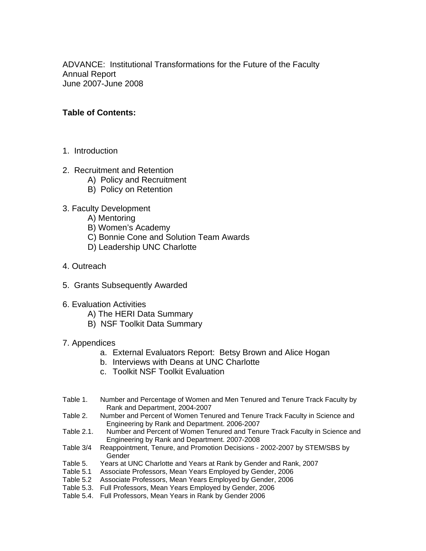ADVANCE: Institutional Transformations for the Future of the Faculty Annual Report June 2007-June 2008

### **Table of Contents:**

- 1. Introduction
- 2. Recruitment and Retention
	- A) Policy and Recruitment
	- B) Policy on Retention
- 3. Faculty Development
	- A) Mentoring
	- B) Women's Academy
	- C) Bonnie Cone and Solution Team Awards
	- D) Leadership UNC Charlotte
- 4. Outreach
- 5. Grants Subsequently Awarded
- 6. Evaluation Activities
	- A) The HERI Data Summary
	- B) NSF Toolkit Data Summary
- 7. Appendices
	- a. External Evaluators Report: Betsy Brown and Alice Hogan
	- b. Interviews with Deans at UNC Charlotte
	- c. Toolkit NSF Toolkit Evaluation
- Table 1. Number and Percentage of Women and Men Tenured and Tenure Track Faculty by Rank and Department, 2004-2007
- Table 2. Number and Percent of Women Tenured and Tenure Track Faculty in Science and Engineering by Rank and Department. 2006-2007
- Table 2.1. Number and Percent of Women Tenured and Tenure Track Faculty in Science and Engineering by Rank and Department. 2007-2008
- Table 3/4 Reappointment, Tenure, and Promotion Decisions 2002-2007 by STEM/SBS by Gender
- Table 5. Years at UNC Charlotte and Years at Rank by Gender and Rank, 2007
- Table 5.1 Associate Professors, Mean Years Employed by Gender, 2006
- Table 5.2 Associate Professors, Mean Years Employed by Gender, 2006
- Table 5.3. Full Professors, Mean Years Employed by Gender, 2006
- Table 5.4. Full Professors, Mean Years in Rank by Gender 2006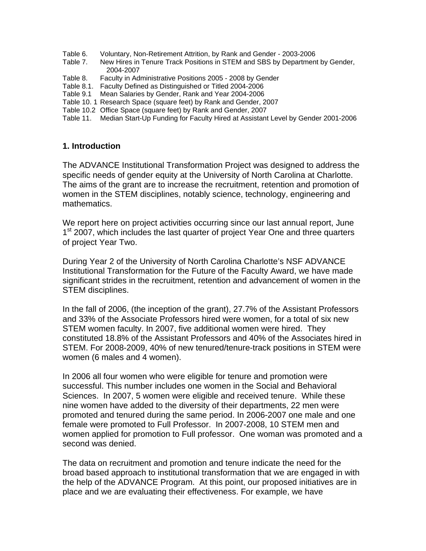- Table 6. Voluntary, Non-Retirement Attrition, by Rank and Gender 2003-2006
- Table 7. New Hires in Tenure Track Positions in STEM and SBS by Department by Gender, 2004-2007
- Table 8. Faculty in Administrative Positions 2005 2008 by Gender
- Table 8.1. Faculty Defined as Distinguished or Titled 2004-2006
- Table 9.1 Mean Salaries by Gender, Rank and Year 2004-2006
- Table 10. 1 Research Space (square feet) by Rank and Gender, 2007
- Table 10.2 Office Space (square feet) by Rank and Gender, 2007
- Table 11. Median Start-Up Funding for Faculty Hired at Assistant Level by Gender 2001-2006

### **1. Introduction**

The ADVANCE Institutional Transformation Project was designed to address the specific needs of gender equity at the University of North Carolina at Charlotte. The aims of the grant are to increase the recruitment, retention and promotion of women in the STEM disciplines, notably science, technology, engineering and mathematics.

We report here on project activities occurring since our last annual report, June 1<sup>st</sup> 2007, which includes the last quarter of project Year One and three quarters of project Year Two.

During Year 2 of the University of North Carolina Charlotte's NSF ADVANCE Institutional Transformation for the Future of the Faculty Award, we have made significant strides in the recruitment, retention and advancement of women in the STEM disciplines.

In the fall of 2006, (the inception of the grant), 27.7% of the Assistant Professors and 33% of the Associate Professors hired were women, for a total of six new STEM women faculty. In 2007, five additional women were hired. They constituted 18.8% of the Assistant Professors and 40% of the Associates hired in STEM. For 2008-2009, 40% of new tenured/tenure-track positions in STEM were women (6 males and 4 women).

In 2006 all four women who were eligible for tenure and promotion were successful. This number includes one women in the Social and Behavioral Sciences. In 2007, 5 women were eligible and received tenure. While these nine women have added to the diversity of their departments, 22 men were promoted and tenured during the same period. In 2006-2007 one male and one female were promoted to Full Professor. In 2007-2008, 10 STEM men and women applied for promotion to Full professor. One woman was promoted and a second was denied.

The data on recruitment and promotion and tenure indicate the need for the broad based approach to institutional transformation that we are engaged in with the help of the ADVANCE Program. At this point, our proposed initiatives are in place and we are evaluating their effectiveness. For example, we have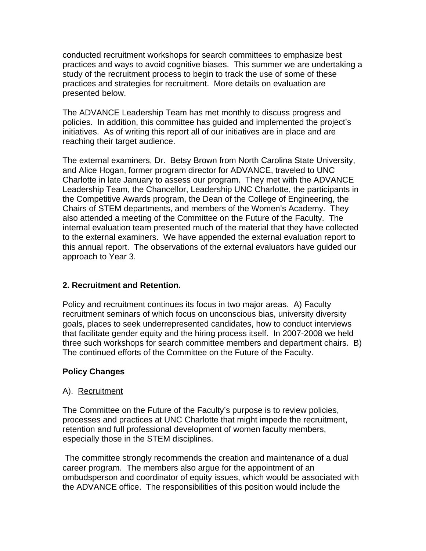conducted recruitment workshops for search committees to emphasize best practices and ways to avoid cognitive biases. This summer we are undertaking a study of the recruitment process to begin to track the use of some of these practices and strategies for recruitment. More details on evaluation are presented below.

The ADVANCE Leadership Team has met monthly to discuss progress and policies. In addition, this committee has guided and implemented the project's initiatives. As of writing this report all of our initiatives are in place and are reaching their target audience.

The external examiners, Dr. Betsy Brown from North Carolina State University, and Alice Hogan, former program director for ADVANCE, traveled to UNC Charlotte in late January to assess our program. They met with the ADVANCE Leadership Team, the Chancellor, Leadership UNC Charlotte, the participants in the Competitive Awards program, the Dean of the College of Engineering, the Chairs of STEM departments, and members of the Women's Academy. They also attended a meeting of the Committee on the Future of the Faculty. The internal evaluation team presented much of the material that they have collected to the external examiners. We have appended the external evaluation report to this annual report. The observations of the external evaluators have guided our approach to Year 3.

### **2. Recruitment and Retention.**

Policy and recruitment continues its focus in two major areas. A) Faculty recruitment seminars of which focus on unconscious bias, university diversity goals, places to seek underrepresented candidates, how to conduct interviews that facilitate gender equity and the hiring process itself. In 2007-2008 we held three such workshops for search committee members and department chairs. B) The continued efforts of the Committee on the Future of the Faculty.

### **Policy Changes**

### A). Recruitment

The Committee on the Future of the Faculty's purpose is to review policies, processes and practices at UNC Charlotte that might impede the recruitment, retention and full professional development of women faculty members, especially those in the STEM disciplines.

 The committee strongly recommends the creation and maintenance of a dual career program. The members also argue for the appointment of an ombudsperson and coordinator of equity issues, which would be associated with the ADVANCE office. The responsibilities of this position would include the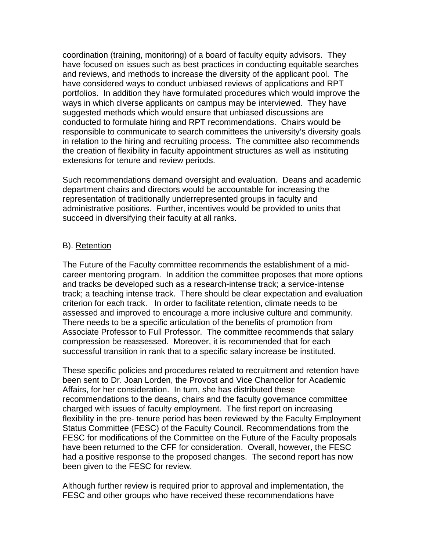coordination (training, monitoring) of a board of faculty equity advisors. They have focused on issues such as best practices in conducting equitable searches and reviews, and methods to increase the diversity of the applicant pool. The have considered ways to conduct unbiased reviews of applications and RPT portfolios. In addition they have formulated procedures which would improve the ways in which diverse applicants on campus may be interviewed. They have suggested methods which would ensure that unbiased discussions are conducted to formulate hiring and RPT recommendations. Chairs would be responsible to communicate to search committees the university's diversity goals in relation to the hiring and recruiting process. The committee also recommends the creation of flexibility in faculty appointment structures as well as instituting extensions for tenure and review periods.

Such recommendations demand oversight and evaluation. Deans and academic department chairs and directors would be accountable for increasing the representation of traditionally underrepresented groups in faculty and administrative positions. Further, incentives would be provided to units that succeed in diversifying their faculty at all ranks.

### B). Retention

The Future of the Faculty committee recommends the establishment of a midcareer mentoring program. In addition the committee proposes that more options and tracks be developed such as a research-intense track; a service-intense track; a teaching intense track. There should be clear expectation and evaluation criterion for each track. In order to facilitate retention, climate needs to be assessed and improved to encourage a more inclusive culture and community. There needs to be a specific articulation of the benefits of promotion from Associate Professor to Full Professor. The committee recommends that salary compression be reassessed. Moreover, it is recommended that for each successful transition in rank that to a specific salary increase be instituted.

These specific policies and procedures related to recruitment and retention have been sent to Dr. Joan Lorden, the Provost and Vice Chancellor for Academic Affairs, for her consideration. In turn, she has distributed these recommendations to the deans, chairs and the faculty governance committee charged with issues of faculty employment. The first report on increasing flexibility in the pre- tenure period has been reviewed by the Faculty Employment Status Committee (FESC) of the Faculty Council. Recommendations from the FESC for modifications of the Committee on the Future of the Faculty proposals have been returned to the CFF for consideration. Overall, however, the FESC had a positive response to the proposed changes. The second report has now been given to the FESC for review.

Although further review is required prior to approval and implementation, the FESC and other groups who have received these recommendations have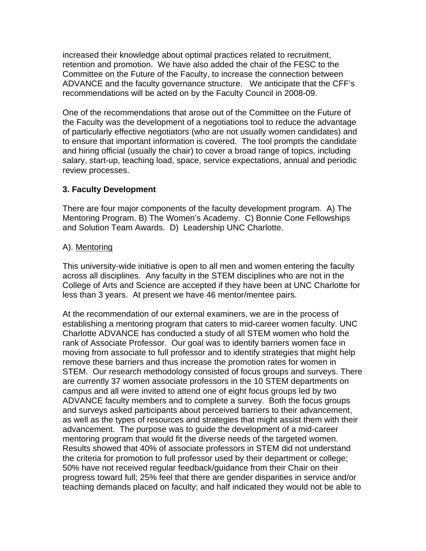increased their knowledge about optimal practices related to recruitment, retention and promotion. We have also added the chair of the FESC to the Committee on the Future of the Faculty, to increase the connection between ADVANCE and the faculty governance structure. We anticipate that the CFF's recommendations will be acted on by the Faculty Council in 2008-09.

One of the recommendations that arose out of the Committee on the Future of the Faculty was the development of a negotiations tool to reduce the advantage of particularly effective negotiators (who are not usually women candidates) and to ensure that important information is covered. The tool prompts the candidate and hiring official (usually the chair) to cover a broad range of topics, including salary, start-up, teaching load, space, service expectations, annual and periodic review processes.

### **3. Faculty Development**

There are four major components of the faculty development program. A) The Mentoring Program. B) The Women's Academy. C) Bonnie Cone Fellowships and Solution Team Awards. D) Leadership UNC Charlotte.

### A). Mentoring

This university-wide initiative is open to all men and women entering the faculty across all disciplines. Any faculty in the STEM disciplines who are not in the College of Arts and Science are accepted if they have been at UNC Charlotte for less than 3 years. At present we have 46 mentor/mentee pairs.

At the recommendation of our external examiners, we are in the process of establishing a mentoring program that caters to mid-career women faculty. UNC Charlotte ADVANCE has conducted a study of all STEM women who hold the rank of Associate Professor. Our goal was to identify barriers women face in moving from associate to full professor and to identify strategies that might help remove these barriers and thus increase the promotion rates for women in STEM. Our research methodology consisted of focus groups and surveys. There are currently 37 women associate professors in the 10 STEM departments on campus and all were invited to attend one of eight focus groups led by two ADVANCE faculty members and to complete a survey. Both the focus groups and surveys asked participants about perceived barriers to their advancement, as well as the types of resources and strategies that might assist them with their advancement. The purpose was to guide the development of a mid-career mentoring program that would fit the diverse needs of the targeted women. Results showed that 40% of associate professors in STEM did not understand the criteria for promotion to full professor used by their department or college; 50% have not received regular feedback/guidance from their Chair on their progress toward full; 25% feel that there are gender disparities in service and/or teaching demands placed on faculty; and half indicated they would not be able to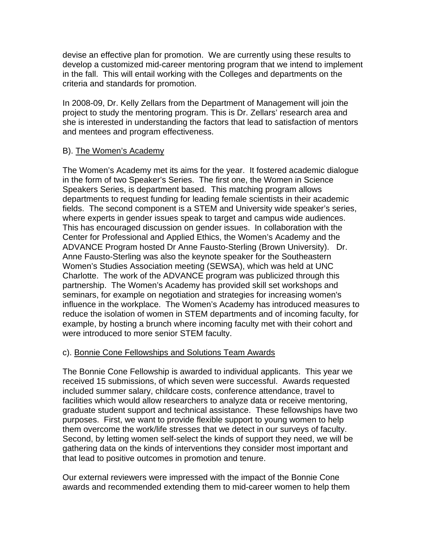devise an effective plan for promotion. We are currently using these results to develop a customized mid-career mentoring program that we intend to implement in the fall. This will entail working with the Colleges and departments on the criteria and standards for promotion.

In 2008-09, Dr. Kelly Zellars from the Department of Management will join the project to study the mentoring program. This is Dr. Zellars' research area and she is interested in understanding the factors that lead to satisfaction of mentors and mentees and program effectiveness.

### B). The Women's Academy

The Women's Academy met its aims for the year. It fostered academic dialogue in the form of two Speaker's Series. The first one, the Women in Science Speakers Series, is department based. This matching program allows departments to request funding for leading female scientists in their academic fields. The second component is a STEM and University wide speaker's series, where experts in gender issues speak to target and campus wide audiences. This has encouraged discussion on gender issues. In collaboration with the Center for Professional and Applied Ethics, the Women's Academy and the ADVANCE Program hosted Dr Anne Fausto-Sterling (Brown University). Dr. Anne Fausto-Sterling was also the keynote speaker for the Southeastern Women's Studies Association meeting (SEWSA), which was held at UNC Charlotte. The work of the ADVANCE program was publicized through this partnership. The Women's Academy has provided skill set workshops and seminars, for example on negotiation and strategies for increasing women's influence in the workplace. The Women's Academy has introduced measures to reduce the isolation of women in STEM departments and of incoming faculty, for example, by hosting a brunch where incoming faculty met with their cohort and were introduced to more senior STEM faculty.

### c). Bonnie Cone Fellowships and Solutions Team Awards

The Bonnie Cone Fellowship is awarded to individual applicants. This year we received 15 submissions, of which seven were successful. Awards requested included summer salary, childcare costs, conference attendance, travel to facilities which would allow researchers to analyze data or receive mentoring, graduate student support and technical assistance. These fellowships have two purposes. First, we want to provide flexible support to young women to help them overcome the work/life stresses that we detect in our surveys of faculty. Second, by letting women self-select the kinds of support they need, we will be gathering data on the kinds of interventions they consider most important and that lead to positive outcomes in promotion and tenure.

Our external reviewers were impressed with the impact of the Bonnie Cone awards and recommended extending them to mid-career women to help them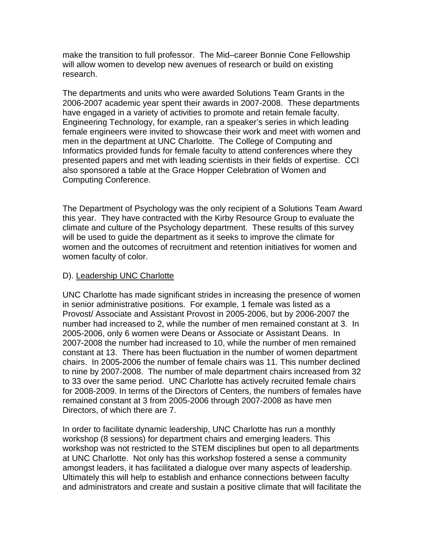make the transition to full professor. The Mid–career Bonnie Cone Fellowship will allow women to develop new avenues of research or build on existing research.

The departments and units who were awarded Solutions Team Grants in the 2006-2007 academic year spent their awards in 2007-2008. These departments have engaged in a variety of activities to promote and retain female faculty. Engineering Technology, for example, ran a speaker's series in which leading female engineers were invited to showcase their work and meet with women and men in the department at UNC Charlotte. The College of Computing and Informatics provided funds for female faculty to attend conferences where they presented papers and met with leading scientists in their fields of expertise. CCI also sponsored a table at the Grace Hopper Celebration of Women and Computing Conference.

The Department of Psychology was the only recipient of a Solutions Team Award this year. They have contracted with the Kirby Resource Group to evaluate the climate and culture of the Psychology department. These results of this survey will be used to guide the department as it seeks to improve the climate for women and the outcomes of recruitment and retention initiatives for women and women faculty of color.

### D). Leadership UNC Charlotte

UNC Charlotte has made significant strides in increasing the presence of women in senior administrative positions. For example, 1 female was listed as a Provost/ Associate and Assistant Provost in 2005-2006, but by 2006-2007 the number had increased to 2, while the number of men remained constant at 3. In 2005-2006, only 6 women were Deans or Associate or Assistant Deans. In 2007-2008 the number had increased to 10, while the number of men remained constant at 13. There has been fluctuation in the number of women department chairs. In 2005-2006 the number of female chairs was 11. This number declined to nine by 2007-2008. The number of male department chairs increased from 32 to 33 over the same period. UNC Charlotte has actively recruited female chairs for 2008-2009. In terms of the Directors of Centers, the numbers of females have remained constant at 3 from 2005-2006 through 2007-2008 as have men Directors, of which there are 7.

In order to facilitate dynamic leadership, UNC Charlotte has run a monthly workshop (8 sessions) for department chairs and emerging leaders. This workshop was not restricted to the STEM disciplines but open to all departments at UNC Charlotte. Not only has this workshop fostered a sense a community amongst leaders, it has facilitated a dialogue over many aspects of leadership. Ultimately this will help to establish and enhance connections between faculty and administrators and create and sustain a positive climate that will facilitate the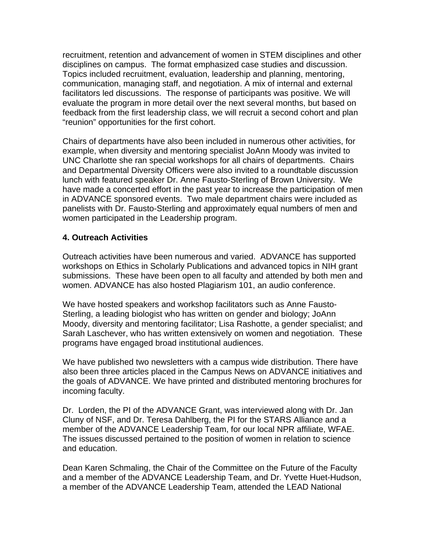recruitment, retention and advancement of women in STEM disciplines and other disciplines on campus. The format emphasized case studies and discussion. Topics included recruitment, evaluation, leadership and planning, mentoring, communication, managing staff, and negotiation. A mix of internal and external facilitators led discussions. The response of participants was positive. We will evaluate the program in more detail over the next several months, but based on feedback from the first leadership class, we will recruit a second cohort and plan "reunion" opportunities for the first cohort.

Chairs of departments have also been included in numerous other activities, for example, when diversity and mentoring specialist JoAnn Moody was invited to UNC Charlotte she ran special workshops for all chairs of departments. Chairs and Departmental Diversity Officers were also invited to a roundtable discussion lunch with featured speaker Dr. Anne Fausto-Sterling of Brown University. We have made a concerted effort in the past year to increase the participation of men in ADVANCE sponsored events. Two male department chairs were included as panelists with Dr. Fausto-Sterling and approximately equal numbers of men and women participated in the Leadership program.

### **4. Outreach Activities**

Outreach activities have been numerous and varied. ADVANCE has supported workshops on Ethics in Scholarly Publications and advanced topics in NIH grant submissions. These have been open to all faculty and attended by both men and women. ADVANCE has also hosted Plagiarism 101, an audio conference.

We have hosted speakers and workshop facilitators such as Anne Fausto-Sterling, a leading biologist who has written on gender and biology; JoAnn Moody, diversity and mentoring facilitator; Lisa Rashotte, a gender specialist; and Sarah Laschever, who has written extensively on women and negotiation. These programs have engaged broad institutional audiences.

We have published two newsletters with a campus wide distribution. There have also been three articles placed in the Campus News on ADVANCE initiatives and the goals of ADVANCE. We have printed and distributed mentoring brochures for incoming faculty.

Dr. Lorden, the PI of the ADVANCE Grant, was interviewed along with Dr. Jan Cluny of NSF, and Dr. Teresa Dahlberg, the PI for the STARS Alliance and a member of the ADVANCE Leadership Team, for our local NPR affiliate, WFAE. The issues discussed pertained to the position of women in relation to science and education.

Dean Karen Schmaling, the Chair of the Committee on the Future of the Faculty and a member of the ADVANCE Leadership Team, and Dr. Yvette Huet-Hudson, a member of the ADVANCE Leadership Team, attended the LEAD National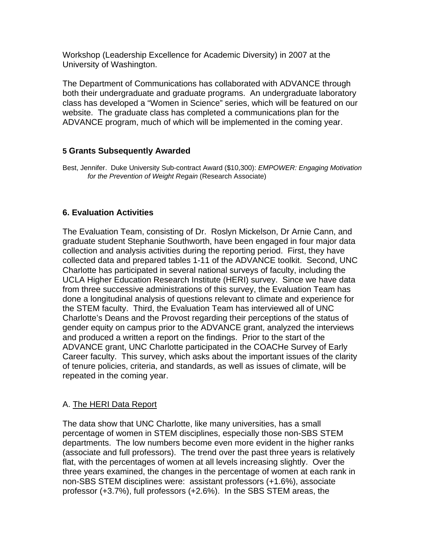Workshop (Leadership Excellence for Academic Diversity) in 2007 at the University of Washington.

The Department of Communications has collaborated with ADVANCE through both their undergraduate and graduate programs. An undergraduate laboratory class has developed a "Women in Science" series, which will be featured on our website. The graduate class has completed a communications plan for the ADVANCE program, much of which will be implemented in the coming year.

### **5 Grants Subsequently Awarded**

Best, Jennifer. Duke University Sub-contract Award (\$10,300): *EMPOWER: Engaging Motivation for the Prevention of Weight Regain* (Research Associate)

### **6. Evaluation Activities**

The Evaluation Team, consisting of Dr. Roslyn Mickelson, Dr Arnie Cann, and graduate student Stephanie Southworth, have been engaged in four major data collection and analysis activities during the reporting period. First, they have collected data and prepared tables 1-11 of the ADVANCE toolkit. Second, UNC Charlotte has participated in several national surveys of faculty, including the UCLA Higher Education Research Institute (HERI) survey. Since we have data from three successive administrations of this survey, the Evaluation Team has done a longitudinal analysis of questions relevant to climate and experience for the STEM faculty. Third, the Evaluation Team has interviewed all of UNC Charlotte's Deans and the Provost regarding their perceptions of the status of gender equity on campus prior to the ADVANCE grant, analyzed the interviews and produced a written a report on the findings. Prior to the start of the ADVANCE grant, UNC Charlotte participated in the COACHe Survey of Early Career faculty. This survey, which asks about the important issues of the clarity of tenure policies, criteria, and standards, as well as issues of climate, will be repeated in the coming year.

### A. The HERI Data Report

The data show that UNC Charlotte, like many universities, has a small percentage of women in STEM disciplines, especially those non-SBS STEM departments. The low numbers become even more evident in the higher ranks (associate and full professors). The trend over the past three years is relatively flat, with the percentages of women at all levels increasing slightly. Over the three years examined, the changes in the percentage of women at each rank in non-SBS STEM disciplines were: assistant professors (+1.6%), associate professor (+3.7%), full professors (+2.6%). In the SBS STEM areas, the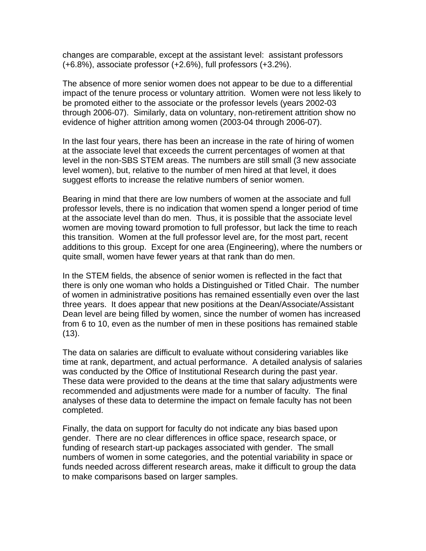changes are comparable, except at the assistant level: assistant professors (+6.8%), associate professor (+2.6%), full professors (+3.2%).

The absence of more senior women does not appear to be due to a differential impact of the tenure process or voluntary attrition. Women were not less likely to be promoted either to the associate or the professor levels (years 2002-03 through 2006-07). Similarly, data on voluntary, non-retirement attrition show no evidence of higher attrition among women (2003-04 through 2006-07).

In the last four years, there has been an increase in the rate of hiring of women at the associate level that exceeds the current percentages of women at that level in the non-SBS STEM areas. The numbers are still small (3 new associate level women), but, relative to the number of men hired at that level, it does suggest efforts to increase the relative numbers of senior women.

Bearing in mind that there are low numbers of women at the associate and full professor levels, there is no indication that women spend a longer period of time at the associate level than do men. Thus, it is possible that the associate level women are moving toward promotion to full professor, but lack the time to reach this transition. Women at the full professor level are, for the most part, recent additions to this group. Except for one area (Engineering), where the numbers or quite small, women have fewer years at that rank than do men.

In the STEM fields, the absence of senior women is reflected in the fact that there is only one woman who holds a Distinguished or Titled Chair. The number of women in administrative positions has remained essentially even over the last three years. It does appear that new positions at the Dean/Associate/Assistant Dean level are being filled by women, since the number of women has increased from 6 to 10, even as the number of men in these positions has remained stable (13).

The data on salaries are difficult to evaluate without considering variables like time at rank, department, and actual performance. A detailed analysis of salaries was conducted by the Office of Institutional Research during the past year. These data were provided to the deans at the time that salary adjustments were recommended and adjustments were made for a number of faculty. The final analyses of these data to determine the impact on female faculty has not been completed.

Finally, the data on support for faculty do not indicate any bias based upon gender. There are no clear differences in office space, research space, or funding of research start-up packages associated with gender. The small numbers of women in some categories, and the potential variability in space or funds needed across different research areas, make it difficult to group the data to make comparisons based on larger samples.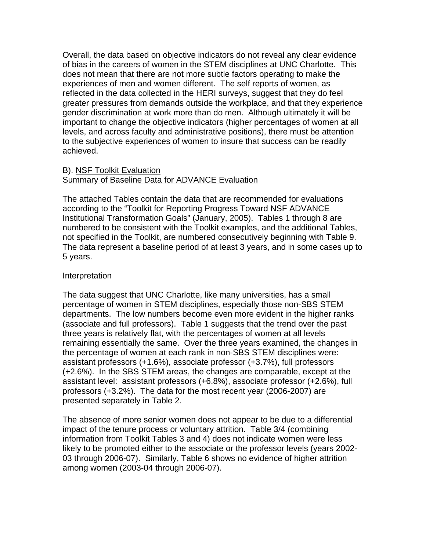Overall, the data based on objective indicators do not reveal any clear evidence of bias in the careers of women in the STEM disciplines at UNC Charlotte. This does not mean that there are not more subtle factors operating to make the experiences of men and women different. The self reports of women, as reflected in the data collected in the HERI surveys, suggest that they do feel greater pressures from demands outside the workplace, and that they experience gender discrimination at work more than do men. Although ultimately it will be important to change the objective indicators (higher percentages of women at all levels, and across faculty and administrative positions), there must be attention to the subjective experiences of women to insure that success can be readily achieved.

### B). NSF Toolkit Evaluation Summary of Baseline Data for ADVANCE Evaluation

The attached Tables contain the data that are recommended for evaluations according to the "Toolkit for Reporting Progress Toward NSF ADVANCE Institutional Transformation Goals" (January, 2005). Tables 1 through 8 are numbered to be consistent with the Toolkit examples, and the additional Tables, not specified in the Toolkit, are numbered consecutively beginning with Table 9. The data represent a baseline period of at least 3 years, and in some cases up to 5 years.

### Interpretation

The data suggest that UNC Charlotte, like many universities, has a small percentage of women in STEM disciplines, especially those non-SBS STEM departments. The low numbers become even more evident in the higher ranks (associate and full professors). Table 1 suggests that the trend over the past three years is relatively flat, with the percentages of women at all levels remaining essentially the same. Over the three years examined, the changes in the percentage of women at each rank in non-SBS STEM disciplines were: assistant professors (+1.6%), associate professor (+3.7%), full professors (+2.6%). In the SBS STEM areas, the changes are comparable, except at the assistant level: assistant professors (+6.8%), associate professor (+2.6%), full professors (+3.2%). The data for the most recent year (2006-2007) are presented separately in Table 2.

The absence of more senior women does not appear to be due to a differential impact of the tenure process or voluntary attrition. Table 3/4 (combining information from Toolkit Tables 3 and 4) does not indicate women were less likely to be promoted either to the associate or the professor levels (years 2002- 03 through 2006-07). Similarly, Table 6 shows no evidence of higher attrition among women (2003-04 through 2006-07).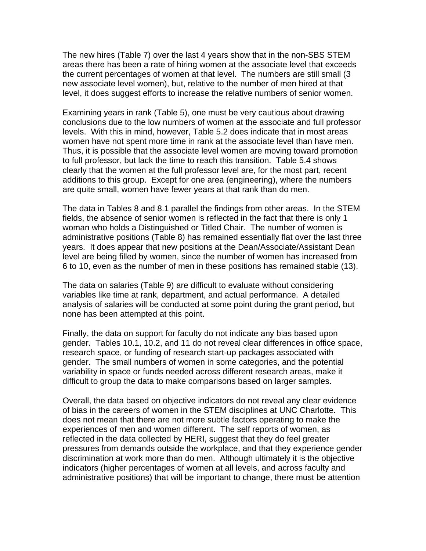The new hires (Table 7) over the last 4 years show that in the non-SBS STEM areas there has been a rate of hiring women at the associate level that exceeds the current percentages of women at that level. The numbers are still small (3 new associate level women), but, relative to the number of men hired at that level, it does suggest efforts to increase the relative numbers of senior women.

Examining years in rank (Table 5), one must be very cautious about drawing conclusions due to the low numbers of women at the associate and full professor levels. With this in mind, however, Table 5.2 does indicate that in most areas women have not spent more time in rank at the associate level than have men. Thus, it is possible that the associate level women are moving toward promotion to full professor, but lack the time to reach this transition. Table 5.4 shows clearly that the women at the full professor level are, for the most part, recent additions to this group. Except for one area (engineering), where the numbers are quite small, women have fewer years at that rank than do men.

The data in Tables 8 and 8.1 parallel the findings from other areas. In the STEM fields, the absence of senior women is reflected in the fact that there is only 1 woman who holds a Distinguished or Titled Chair. The number of women is administrative positions (Table 8) has remained essentially flat over the last three years. It does appear that new positions at the Dean/Associate/Assistant Dean level are being filled by women, since the number of women has increased from 6 to 10, even as the number of men in these positions has remained stable (13).

The data on salaries (Table 9) are difficult to evaluate without considering variables like time at rank, department, and actual performance. A detailed analysis of salaries will be conducted at some point during the grant period, but none has been attempted at this point.

Finally, the data on support for faculty do not indicate any bias based upon gender. Tables 10.1, 10.2, and 11 do not reveal clear differences in office space, research space, or funding of research start-up packages associated with gender. The small numbers of women in some categories, and the potential variability in space or funds needed across different research areas, make it difficult to group the data to make comparisons based on larger samples.

Overall, the data based on objective indicators do not reveal any clear evidence of bias in the careers of women in the STEM disciplines at UNC Charlotte. This does not mean that there are not more subtle factors operating to make the experiences of men and women different. The self reports of women, as reflected in the data collected by HERI, suggest that they do feel greater pressures from demands outside the workplace, and that they experience gender discrimination at work more than do men. Although ultimately it is the objective indicators (higher percentages of women at all levels, and across faculty and administrative positions) that will be important to change, there must be attention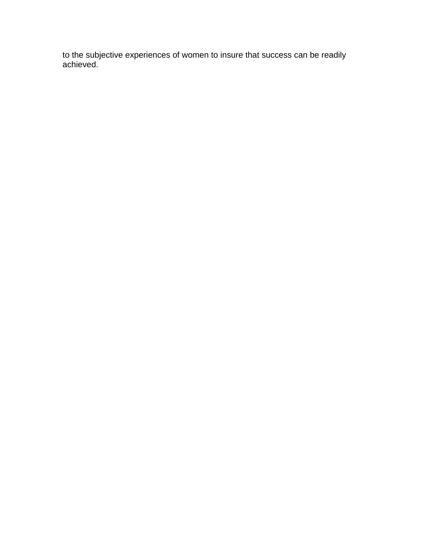to the subjective experiences of women to insure that success can be readily achieved.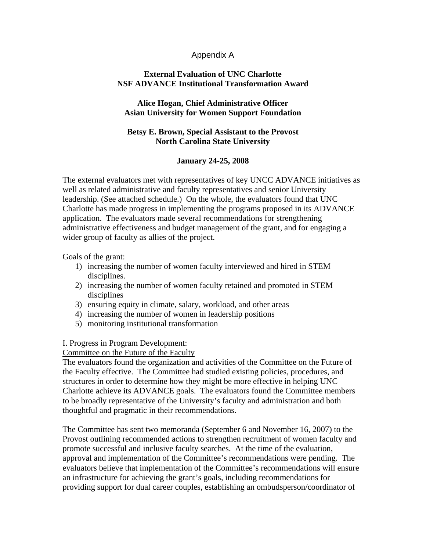### Appendix A

### **External Evaluation of UNC Charlotte NSF ADVANCE Institutional Transformation Award**

### **Alice Hogan, Chief Administrative Officer Asian University for Women Support Foundation**

### **Betsy E. Brown, Special Assistant to the Provost North Carolina State University**

### **January 24-25, 2008**

The external evaluators met with representatives of key UNCC ADVANCE initiatives as well as related administrative and faculty representatives and senior University leadership. (See attached schedule.) On the whole, the evaluators found that UNC Charlotte has made progress in implementing the programs proposed in its ADVANCE application. The evaluators made several recommendations for strengthening administrative effectiveness and budget management of the grant, and for engaging a wider group of faculty as allies of the project.

Goals of the grant:

- 1) increasing the number of women faculty interviewed and hired in STEM disciplines.
- 2) increasing the number of women faculty retained and promoted in STEM disciplines
- 3) ensuring equity in climate, salary, workload, and other areas
- 4) increasing the number of women in leadership positions
- 5) monitoring institutional transformation

### I. Progress in Program Development:

Committee on the Future of the Faculty

The evaluators found the organization and activities of the Committee on the Future of the Faculty effective. The Committee had studied existing policies, procedures, and structures in order to determine how they might be more effective in helping UNC Charlotte achieve its ADVANCE goals. The evaluators found the Committee members to be broadly representative of the University's faculty and administration and both thoughtful and pragmatic in their recommendations.

The Committee has sent two memoranda (September 6 and November 16, 2007) to the Provost outlining recommended actions to strengthen recruitment of women faculty and promote successful and inclusive faculty searches. At the time of the evaluation, approval and implementation of the Committee's recommendations were pending. The evaluators believe that implementation of the Committee's recommendations will ensure an infrastructure for achieving the grant's goals, including recommendations for providing support for dual career couples, establishing an ombudsperson/coordinator of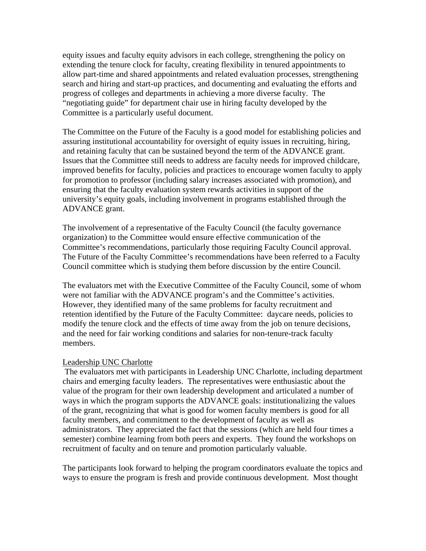equity issues and faculty equity advisors in each college, strengthening the policy on extending the tenure clock for faculty, creating flexibility in tenured appointments to allow part-time and shared appointments and related evaluation processes, strengthening search and hiring and start-up practices, and documenting and evaluating the efforts and progress of colleges and departments in achieving a more diverse faculty. The "negotiating guide" for department chair use in hiring faculty developed by the Committee is a particularly useful document.

The Committee on the Future of the Faculty is a good model for establishing policies and assuring institutional accountability for oversight of equity issues in recruiting, hiring, and retaining faculty that can be sustained beyond the term of the ADVANCE grant. Issues that the Committee still needs to address are faculty needs for improved childcare, improved benefits for faculty, policies and practices to encourage women faculty to apply for promotion to professor (including salary increases associated with promotion), and ensuring that the faculty evaluation system rewards activities in support of the university's equity goals, including involvement in programs established through the ADVANCE grant.

The involvement of a representative of the Faculty Council (the faculty governance organization) to the Committee would ensure effective communication of the Committee's recommendations, particularly those requiring Faculty Council approval. The Future of the Faculty Committee's recommendations have been referred to a Faculty Council committee which is studying them before discussion by the entire Council.

The evaluators met with the Executive Committee of the Faculty Council, some of whom were not familiar with the ADVANCE program's and the Committee's activities. However, they identified many of the same problems for faculty recruitment and retention identified by the Future of the Faculty Committee: daycare needs, policies to modify the tenure clock and the effects of time away from the job on tenure decisions, and the need for fair working conditions and salaries for non-tenure-track faculty members.

### Leadership UNC Charlotte

 The evaluators met with participants in Leadership UNC Charlotte, including department chairs and emerging faculty leaders. The representatives were enthusiastic about the value of the program for their own leadership development and articulated a number of ways in which the program supports the ADVANCE goals: institutionalizing the values of the grant, recognizing that what is good for women faculty members is good for all faculty members, and commitment to the development of faculty as well as administrators. They appreciated the fact that the sessions (which are held four times a semester) combine learning from both peers and experts. They found the workshops on recruitment of faculty and on tenure and promotion particularly valuable.

The participants look forward to helping the program coordinators evaluate the topics and ways to ensure the program is fresh and provide continuous development. Most thought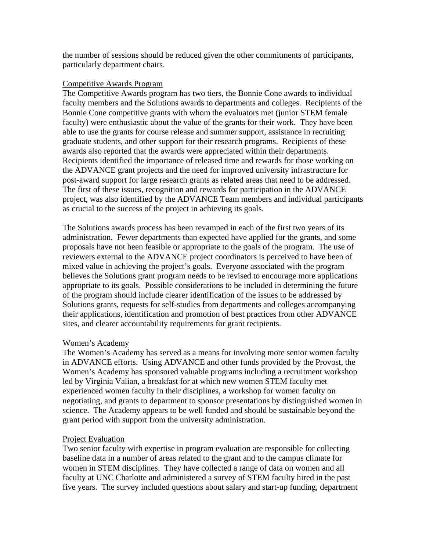the number of sessions should be reduced given the other commitments of participants, particularly department chairs.

### Competitive Awards Program

The Competitive Awards program has two tiers, the Bonnie Cone awards to individual faculty members and the Solutions awards to departments and colleges. Recipients of the Bonnie Cone competitive grants with whom the evaluators met (junior STEM female faculty) were enthusiastic about the value of the grants for their work. They have been able to use the grants for course release and summer support, assistance in recruiting graduate students, and other support for their research programs. Recipients of these awards also reported that the awards were appreciated within their departments. Recipients identified the importance of released time and rewards for those working on the ADVANCE grant projects and the need for improved university infrastructure for post-award support for large research grants as related areas that need to be addressed. The first of these issues, recognition and rewards for participation in the ADVANCE project, was also identified by the ADVANCE Team members and individual participants as crucial to the success of the project in achieving its goals.

The Solutions awards process has been revamped in each of the first two years of its administration. Fewer departments than expected have applied for the grants, and some proposals have not been feasible or appropriate to the goals of the program. The use of reviewers external to the ADVANCE project coordinators is perceived to have been of mixed value in achieving the project's goals. Everyone associated with the program believes the Solutions grant program needs to be revised to encourage more applications appropriate to its goals. Possible considerations to be included in determining the future of the program should include clearer identification of the issues to be addressed by Solutions grants, requests for self-studies from departments and colleges accompanying their applications, identification and promotion of best practices from other ADVANCE sites, and clearer accountability requirements for grant recipients.

### Women's Academy

The Women's Academy has served as a means for involving more senior women faculty in ADVANCE efforts. Using ADVANCE and other funds provided by the Provost, the Women's Academy has sponsored valuable programs including a recruitment workshop led by Virginia Valian, a breakfast for at which new women STEM faculty met experienced women faculty in their disciplines, a workshop for women faculty on negotiating, and grants to department to sponsor presentations by distinguished women in science. The Academy appears to be well funded and should be sustainable beyond the grant period with support from the university administration.

### **Project Evaluation**

Two senior faculty with expertise in program evaluation are responsible for collecting baseline data in a number of areas related to the grant and to the campus climate for women in STEM disciplines. They have collected a range of data on women and all faculty at UNC Charlotte and administered a survey of STEM faculty hired in the past five years. The survey included questions about salary and start-up funding, department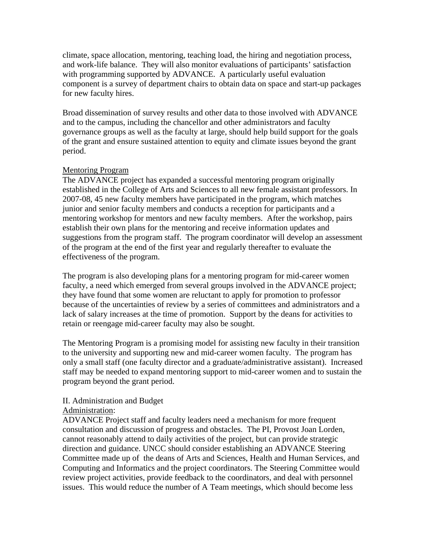climate, space allocation, mentoring, teaching load, the hiring and negotiation process, and work-life balance. They will also monitor evaluations of participants' satisfaction with programming supported by ADVANCE. A particularly useful evaluation component is a survey of department chairs to obtain data on space and start-up packages for new faculty hires.

Broad dissemination of survey results and other data to those involved with ADVANCE and to the campus, including the chancellor and other administrators and faculty governance groups as well as the faculty at large, should help build support for the goals of the grant and ensure sustained attention to equity and climate issues beyond the grant period.

### Mentoring Program

The ADVANCE project has expanded a successful mentoring program originally established in the College of Arts and Sciences to all new female assistant professors. In 2007-08, 45 new faculty members have participated in the program, which matches junior and senior faculty members and conducts a reception for participants and a mentoring workshop for mentors and new faculty members. After the workshop, pairs establish their own plans for the mentoring and receive information updates and suggestions from the program staff. The program coordinator will develop an assessment of the program at the end of the first year and regularly thereafter to evaluate the effectiveness of the program.

The program is also developing plans for a mentoring program for mid-career women faculty, a need which emerged from several groups involved in the ADVANCE project; they have found that some women are reluctant to apply for promotion to professor because of the uncertainties of review by a series of committees and administrators and a lack of salary increases at the time of promotion. Support by the deans for activities to retain or reengage mid-career faculty may also be sought.

The Mentoring Program is a promising model for assisting new faculty in their transition to the university and supporting new and mid-career women faculty. The program has only a small staff (one faculty director and a graduate/administrative assistant). Increased staff may be needed to expand mentoring support to mid-career women and to sustain the program beyond the grant period.

### II. Administration and Budget

### Administration:

ADVANCE Project staff and faculty leaders need a mechanism for more frequent consultation and discussion of progress and obstacles. The PI, Provost Joan Lorden, cannot reasonably attend to daily activities of the project, but can provide strategic direction and guidance. UNCC should consider establishing an ADVANCE Steering Committee made up of the deans of Arts and Sciences, Health and Human Services, and Computing and Informatics and the project coordinators. The Steering Committee would review project activities, provide feedback to the coordinators, and deal with personnel issues. This would reduce the number of A Team meetings, which should become less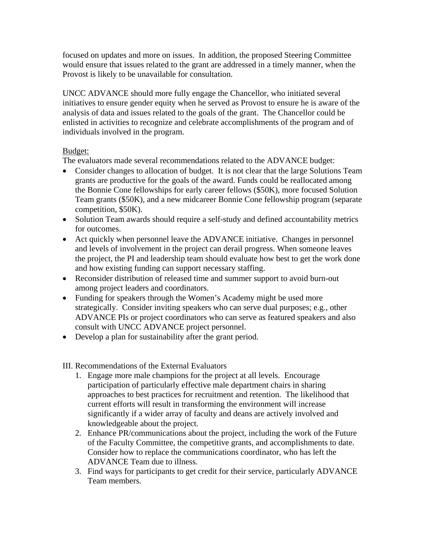focused on updates and more on issues. In addition, the proposed Steering Committee would ensure that issues related to the grant are addressed in a timely manner, when the Provost is likely to be unavailable for consultation.

UNCC ADVANCE should more fully engage the Chancellor, who initiated several initiatives to ensure gender equity when he served as Provost to ensure he is aware of the analysis of data and issues related to the goals of the grant. The Chancellor could be enlisted in activities to recognize and celebrate accomplishments of the program and of individuals involved in the program.

### Budget:

The evaluators made several recommendations related to the ADVANCE budget:

- Consider changes to allocation of budget. It is not clear that the large Solutions Team grants are productive for the goals of the award. Funds could be reallocated among the Bonnie Cone fellowships for early career fellows (\$50K), more focused Solution Team grants (\$50K), and a new midcareer Bonnie Cone fellowship program (separate competition, \$50K).
- Solution Team awards should require a self-study and defined accountability metrics for outcomes.
- Act quickly when personnel leave the ADVANCE initiative. Changes in personnel and levels of involvement in the project can derail progress. When someone leaves the project, the PI and leadership team should evaluate how best to get the work done and how existing funding can support necessary staffing.
- Reconsider distribution of released time and summer support to avoid burn-out among project leaders and coordinators.
- Funding for speakers through the Women's Academy might be used more strategically. Consider inviting speakers who can serve dual purposes; e.g., other ADVANCE PIs or project coordinators who can serve as featured speakers and also consult with UNCC ADVANCE project personnel.
- Develop a plan for sustainability after the grant period.

III. Recommendations of the External Evaluators

- 1. Engage more male champions for the project at all levels. Encourage participation of particularly effective male department chairs in sharing approaches to best practices for recruitment and retention. The likelihood that current efforts will result in transforming the environment will increase significantly if a wider array of faculty and deans are actively involved and knowledgeable about the project.
- 2. Enhance PR/communications about the project, including the work of the Future of the Faculty Committee, the competitive grants, and accomplishments to date. Consider how to replace the communications coordinator, who has left the ADVANCE Team due to illness.
- 3. Find ways for participants to get credit for their service, particularly ADVANCE Team members.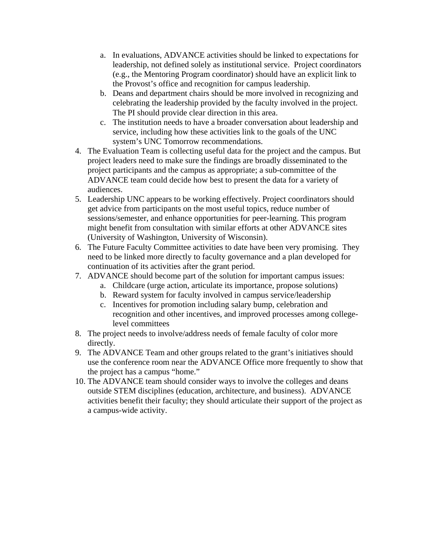- a. In evaluations, ADVANCE activities should be linked to expectations for leadership, not defined solely as institutional service. Project coordinators (e.g., the Mentoring Program coordinator) should have an explicit link to the Provost's office and recognition for campus leadership.
- b. Deans and department chairs should be more involved in recognizing and celebrating the leadership provided by the faculty involved in the project. The PI should provide clear direction in this area.
- c. The institution needs to have a broader conversation about leadership and service, including how these activities link to the goals of the UNC system's UNC Tomorrow recommendations.
- 4. The Evaluation Team is collecting useful data for the project and the campus. But project leaders need to make sure the findings are broadly disseminated to the project participants and the campus as appropriate; a sub-committee of the ADVANCE team could decide how best to present the data for a variety of audiences.
- 5. Leadership UNC appears to be working effectively. Project coordinators should get advice from participants on the most useful topics, reduce number of sessions/semester, and enhance opportunities for peer-learning. This program might benefit from consultation with similar efforts at other ADVANCE sites (University of Washington, University of Wisconsin).
- 6. The Future Faculty Committee activities to date have been very promising. They need to be linked more directly to faculty governance and a plan developed for continuation of its activities after the grant period.
- 7. ADVANCE should become part of the solution for important campus issues:
	- a. Childcare (urge action, articulate its importance, propose solutions)
	- b. Reward system for faculty involved in campus service/leadership
	- c. Incentives for promotion including salary bump, celebration and recognition and other incentives, and improved processes among collegelevel committees
- 8. The project needs to involve/address needs of female faculty of color more directly.
- 9. The ADVANCE Team and other groups related to the grant's initiatives should use the conference room near the ADVANCE Office more frequently to show that the project has a campus "home."
- 10. The ADVANCE team should consider ways to involve the colleges and deans outside STEM disciplines (education, architecture, and business). ADVANCE activities benefit their faculty; they should articulate their support of the project as a campus-wide activity.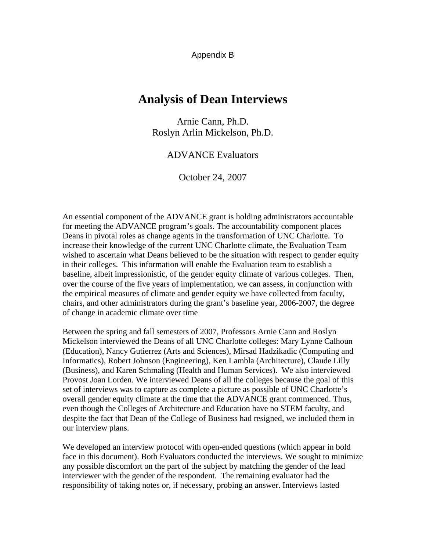Appendix B

## **Analysis of Dean Interviews**

Arnie Cann, Ph.D. Roslyn Arlin Mickelson, Ph.D.

### ADVANCE Evaluators

October 24, 2007

An essential component of the ADVANCE grant is holding administrators accountable for meeting the ADVANCE program's goals. The accountability component places Deans in pivotal roles as change agents in the transformation of UNC Charlotte. To increase their knowledge of the current UNC Charlotte climate, the Evaluation Team wished to ascertain what Deans believed to be the situation with respect to gender equity in their colleges. This information will enable the Evaluation team to establish a baseline, albeit impressionistic, of the gender equity climate of various colleges. Then, over the course of the five years of implementation, we can assess, in conjunction with the empirical measures of climate and gender equity we have collected from faculty, chairs, and other administrators during the grant's baseline year, 2006-2007, the degree of change in academic climate over time

Between the spring and fall semesters of 2007, Professors Arnie Cann and Roslyn Mickelson interviewed the Deans of all UNC Charlotte colleges: Mary Lynne Calhoun (Education), Nancy Gutierrez (Arts and Sciences), Mirsad Hadzikadic (Computing and Informatics), Robert Johnson (Engineering), Ken Lambla (Architecture), Claude Lilly (Business), and Karen Schmaling (Health and Human Services). We also interviewed Provost Joan Lorden. We interviewed Deans of all the colleges because the goal of this set of interviews was to capture as complete a picture as possible of UNC Charlotte's overall gender equity climate at the time that the ADVANCE grant commenced. Thus, even though the Colleges of Architecture and Education have no STEM faculty, and despite the fact that Dean of the College of Business had resigned, we included them in our interview plans.

We developed an interview protocol with open-ended questions (which appear in bold face in this document). Both Evaluators conducted the interviews. We sought to minimize any possible discomfort on the part of the subject by matching the gender of the lead interviewer with the gender of the respondent. The remaining evaluator had the responsibility of taking notes or, if necessary, probing an answer. Interviews lasted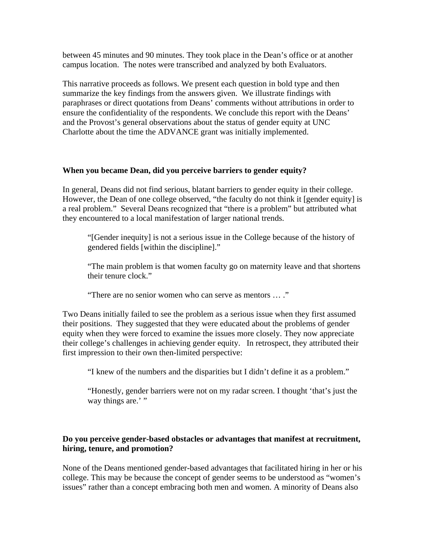between 45 minutes and 90 minutes. They took place in the Dean's office or at another campus location. The notes were transcribed and analyzed by both Evaluators.

This narrative proceeds as follows. We present each question in bold type and then summarize the key findings from the answers given. We illustrate findings with paraphrases or direct quotations from Deans' comments without attributions in order to ensure the confidentiality of the respondents. We conclude this report with the Deans' and the Provost's general observations about the status of gender equity at UNC Charlotte about the time the ADVANCE grant was initially implemented.

### **When you became Dean, did you perceive barriers to gender equity?**

In general, Deans did not find serious, blatant barriers to gender equity in their college. However, the Dean of one college observed, "the faculty do not think it [gender equity] is a real problem." Several Deans recognized that "there is a problem" but attributed what they encountered to a local manifestation of larger national trends.

"[Gender inequity] is not a serious issue in the College because of the history of gendered fields [within the discipline]."

"The main problem is that women faculty go on maternity leave and that shortens their tenure clock."

"There are no senior women who can serve as mentors … ."

Two Deans initially failed to see the problem as a serious issue when they first assumed their positions. They suggested that they were educated about the problems of gender equity when they were forced to examine the issues more closely. They now appreciate their college's challenges in achieving gender equity. In retrospect, they attributed their first impression to their own then-limited perspective:

"I knew of the numbers and the disparities but I didn't define it as a problem."

"Honestly, gender barriers were not on my radar screen. I thought 'that's just the way things are.' "

### **Do you perceive gender-based obstacles or advantages that manifest at recruitment, hiring, tenure, and promotion?**

None of the Deans mentioned gender-based advantages that facilitated hiring in her or his college. This may be because the concept of gender seems to be understood as "women's issues" rather than a concept embracing both men and women. A minority of Deans also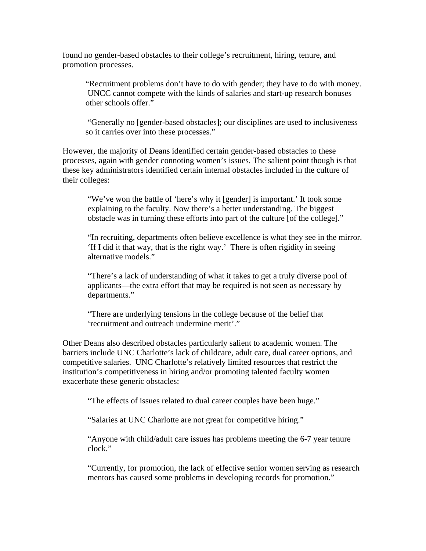found no gender-based obstacles to their college's recruitment, hiring, tenure, and promotion processes.

"Recruitment problems don't have to do with gender; they have to do with money. UNCC cannot compete with the kinds of salaries and start-up research bonuses other schools offer."

"Generally no [gender-based obstacles]; our disciplines are used to inclusiveness so it carries over into these processes."

However, the majority of Deans identified certain gender-based obstacles to these processes, again with gender connoting women's issues. The salient point though is that these key administrators identified certain internal obstacles included in the culture of their colleges:

"We've won the battle of 'here's why it [gender] is important.' It took some explaining to the faculty. Now there's a better understanding. The biggest obstacle was in turning these efforts into part of the culture [of the college]."

"In recruiting, departments often believe excellence is what they see in the mirror. 'If I did it that way, that is the right way.' There is often rigidity in seeing alternative models."

 "There's a lack of understanding of what it takes to get a truly diverse pool of applicants—the extra effort that may be required is not seen as necessary by departments."

"There are underlying tensions in the college because of the belief that 'recruitment and outreach undermine merit'."

Other Deans also described obstacles particularly salient to academic women. The barriers include UNC Charlotte's lack of childcare, adult care, dual career options, and competitive salaries. UNC Charlotte's relatively limited resources that restrict the institution's competitiveness in hiring and/or promoting talented faculty women exacerbate these generic obstacles:

"The effects of issues related to dual career couples have been huge."

"Salaries at UNC Charlotte are not great for competitive hiring."

"Anyone with child/adult care issues has problems meeting the 6-7 year tenure clock."

 "Currently, for promotion, the lack of effective senior women serving as research mentors has caused some problems in developing records for promotion."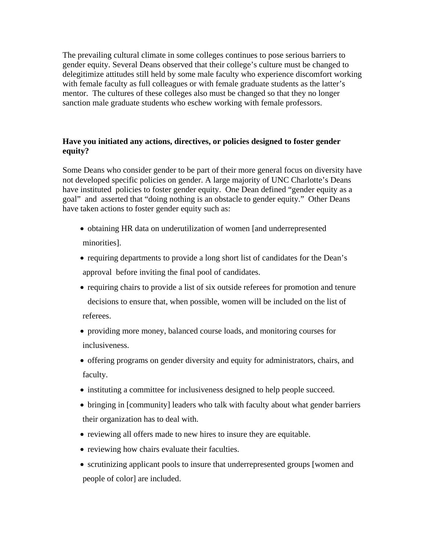The prevailing cultural climate in some colleges continues to pose serious barriers to gender equity. Several Deans observed that their college's culture must be changed to delegitimize attitudes still held by some male faculty who experience discomfort working with female faculty as full colleagues or with female graduate students as the latter's mentor. The cultures of these colleges also must be changed so that they no longer sanction male graduate students who eschew working with female professors.

### **Have you initiated any actions, directives, or policies designed to foster gender equity?**

Some Deans who consider gender to be part of their more general focus on diversity have not developed specific policies on gender. A large majority of UNC Charlotte's Deans have instituted policies to foster gender equity. One Dean defined "gender equity as a goal" and asserted that "doing nothing is an obstacle to gender equity." Other Deans have taken actions to foster gender equity such as:

- obtaining HR data on underutilization of women [and underrepresented minorities].
- requiring departments to provide a long short list of candidates for the Dean's approval before inviting the final pool of candidates.
- requiring chairs to provide a list of six outside referees for promotion and tenure decisions to ensure that, when possible, women will be included on the list of referees.
- providing more money, balanced course loads, and monitoring courses for inclusiveness.
- offering programs on gender diversity and equity for administrators, chairs, and faculty.
- instituting a committee for inclusiveness designed to help people succeed.
- bringing in [community] leaders who talk with faculty about what gender barriers their organization has to deal with.
- reviewing all offers made to new hires to insure they are equitable.
- reviewing how chairs evaluate their faculties.
- scrutinizing applicant pools to insure that underrepresented groups [women and people of color] are included.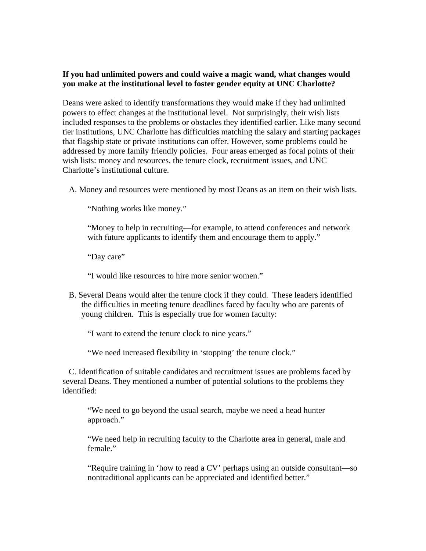### **If you had unlimited powers and could waive a magic wand, what changes would you make at the institutional level to foster gender equity at UNC Charlotte?**

Deans were asked to identify transformations they would make if they had unlimited powers to effect changes at the institutional level. Not surprisingly, their wish lists included responses to the problems or obstacles they identified earlier. Like many second tier institutions, UNC Charlotte has difficulties matching the salary and starting packages that flagship state or private institutions can offer. However, some problems could be addressed by more family friendly policies. Four areas emerged as focal points of their wish lists: money and resources, the tenure clock, recruitment issues, and UNC Charlotte's institutional culture.

A. Money and resources were mentioned by most Deans as an item on their wish lists.

"Nothing works like money."

"Money to help in recruiting—for example, to attend conferences and network with future applicants to identify them and encourage them to apply."

"Day care"

"I would like resources to hire more senior women."

 B. Several Deans would alter the tenure clock if they could. These leaders identified the difficulties in meeting tenure deadlines faced by faculty who are parents of young children. This is especially true for women faculty:

"I want to extend the tenure clock to nine years."

"We need increased flexibility in 'stopping' the tenure clock."

 C. Identification of suitable candidates and recruitment issues are problems faced by several Deans. They mentioned a number of potential solutions to the problems they identified:

"We need to go beyond the usual search, maybe we need a head hunter approach."

"We need help in recruiting faculty to the Charlotte area in general, male and female."

 "Require training in 'how to read a CV' perhaps using an outside consultant—so nontraditional applicants can be appreciated and identified better."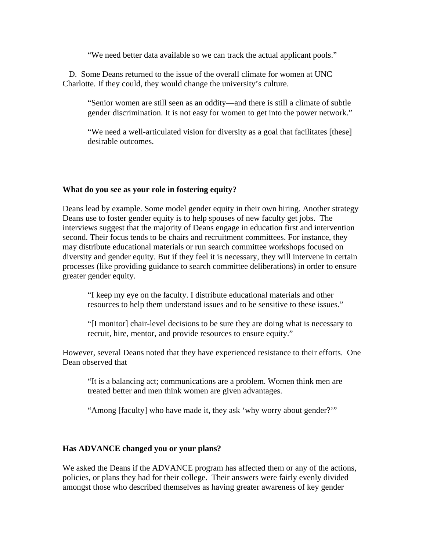"We need better data available so we can track the actual applicant pools."

 D. Some Deans returned to the issue of the overall climate for women at UNC Charlotte. If they could, they would change the university's culture.

"Senior women are still seen as an oddity—and there is still a climate of subtle gender discrimination. It is not easy for women to get into the power network."

"We need a well-articulated vision for diversity as a goal that facilitates [these] desirable outcomes.

### **What do you see as your role in fostering equity?**

Deans lead by example. Some model gender equity in their own hiring. Another strategy Deans use to foster gender equity is to help spouses of new faculty get jobs. The interviews suggest that the majority of Deans engage in education first and intervention second. Their focus tends to be chairs and recruitment committees. For instance, they may distribute educational materials or run search committee workshops focused on diversity and gender equity. But if they feel it is necessary, they will intervene in certain processes (like providing guidance to search committee deliberations) in order to ensure greater gender equity.

"I keep my eye on the faculty. I distribute educational materials and other resources to help them understand issues and to be sensitive to these issues."

"[I monitor] chair-level decisions to be sure they are doing what is necessary to recruit, hire, mentor, and provide resources to ensure equity."

However, several Deans noted that they have experienced resistance to their efforts. One Dean observed that

"It is a balancing act; communications are a problem. Women think men are treated better and men think women are given advantages.

"Among [faculty] who have made it, they ask 'why worry about gender?'"

### **Has ADVANCE changed you or your plans?**

We asked the Deans if the ADVANCE program has affected them or any of the actions, policies, or plans they had for their college. Their answers were fairly evenly divided amongst those who described themselves as having greater awareness of key gender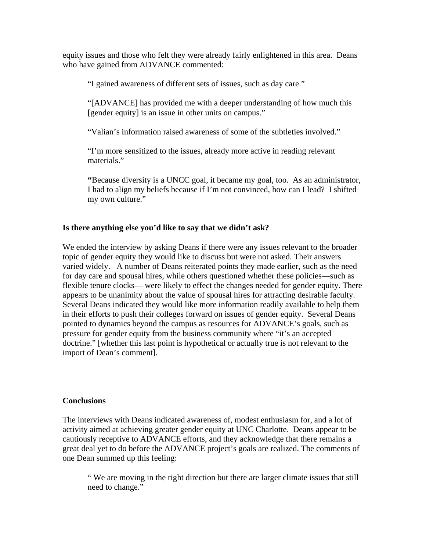equity issues and those who felt they were already fairly enlightened in this area. Deans who have gained from ADVANCE commented:

"I gained awareness of different sets of issues, such as day care."

"[ADVANCE] has provided me with a deeper understanding of how much this [gender equity] is an issue in other units on campus."

"Valian's information raised awareness of some of the subtleties involved."

"I'm more sensitized to the issues, already more active in reading relevant materials."

**"**Because diversity is a UNCC goal, it became my goal, too. As an administrator, I had to align my beliefs because if I'm not convinced, how can I lead? I shifted my own culture."

### **Is there anything else you'd like to say that we didn't ask?**

We ended the interview by asking Deans if there were any issues relevant to the broader topic of gender equity they would like to discuss but were not asked. Their answers varied widely. A number of Deans reiterated points they made earlier, such as the need for day care and spousal hires, while others questioned whether these policies—such as flexible tenure clocks— were likely to effect the changes needed for gender equity. There appears to be unanimity about the value of spousal hires for attracting desirable faculty. Several Deans indicated they would like more information readily available to help them in their efforts to push their colleges forward on issues of gender equity. Several Deans pointed to dynamics beyond the campus as resources for ADVANCE's goals, such as pressure for gender equity from the business community where "it's an accepted doctrine." [whether this last point is hypothetical or actually true is not relevant to the import of Dean's comment].

### **Conclusions**

The interviews with Deans indicated awareness of, modest enthusiasm for, and a lot of activity aimed at achieving greater gender equity at UNC Charlotte. Deans appear to be cautiously receptive to ADVANCE efforts, and they acknowledge that there remains a great deal yet to do before the ADVANCE project's goals are realized. The comments of one Dean summed up this feeling:

" We are moving in the right direction but there are larger climate issues that still need to change."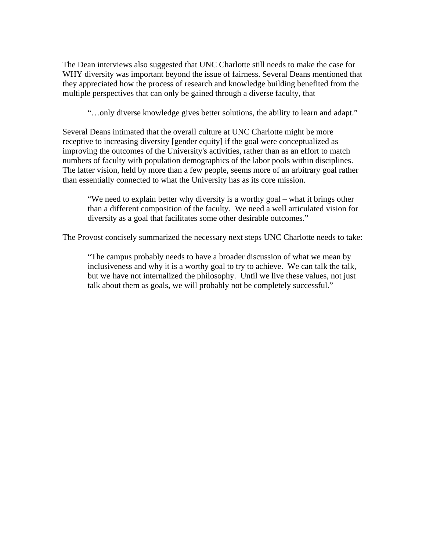The Dean interviews also suggested that UNC Charlotte still needs to make the case for WHY diversity was important beyond the issue of fairness. Several Deans mentioned that they appreciated how the process of research and knowledge building benefited from the multiple perspectives that can only be gained through a diverse faculty, that

"…only diverse knowledge gives better solutions, the ability to learn and adapt."

Several Deans intimated that the overall culture at UNC Charlotte might be more receptive to increasing diversity [gender equity] if the goal were conceptualized as improving the outcomes of the University's activities, rather than as an effort to match numbers of faculty with population demographics of the labor pools within disciplines. The latter vision, held by more than a few people, seems more of an arbitrary goal rather than essentially connected to what the University has as its core mission.

 "We need to explain better why diversity is a worthy goal – what it brings other than a different composition of the faculty. We need a well articulated vision for diversity as a goal that facilitates some other desirable outcomes."

The Provost concisely summarized the necessary next steps UNC Charlotte needs to take:

"The campus probably needs to have a broader discussion of what we mean by inclusiveness and why it is a worthy goal to try to achieve. We can talk the talk, but we have not internalized the philosophy. Until we live these values, not just talk about them as goals, we will probably not be completely successful."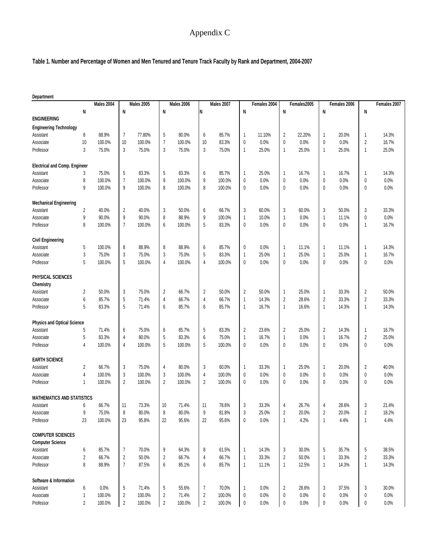# Appendix C

### **Table 1. Number and Percentage of Women and Men Tenured and Tenure Track Faculty by Rank and Department, 2004-2007**

| <b>Males 2005</b><br><b>Males 2006</b><br><b>Males 2007</b><br>Females 2007<br>Males 2004<br>Females 2004<br>Females2005<br>Females 2006<br>N<br>N<br>N<br>N<br>N<br>N<br>N<br>N<br><b>ENGINEERING</b><br><b>Engineering Technology</b><br>14.3%<br>8<br>88.9%<br>77.80%<br>80.0%<br>85.7%<br>11.10%<br>2<br>22.20%<br>20.0%<br>Assistant<br>7<br>5<br>6<br>1<br>$\mathbf{1}$<br>1<br>0.0%<br>16.7%<br>Associate<br>10<br>100.0%<br>10<br>100.0%<br>7<br>100.0%<br>10<br>83.3%<br>$\mathbf 0$<br>0.0%<br>0<br>0.0%<br>0<br>2<br>3<br>3<br>3<br>3<br>25.0%<br>75.0%<br>75.0%<br>75.0%<br>75.0%<br>25.0%<br>25.0%<br>25.0%<br>Professor<br>$\mathbf{1}$<br>1<br>$\mathbf{1}$<br>1<br><b>Electrical and Comp. Engineer</b><br>83.3%<br>5<br>83.3%<br>25.0%<br>16.7%<br>14.3%<br>Assistant<br>75.0%<br>5<br>6<br>85.7%<br>16.7%<br>3<br>1<br>1<br>$\overline{1}$<br>-1<br>$\overline{7}$<br>0.0%<br>Associate<br>8<br>100.0%<br>100.0%<br>9<br>100.0%<br>9<br>100.0%<br>0.0%<br>0.0%<br>0.0%<br>0<br>0<br>0<br>0<br>0.0%<br>9<br>100.0%<br>9<br>100.0%<br>8<br>100.0%<br>8<br>100.0%<br>$\mathbf 0$<br>0.0%<br>0<br>0.0%<br>0<br>0.0%<br>Professor<br>0<br><b>Mechanical Engineering</b><br>33.3%<br>$\overline{c}$<br>40.0%<br>$\overline{c}$<br>40.0%<br>50.0%<br>66.7%<br>3<br>60.0%<br>3<br>60.0%<br>3<br>50.0%<br>3<br>Assistant<br>3<br>6<br>9<br>9<br>0.0%<br>90.0%<br>90.0%<br>8<br>88.9%<br>9<br>100.0%<br>10.0%<br>0.0%<br>11.1%<br>Associate<br>1<br>1<br>$\overline{1}$<br>0<br>8<br>$\overline{7}$<br>6<br>5<br>0<br>16.7%<br>100.0%<br>100.0%<br>100.0%<br>83.3%<br>0<br>0.0%<br>0.0%<br>0<br>0.0%<br>Professor<br>1<br><b>Civil Engineering</b><br>100.0%<br>88.9%<br>88.9%<br>85.7%<br>0.0%<br>11.1%<br>11.1%<br>14.3%<br>Assistant<br>5<br>8<br>8<br>6<br>0<br>1<br>$\mathbf{1}$<br>1<br>83.3%<br>16.7%<br>Associate<br>3<br>75.0%<br>3<br>75.0%<br>3<br>75.0%<br>5<br>25.0%<br>25.0%<br>25.0%<br>1<br>$\mathbf{1}$<br>$\overline{\mathbf{1}}$<br>1<br>5<br>100.0%<br>0.0%<br>0.0%<br>0.0%<br>0.0%<br>100.0%<br>5<br>100.0%<br>$\overline{4}$<br>$\overline{4}$<br>100.0%<br>$\mathbf{0}$<br>0<br>0<br>0<br>Professor<br>PHYSICAL SCIENCES<br>Chemistry<br>50.0%<br>33.3%<br>50.0%<br>75.0%<br>$\overline{c}$<br>66.7%<br>$\overline{c}$<br>50.0%<br>$\overline{2}$<br>50.0%<br>25.0%<br>$\overline{c}$<br>Assistant<br>2<br>3<br>1<br>$\overline{1}$<br>33.3%<br>66.7%<br>Associate<br>6<br>85.7%<br>5<br>71.4%<br>66.7%<br>14.3%<br>2<br>28.6%<br>2<br>33.3%<br>2<br>4<br>4<br>1<br>5<br>5<br>14.3%<br>83.3%<br>71.4%<br>6<br>85.7%<br>6<br>85.7%<br>16.7%<br>16.6%<br>14.3%<br>Professor<br>$\mathbf{1}$<br>1<br>$\mathbf{1}$<br>$\overline{1}$<br><b>Physics and Optical Science</b><br>71.4%<br>75.0%<br>85.7%<br>5<br>83.3%<br>$\overline{2}$<br>23.6%<br>2<br>25.0%<br>$\overline{2}$<br>14.3%<br>16.7%<br>Assistant<br>5<br>6<br>6<br>$\mathbf{1}$<br>83.3%<br>80.0%<br>83.3%<br>$\sqrt{2}$<br>25.0%<br>Associate<br>5<br>4<br>5<br>6<br>75.0%<br>1<br>16.7%<br>1<br>0.0%<br>$\mathbf{1}$<br>16.7%<br>0.0%<br>4<br>100.0%<br>4<br>100.0%<br>5<br>100.0%<br>5<br>100.0%<br>0<br>0.0%<br>0<br>0.0%<br>0<br>0.0%<br>Professor<br>0<br><b>EARTH SCIENCE</b><br>40.0%<br>66.7%<br>75.0%<br>80.0%<br>60.0%<br>33.3%<br>25.0%<br>Assistant<br>2<br>3<br>4<br>3<br>20.0%<br>2<br>1<br>1<br>$\overline{1}$<br>0.0%<br>4<br>100.0%<br>3<br>100.0%<br>3<br>100.0%<br>100.0%<br>0.0%<br>0.0%<br>0.0%<br>Associate<br>4<br>0<br>0<br>0<br>0<br>0.0%<br>100.0%<br>2<br>100.0%<br>2<br>100.0%<br>$\overline{2}$<br>100.0%<br>0<br>0.0%<br>0<br>0.0%<br>0.0%<br>Professor<br>1<br>0<br>0<br><b>MATHEMATICS AND STATISTICS</b><br>73.3%<br>71.4%<br>78.6%<br>33.3%<br>26.7%<br>28.6%<br>21.4%<br>66.7%<br>10<br>3<br>11<br>11<br>3<br>Assistant<br>4<br>4<br>$\overline{\mathbf{c}}$<br>18.2%<br>9<br>75.0%<br>8<br>80.0%<br>8<br>80.0%<br>9<br>81.8%<br>3<br>25.0%<br>$\overline{c}$<br>20.0%<br>$\overline{c}$<br>20.0%<br>Associate<br>4.4%<br>23<br>100.0%<br>95.8%<br>95.6%<br>0.0%<br>4.2%<br>4.4%<br>Professor<br>23<br>22<br>22<br>95.6%<br>0<br>1<br>$\overline{1}$<br>-1<br><b>COMPUTER SCIENCES</b><br><b>Computer Science</b><br>Assistant<br>85.7%<br>70.0%<br>64.3%<br>61.5%<br>14.3%<br>30.0%<br>35.7%<br>38.5%<br>6<br>7<br>9<br>8<br>1<br>3<br>5<br>5<br>66.7%<br>$\sqrt{2}$<br>33.3%<br>Associate<br>2<br>50.0%<br>2<br>66.7%<br>66.7%<br>33.3%<br>2<br>50.0%<br>33.3%<br>2<br>4<br>1<br>$\mathbf{1}$<br>8<br>88.9%<br>$\overline{7}$<br>14.3%<br>87.5%<br>6<br>85.1%<br>6<br>85.7%<br>$\mathbf{1}$<br>11.1%<br>1<br>12.5%<br>14.3%<br>1<br>Professor<br>$\mathbf{1}$<br>Software & Information<br>30.0%<br>6<br>0.0%<br>5<br>71.4%<br>5<br>55.6%<br>70.0%<br>0.0%<br>2<br>28.6%<br>37.5%<br>3<br>Assistant<br>7<br>3<br>1<br>$\sqrt{2}$<br>100.0%<br>$\sqrt{2}$<br>100.0%<br>0.0%<br>$0.0\%$<br>Associate<br>1<br>100.0%<br>71.4%<br>2<br>0.0%<br>0<br>0.0%<br>0<br>0<br>0 | Department |   |        |                         |        |                         |        |                         |        |           |      |   |      |   |      |   |      |
|---------------------------------------------------------------------------------------------------------------------------------------------------------------------------------------------------------------------------------------------------------------------------------------------------------------------------------------------------------------------------------------------------------------------------------------------------------------------------------------------------------------------------------------------------------------------------------------------------------------------------------------------------------------------------------------------------------------------------------------------------------------------------------------------------------------------------------------------------------------------------------------------------------------------------------------------------------------------------------------------------------------------------------------------------------------------------------------------------------------------------------------------------------------------------------------------------------------------------------------------------------------------------------------------------------------------------------------------------------------------------------------------------------------------------------------------------------------------------------------------------------------------------------------------------------------------------------------------------------------------------------------------------------------------------------------------------------------------------------------------------------------------------------------------------------------------------------------------------------------------------------------------------------------------------------------------------------------------------------------------------------------------------------------------------------------------------------------------------------------------------------------------------------------------------------------------------------------------------------------------------------------------------------------------------------------------------------------------------------------------------------------------------------------------------------------------------------------------------------------------------------------------------------------------------------------------------------------------------------------------------------------------------------------------------------------------------------------------------------------------------------------------------------------------------------------------------------------------------------------------------------------------------------------------------------------------------------------------------------------------------------------------------------------------------------------------------------------------------------------------------------------------------------------------------------------------------------------------------------------------------------------------------------------------------------------------------------------------------------------------------------------------------------------------------------------------------------------------------------------------------------------------------------------------------------------------------------------------------------------------------------------------------------------------------------------------------------------------------------------------------------------------------------------------------------------------------------------------------------------------------------------------------------------------------------------------------------------------------------------------------------------------------------------------------------------------------------------------------------------------------------------------------------------------------------------------------------------------------------------------------------------------------------------------------------------------------------------------------------------------------------------------------------------------------------------------------------------------------------------------------------------------------------------------------------------------------------------------------------------------------------------------------------------------------------------------------------------------------------------------------------------------------------------------------------------------------------------------------------------------------------------------------|------------|---|--------|-------------------------|--------|-------------------------|--------|-------------------------|--------|-----------|------|---|------|---|------|---|------|
|                                                                                                                                                                                                                                                                                                                                                                                                                                                                                                                                                                                                                                                                                                                                                                                                                                                                                                                                                                                                                                                                                                                                                                                                                                                                                                                                                                                                                                                                                                                                                                                                                                                                                                                                                                                                                                                                                                                                                                                                                                                                                                                                                                                                                                                                                                                                                                                                                                                                                                                                                                                                                                                                                                                                                                                                                                                                                                                                                                                                                                                                                                                                                                                                                                                                                                                                                                                                                                                                                                                                                                                                                                                                                                                                                                                                                                                                                                                                                                                                                                                                                                                                                                                                                                                                                                                                                                                                                                                                                                                                                                                                                                                                                                                                                                                                                                                                                                   |            |   |        |                         |        |                         |        |                         |        |           |      |   |      |   |      |   |      |
|                                                                                                                                                                                                                                                                                                                                                                                                                                                                                                                                                                                                                                                                                                                                                                                                                                                                                                                                                                                                                                                                                                                                                                                                                                                                                                                                                                                                                                                                                                                                                                                                                                                                                                                                                                                                                                                                                                                                                                                                                                                                                                                                                                                                                                                                                                                                                                                                                                                                                                                                                                                                                                                                                                                                                                                                                                                                                                                                                                                                                                                                                                                                                                                                                                                                                                                                                                                                                                                                                                                                                                                                                                                                                                                                                                                                                                                                                                                                                                                                                                                                                                                                                                                                                                                                                                                                                                                                                                                                                                                                                                                                                                                                                                                                                                                                                                                                                                   |            |   |        |                         |        |                         |        |                         |        |           |      |   |      |   |      |   |      |
|                                                                                                                                                                                                                                                                                                                                                                                                                                                                                                                                                                                                                                                                                                                                                                                                                                                                                                                                                                                                                                                                                                                                                                                                                                                                                                                                                                                                                                                                                                                                                                                                                                                                                                                                                                                                                                                                                                                                                                                                                                                                                                                                                                                                                                                                                                                                                                                                                                                                                                                                                                                                                                                                                                                                                                                                                                                                                                                                                                                                                                                                                                                                                                                                                                                                                                                                                                                                                                                                                                                                                                                                                                                                                                                                                                                                                                                                                                                                                                                                                                                                                                                                                                                                                                                                                                                                                                                                                                                                                                                                                                                                                                                                                                                                                                                                                                                                                                   |            |   |        |                         |        |                         |        |                         |        |           |      |   |      |   |      |   |      |
|                                                                                                                                                                                                                                                                                                                                                                                                                                                                                                                                                                                                                                                                                                                                                                                                                                                                                                                                                                                                                                                                                                                                                                                                                                                                                                                                                                                                                                                                                                                                                                                                                                                                                                                                                                                                                                                                                                                                                                                                                                                                                                                                                                                                                                                                                                                                                                                                                                                                                                                                                                                                                                                                                                                                                                                                                                                                                                                                                                                                                                                                                                                                                                                                                                                                                                                                                                                                                                                                                                                                                                                                                                                                                                                                                                                                                                                                                                                                                                                                                                                                                                                                                                                                                                                                                                                                                                                                                                                                                                                                                                                                                                                                                                                                                                                                                                                                                                   |            |   |        |                         |        |                         |        |                         |        |           |      |   |      |   |      |   |      |
|                                                                                                                                                                                                                                                                                                                                                                                                                                                                                                                                                                                                                                                                                                                                                                                                                                                                                                                                                                                                                                                                                                                                                                                                                                                                                                                                                                                                                                                                                                                                                                                                                                                                                                                                                                                                                                                                                                                                                                                                                                                                                                                                                                                                                                                                                                                                                                                                                                                                                                                                                                                                                                                                                                                                                                                                                                                                                                                                                                                                                                                                                                                                                                                                                                                                                                                                                                                                                                                                                                                                                                                                                                                                                                                                                                                                                                                                                                                                                                                                                                                                                                                                                                                                                                                                                                                                                                                                                                                                                                                                                                                                                                                                                                                                                                                                                                                                                                   |            |   |        |                         |        |                         |        |                         |        |           |      |   |      |   |      |   |      |
|                                                                                                                                                                                                                                                                                                                                                                                                                                                                                                                                                                                                                                                                                                                                                                                                                                                                                                                                                                                                                                                                                                                                                                                                                                                                                                                                                                                                                                                                                                                                                                                                                                                                                                                                                                                                                                                                                                                                                                                                                                                                                                                                                                                                                                                                                                                                                                                                                                                                                                                                                                                                                                                                                                                                                                                                                                                                                                                                                                                                                                                                                                                                                                                                                                                                                                                                                                                                                                                                                                                                                                                                                                                                                                                                                                                                                                                                                                                                                                                                                                                                                                                                                                                                                                                                                                                                                                                                                                                                                                                                                                                                                                                                                                                                                                                                                                                                                                   |            |   |        |                         |        |                         |        |                         |        |           |      |   |      |   |      |   |      |
|                                                                                                                                                                                                                                                                                                                                                                                                                                                                                                                                                                                                                                                                                                                                                                                                                                                                                                                                                                                                                                                                                                                                                                                                                                                                                                                                                                                                                                                                                                                                                                                                                                                                                                                                                                                                                                                                                                                                                                                                                                                                                                                                                                                                                                                                                                                                                                                                                                                                                                                                                                                                                                                                                                                                                                                                                                                                                                                                                                                                                                                                                                                                                                                                                                                                                                                                                                                                                                                                                                                                                                                                                                                                                                                                                                                                                                                                                                                                                                                                                                                                                                                                                                                                                                                                                                                                                                                                                                                                                                                                                                                                                                                                                                                                                                                                                                                                                                   |            |   |        |                         |        |                         |        |                         |        |           |      |   |      |   |      |   |      |
|                                                                                                                                                                                                                                                                                                                                                                                                                                                                                                                                                                                                                                                                                                                                                                                                                                                                                                                                                                                                                                                                                                                                                                                                                                                                                                                                                                                                                                                                                                                                                                                                                                                                                                                                                                                                                                                                                                                                                                                                                                                                                                                                                                                                                                                                                                                                                                                                                                                                                                                                                                                                                                                                                                                                                                                                                                                                                                                                                                                                                                                                                                                                                                                                                                                                                                                                                                                                                                                                                                                                                                                                                                                                                                                                                                                                                                                                                                                                                                                                                                                                                                                                                                                                                                                                                                                                                                                                                                                                                                                                                                                                                                                                                                                                                                                                                                                                                                   |            |   |        |                         |        |                         |        |                         |        |           |      |   |      |   |      |   |      |
|                                                                                                                                                                                                                                                                                                                                                                                                                                                                                                                                                                                                                                                                                                                                                                                                                                                                                                                                                                                                                                                                                                                                                                                                                                                                                                                                                                                                                                                                                                                                                                                                                                                                                                                                                                                                                                                                                                                                                                                                                                                                                                                                                                                                                                                                                                                                                                                                                                                                                                                                                                                                                                                                                                                                                                                                                                                                                                                                                                                                                                                                                                                                                                                                                                                                                                                                                                                                                                                                                                                                                                                                                                                                                                                                                                                                                                                                                                                                                                                                                                                                                                                                                                                                                                                                                                                                                                                                                                                                                                                                                                                                                                                                                                                                                                                                                                                                                                   |            |   |        |                         |        |                         |        |                         |        |           |      |   |      |   |      |   |      |
|                                                                                                                                                                                                                                                                                                                                                                                                                                                                                                                                                                                                                                                                                                                                                                                                                                                                                                                                                                                                                                                                                                                                                                                                                                                                                                                                                                                                                                                                                                                                                                                                                                                                                                                                                                                                                                                                                                                                                                                                                                                                                                                                                                                                                                                                                                                                                                                                                                                                                                                                                                                                                                                                                                                                                                                                                                                                                                                                                                                                                                                                                                                                                                                                                                                                                                                                                                                                                                                                                                                                                                                                                                                                                                                                                                                                                                                                                                                                                                                                                                                                                                                                                                                                                                                                                                                                                                                                                                                                                                                                                                                                                                                                                                                                                                                                                                                                                                   |            |   |        |                         |        |                         |        |                         |        |           |      |   |      |   |      |   |      |
|                                                                                                                                                                                                                                                                                                                                                                                                                                                                                                                                                                                                                                                                                                                                                                                                                                                                                                                                                                                                                                                                                                                                                                                                                                                                                                                                                                                                                                                                                                                                                                                                                                                                                                                                                                                                                                                                                                                                                                                                                                                                                                                                                                                                                                                                                                                                                                                                                                                                                                                                                                                                                                                                                                                                                                                                                                                                                                                                                                                                                                                                                                                                                                                                                                                                                                                                                                                                                                                                                                                                                                                                                                                                                                                                                                                                                                                                                                                                                                                                                                                                                                                                                                                                                                                                                                                                                                                                                                                                                                                                                                                                                                                                                                                                                                                                                                                                                                   |            |   |        |                         |        |                         |        |                         |        |           |      |   |      |   |      |   |      |
|                                                                                                                                                                                                                                                                                                                                                                                                                                                                                                                                                                                                                                                                                                                                                                                                                                                                                                                                                                                                                                                                                                                                                                                                                                                                                                                                                                                                                                                                                                                                                                                                                                                                                                                                                                                                                                                                                                                                                                                                                                                                                                                                                                                                                                                                                                                                                                                                                                                                                                                                                                                                                                                                                                                                                                                                                                                                                                                                                                                                                                                                                                                                                                                                                                                                                                                                                                                                                                                                                                                                                                                                                                                                                                                                                                                                                                                                                                                                                                                                                                                                                                                                                                                                                                                                                                                                                                                                                                                                                                                                                                                                                                                                                                                                                                                                                                                                                                   |            |   |        |                         |        |                         |        |                         |        |           |      |   |      |   |      |   |      |
|                                                                                                                                                                                                                                                                                                                                                                                                                                                                                                                                                                                                                                                                                                                                                                                                                                                                                                                                                                                                                                                                                                                                                                                                                                                                                                                                                                                                                                                                                                                                                                                                                                                                                                                                                                                                                                                                                                                                                                                                                                                                                                                                                                                                                                                                                                                                                                                                                                                                                                                                                                                                                                                                                                                                                                                                                                                                                                                                                                                                                                                                                                                                                                                                                                                                                                                                                                                                                                                                                                                                                                                                                                                                                                                                                                                                                                                                                                                                                                                                                                                                                                                                                                                                                                                                                                                                                                                                                                                                                                                                                                                                                                                                                                                                                                                                                                                                                                   |            |   |        |                         |        |                         |        |                         |        |           |      |   |      |   |      |   |      |
|                                                                                                                                                                                                                                                                                                                                                                                                                                                                                                                                                                                                                                                                                                                                                                                                                                                                                                                                                                                                                                                                                                                                                                                                                                                                                                                                                                                                                                                                                                                                                                                                                                                                                                                                                                                                                                                                                                                                                                                                                                                                                                                                                                                                                                                                                                                                                                                                                                                                                                                                                                                                                                                                                                                                                                                                                                                                                                                                                                                                                                                                                                                                                                                                                                                                                                                                                                                                                                                                                                                                                                                                                                                                                                                                                                                                                                                                                                                                                                                                                                                                                                                                                                                                                                                                                                                                                                                                                                                                                                                                                                                                                                                                                                                                                                                                                                                                                                   |            |   |        |                         |        |                         |        |                         |        |           |      |   |      |   |      |   |      |
|                                                                                                                                                                                                                                                                                                                                                                                                                                                                                                                                                                                                                                                                                                                                                                                                                                                                                                                                                                                                                                                                                                                                                                                                                                                                                                                                                                                                                                                                                                                                                                                                                                                                                                                                                                                                                                                                                                                                                                                                                                                                                                                                                                                                                                                                                                                                                                                                                                                                                                                                                                                                                                                                                                                                                                                                                                                                                                                                                                                                                                                                                                                                                                                                                                                                                                                                                                                                                                                                                                                                                                                                                                                                                                                                                                                                                                                                                                                                                                                                                                                                                                                                                                                                                                                                                                                                                                                                                                                                                                                                                                                                                                                                                                                                                                                                                                                                                                   |            |   |        |                         |        |                         |        |                         |        |           |      |   |      |   |      |   |      |
|                                                                                                                                                                                                                                                                                                                                                                                                                                                                                                                                                                                                                                                                                                                                                                                                                                                                                                                                                                                                                                                                                                                                                                                                                                                                                                                                                                                                                                                                                                                                                                                                                                                                                                                                                                                                                                                                                                                                                                                                                                                                                                                                                                                                                                                                                                                                                                                                                                                                                                                                                                                                                                                                                                                                                                                                                                                                                                                                                                                                                                                                                                                                                                                                                                                                                                                                                                                                                                                                                                                                                                                                                                                                                                                                                                                                                                                                                                                                                                                                                                                                                                                                                                                                                                                                                                                                                                                                                                                                                                                                                                                                                                                                                                                                                                                                                                                                                                   |            |   |        |                         |        |                         |        |                         |        |           |      |   |      |   |      |   |      |
|                                                                                                                                                                                                                                                                                                                                                                                                                                                                                                                                                                                                                                                                                                                                                                                                                                                                                                                                                                                                                                                                                                                                                                                                                                                                                                                                                                                                                                                                                                                                                                                                                                                                                                                                                                                                                                                                                                                                                                                                                                                                                                                                                                                                                                                                                                                                                                                                                                                                                                                                                                                                                                                                                                                                                                                                                                                                                                                                                                                                                                                                                                                                                                                                                                                                                                                                                                                                                                                                                                                                                                                                                                                                                                                                                                                                                                                                                                                                                                                                                                                                                                                                                                                                                                                                                                                                                                                                                                                                                                                                                                                                                                                                                                                                                                                                                                                                                                   |            |   |        |                         |        |                         |        |                         |        |           |      |   |      |   |      |   |      |
|                                                                                                                                                                                                                                                                                                                                                                                                                                                                                                                                                                                                                                                                                                                                                                                                                                                                                                                                                                                                                                                                                                                                                                                                                                                                                                                                                                                                                                                                                                                                                                                                                                                                                                                                                                                                                                                                                                                                                                                                                                                                                                                                                                                                                                                                                                                                                                                                                                                                                                                                                                                                                                                                                                                                                                                                                                                                                                                                                                                                                                                                                                                                                                                                                                                                                                                                                                                                                                                                                                                                                                                                                                                                                                                                                                                                                                                                                                                                                                                                                                                                                                                                                                                                                                                                                                                                                                                                                                                                                                                                                                                                                                                                                                                                                                                                                                                                                                   |            |   |        |                         |        |                         |        |                         |        |           |      |   |      |   |      |   |      |
|                                                                                                                                                                                                                                                                                                                                                                                                                                                                                                                                                                                                                                                                                                                                                                                                                                                                                                                                                                                                                                                                                                                                                                                                                                                                                                                                                                                                                                                                                                                                                                                                                                                                                                                                                                                                                                                                                                                                                                                                                                                                                                                                                                                                                                                                                                                                                                                                                                                                                                                                                                                                                                                                                                                                                                                                                                                                                                                                                                                                                                                                                                                                                                                                                                                                                                                                                                                                                                                                                                                                                                                                                                                                                                                                                                                                                                                                                                                                                                                                                                                                                                                                                                                                                                                                                                                                                                                                                                                                                                                                                                                                                                                                                                                                                                                                                                                                                                   |            |   |        |                         |        |                         |        |                         |        |           |      |   |      |   |      |   |      |
|                                                                                                                                                                                                                                                                                                                                                                                                                                                                                                                                                                                                                                                                                                                                                                                                                                                                                                                                                                                                                                                                                                                                                                                                                                                                                                                                                                                                                                                                                                                                                                                                                                                                                                                                                                                                                                                                                                                                                                                                                                                                                                                                                                                                                                                                                                                                                                                                                                                                                                                                                                                                                                                                                                                                                                                                                                                                                                                                                                                                                                                                                                                                                                                                                                                                                                                                                                                                                                                                                                                                                                                                                                                                                                                                                                                                                                                                                                                                                                                                                                                                                                                                                                                                                                                                                                                                                                                                                                                                                                                                                                                                                                                                                                                                                                                                                                                                                                   |            |   |        |                         |        |                         |        |                         |        |           |      |   |      |   |      |   |      |
|                                                                                                                                                                                                                                                                                                                                                                                                                                                                                                                                                                                                                                                                                                                                                                                                                                                                                                                                                                                                                                                                                                                                                                                                                                                                                                                                                                                                                                                                                                                                                                                                                                                                                                                                                                                                                                                                                                                                                                                                                                                                                                                                                                                                                                                                                                                                                                                                                                                                                                                                                                                                                                                                                                                                                                                                                                                                                                                                                                                                                                                                                                                                                                                                                                                                                                                                                                                                                                                                                                                                                                                                                                                                                                                                                                                                                                                                                                                                                                                                                                                                                                                                                                                                                                                                                                                                                                                                                                                                                                                                                                                                                                                                                                                                                                                                                                                                                                   |            |   |        |                         |        |                         |        |                         |        |           |      |   |      |   |      |   |      |
|                                                                                                                                                                                                                                                                                                                                                                                                                                                                                                                                                                                                                                                                                                                                                                                                                                                                                                                                                                                                                                                                                                                                                                                                                                                                                                                                                                                                                                                                                                                                                                                                                                                                                                                                                                                                                                                                                                                                                                                                                                                                                                                                                                                                                                                                                                                                                                                                                                                                                                                                                                                                                                                                                                                                                                                                                                                                                                                                                                                                                                                                                                                                                                                                                                                                                                                                                                                                                                                                                                                                                                                                                                                                                                                                                                                                                                                                                                                                                                                                                                                                                                                                                                                                                                                                                                                                                                                                                                                                                                                                                                                                                                                                                                                                                                                                                                                                                                   |            |   |        |                         |        |                         |        |                         |        |           |      |   |      |   |      |   |      |
|                                                                                                                                                                                                                                                                                                                                                                                                                                                                                                                                                                                                                                                                                                                                                                                                                                                                                                                                                                                                                                                                                                                                                                                                                                                                                                                                                                                                                                                                                                                                                                                                                                                                                                                                                                                                                                                                                                                                                                                                                                                                                                                                                                                                                                                                                                                                                                                                                                                                                                                                                                                                                                                                                                                                                                                                                                                                                                                                                                                                                                                                                                                                                                                                                                                                                                                                                                                                                                                                                                                                                                                                                                                                                                                                                                                                                                                                                                                                                                                                                                                                                                                                                                                                                                                                                                                                                                                                                                                                                                                                                                                                                                                                                                                                                                                                                                                                                                   |            |   |        |                         |        |                         |        |                         |        |           |      |   |      |   |      |   |      |
|                                                                                                                                                                                                                                                                                                                                                                                                                                                                                                                                                                                                                                                                                                                                                                                                                                                                                                                                                                                                                                                                                                                                                                                                                                                                                                                                                                                                                                                                                                                                                                                                                                                                                                                                                                                                                                                                                                                                                                                                                                                                                                                                                                                                                                                                                                                                                                                                                                                                                                                                                                                                                                                                                                                                                                                                                                                                                                                                                                                                                                                                                                                                                                                                                                                                                                                                                                                                                                                                                                                                                                                                                                                                                                                                                                                                                                                                                                                                                                                                                                                                                                                                                                                                                                                                                                                                                                                                                                                                                                                                                                                                                                                                                                                                                                                                                                                                                                   |            |   |        |                         |        |                         |        |                         |        |           |      |   |      |   |      |   |      |
|                                                                                                                                                                                                                                                                                                                                                                                                                                                                                                                                                                                                                                                                                                                                                                                                                                                                                                                                                                                                                                                                                                                                                                                                                                                                                                                                                                                                                                                                                                                                                                                                                                                                                                                                                                                                                                                                                                                                                                                                                                                                                                                                                                                                                                                                                                                                                                                                                                                                                                                                                                                                                                                                                                                                                                                                                                                                                                                                                                                                                                                                                                                                                                                                                                                                                                                                                                                                                                                                                                                                                                                                                                                                                                                                                                                                                                                                                                                                                                                                                                                                                                                                                                                                                                                                                                                                                                                                                                                                                                                                                                                                                                                                                                                                                                                                                                                                                                   |            |   |        |                         |        |                         |        |                         |        |           |      |   |      |   |      |   |      |
|                                                                                                                                                                                                                                                                                                                                                                                                                                                                                                                                                                                                                                                                                                                                                                                                                                                                                                                                                                                                                                                                                                                                                                                                                                                                                                                                                                                                                                                                                                                                                                                                                                                                                                                                                                                                                                                                                                                                                                                                                                                                                                                                                                                                                                                                                                                                                                                                                                                                                                                                                                                                                                                                                                                                                                                                                                                                                                                                                                                                                                                                                                                                                                                                                                                                                                                                                                                                                                                                                                                                                                                                                                                                                                                                                                                                                                                                                                                                                                                                                                                                                                                                                                                                                                                                                                                                                                                                                                                                                                                                                                                                                                                                                                                                                                                                                                                                                                   |            |   |        |                         |        |                         |        |                         |        |           |      |   |      |   |      |   |      |
|                                                                                                                                                                                                                                                                                                                                                                                                                                                                                                                                                                                                                                                                                                                                                                                                                                                                                                                                                                                                                                                                                                                                                                                                                                                                                                                                                                                                                                                                                                                                                                                                                                                                                                                                                                                                                                                                                                                                                                                                                                                                                                                                                                                                                                                                                                                                                                                                                                                                                                                                                                                                                                                                                                                                                                                                                                                                                                                                                                                                                                                                                                                                                                                                                                                                                                                                                                                                                                                                                                                                                                                                                                                                                                                                                                                                                                                                                                                                                                                                                                                                                                                                                                                                                                                                                                                                                                                                                                                                                                                                                                                                                                                                                                                                                                                                                                                                                                   |            |   |        |                         |        |                         |        |                         |        |           |      |   |      |   |      |   |      |
|                                                                                                                                                                                                                                                                                                                                                                                                                                                                                                                                                                                                                                                                                                                                                                                                                                                                                                                                                                                                                                                                                                                                                                                                                                                                                                                                                                                                                                                                                                                                                                                                                                                                                                                                                                                                                                                                                                                                                                                                                                                                                                                                                                                                                                                                                                                                                                                                                                                                                                                                                                                                                                                                                                                                                                                                                                                                                                                                                                                                                                                                                                                                                                                                                                                                                                                                                                                                                                                                                                                                                                                                                                                                                                                                                                                                                                                                                                                                                                                                                                                                                                                                                                                                                                                                                                                                                                                                                                                                                                                                                                                                                                                                                                                                                                                                                                                                                                   |            |   |        |                         |        |                         |        |                         |        |           |      |   |      |   |      |   |      |
|                                                                                                                                                                                                                                                                                                                                                                                                                                                                                                                                                                                                                                                                                                                                                                                                                                                                                                                                                                                                                                                                                                                                                                                                                                                                                                                                                                                                                                                                                                                                                                                                                                                                                                                                                                                                                                                                                                                                                                                                                                                                                                                                                                                                                                                                                                                                                                                                                                                                                                                                                                                                                                                                                                                                                                                                                                                                                                                                                                                                                                                                                                                                                                                                                                                                                                                                                                                                                                                                                                                                                                                                                                                                                                                                                                                                                                                                                                                                                                                                                                                                                                                                                                                                                                                                                                                                                                                                                                                                                                                                                                                                                                                                                                                                                                                                                                                                                                   |            |   |        |                         |        |                         |        |                         |        |           |      |   |      |   |      |   |      |
|                                                                                                                                                                                                                                                                                                                                                                                                                                                                                                                                                                                                                                                                                                                                                                                                                                                                                                                                                                                                                                                                                                                                                                                                                                                                                                                                                                                                                                                                                                                                                                                                                                                                                                                                                                                                                                                                                                                                                                                                                                                                                                                                                                                                                                                                                                                                                                                                                                                                                                                                                                                                                                                                                                                                                                                                                                                                                                                                                                                                                                                                                                                                                                                                                                                                                                                                                                                                                                                                                                                                                                                                                                                                                                                                                                                                                                                                                                                                                                                                                                                                                                                                                                                                                                                                                                                                                                                                                                                                                                                                                                                                                                                                                                                                                                                                                                                                                                   |            |   |        |                         |        |                         |        |                         |        |           |      |   |      |   |      |   |      |
|                                                                                                                                                                                                                                                                                                                                                                                                                                                                                                                                                                                                                                                                                                                                                                                                                                                                                                                                                                                                                                                                                                                                                                                                                                                                                                                                                                                                                                                                                                                                                                                                                                                                                                                                                                                                                                                                                                                                                                                                                                                                                                                                                                                                                                                                                                                                                                                                                                                                                                                                                                                                                                                                                                                                                                                                                                                                                                                                                                                                                                                                                                                                                                                                                                                                                                                                                                                                                                                                                                                                                                                                                                                                                                                                                                                                                                                                                                                                                                                                                                                                                                                                                                                                                                                                                                                                                                                                                                                                                                                                                                                                                                                                                                                                                                                                                                                                                                   |            |   |        |                         |        |                         |        |                         |        |           |      |   |      |   |      |   |      |
|                                                                                                                                                                                                                                                                                                                                                                                                                                                                                                                                                                                                                                                                                                                                                                                                                                                                                                                                                                                                                                                                                                                                                                                                                                                                                                                                                                                                                                                                                                                                                                                                                                                                                                                                                                                                                                                                                                                                                                                                                                                                                                                                                                                                                                                                                                                                                                                                                                                                                                                                                                                                                                                                                                                                                                                                                                                                                                                                                                                                                                                                                                                                                                                                                                                                                                                                                                                                                                                                                                                                                                                                                                                                                                                                                                                                                                                                                                                                                                                                                                                                                                                                                                                                                                                                                                                                                                                                                                                                                                                                                                                                                                                                                                                                                                                                                                                                                                   |            |   |        |                         |        |                         |        |                         |        |           |      |   |      |   |      |   |      |
|                                                                                                                                                                                                                                                                                                                                                                                                                                                                                                                                                                                                                                                                                                                                                                                                                                                                                                                                                                                                                                                                                                                                                                                                                                                                                                                                                                                                                                                                                                                                                                                                                                                                                                                                                                                                                                                                                                                                                                                                                                                                                                                                                                                                                                                                                                                                                                                                                                                                                                                                                                                                                                                                                                                                                                                                                                                                                                                                                                                                                                                                                                                                                                                                                                                                                                                                                                                                                                                                                                                                                                                                                                                                                                                                                                                                                                                                                                                                                                                                                                                                                                                                                                                                                                                                                                                                                                                                                                                                                                                                                                                                                                                                                                                                                                                                                                                                                                   |            |   |        |                         |        |                         |        |                         |        |           |      |   |      |   |      |   |      |
|                                                                                                                                                                                                                                                                                                                                                                                                                                                                                                                                                                                                                                                                                                                                                                                                                                                                                                                                                                                                                                                                                                                                                                                                                                                                                                                                                                                                                                                                                                                                                                                                                                                                                                                                                                                                                                                                                                                                                                                                                                                                                                                                                                                                                                                                                                                                                                                                                                                                                                                                                                                                                                                                                                                                                                                                                                                                                                                                                                                                                                                                                                                                                                                                                                                                                                                                                                                                                                                                                                                                                                                                                                                                                                                                                                                                                                                                                                                                                                                                                                                                                                                                                                                                                                                                                                                                                                                                                                                                                                                                                                                                                                                                                                                                                                                                                                                                                                   |            |   |        |                         |        |                         |        |                         |        |           |      |   |      |   |      |   |      |
|                                                                                                                                                                                                                                                                                                                                                                                                                                                                                                                                                                                                                                                                                                                                                                                                                                                                                                                                                                                                                                                                                                                                                                                                                                                                                                                                                                                                                                                                                                                                                                                                                                                                                                                                                                                                                                                                                                                                                                                                                                                                                                                                                                                                                                                                                                                                                                                                                                                                                                                                                                                                                                                                                                                                                                                                                                                                                                                                                                                                                                                                                                                                                                                                                                                                                                                                                                                                                                                                                                                                                                                                                                                                                                                                                                                                                                                                                                                                                                                                                                                                                                                                                                                                                                                                                                                                                                                                                                                                                                                                                                                                                                                                                                                                                                                                                                                                                                   |            |   |        |                         |        |                         |        |                         |        |           |      |   |      |   |      |   |      |
|                                                                                                                                                                                                                                                                                                                                                                                                                                                                                                                                                                                                                                                                                                                                                                                                                                                                                                                                                                                                                                                                                                                                                                                                                                                                                                                                                                                                                                                                                                                                                                                                                                                                                                                                                                                                                                                                                                                                                                                                                                                                                                                                                                                                                                                                                                                                                                                                                                                                                                                                                                                                                                                                                                                                                                                                                                                                                                                                                                                                                                                                                                                                                                                                                                                                                                                                                                                                                                                                                                                                                                                                                                                                                                                                                                                                                                                                                                                                                                                                                                                                                                                                                                                                                                                                                                                                                                                                                                                                                                                                                                                                                                                                                                                                                                                                                                                                                                   |            |   |        |                         |        |                         |        |                         |        |           |      |   |      |   |      |   |      |
|                                                                                                                                                                                                                                                                                                                                                                                                                                                                                                                                                                                                                                                                                                                                                                                                                                                                                                                                                                                                                                                                                                                                                                                                                                                                                                                                                                                                                                                                                                                                                                                                                                                                                                                                                                                                                                                                                                                                                                                                                                                                                                                                                                                                                                                                                                                                                                                                                                                                                                                                                                                                                                                                                                                                                                                                                                                                                                                                                                                                                                                                                                                                                                                                                                                                                                                                                                                                                                                                                                                                                                                                                                                                                                                                                                                                                                                                                                                                                                                                                                                                                                                                                                                                                                                                                                                                                                                                                                                                                                                                                                                                                                                                                                                                                                                                                                                                                                   |            |   |        |                         |        |                         |        |                         |        |           |      |   |      |   |      |   |      |
|                                                                                                                                                                                                                                                                                                                                                                                                                                                                                                                                                                                                                                                                                                                                                                                                                                                                                                                                                                                                                                                                                                                                                                                                                                                                                                                                                                                                                                                                                                                                                                                                                                                                                                                                                                                                                                                                                                                                                                                                                                                                                                                                                                                                                                                                                                                                                                                                                                                                                                                                                                                                                                                                                                                                                                                                                                                                                                                                                                                                                                                                                                                                                                                                                                                                                                                                                                                                                                                                                                                                                                                                                                                                                                                                                                                                                                                                                                                                                                                                                                                                                                                                                                                                                                                                                                                                                                                                                                                                                                                                                                                                                                                                                                                                                                                                                                                                                                   |            |   |        |                         |        |                         |        |                         |        |           |      |   |      |   |      |   |      |
|                                                                                                                                                                                                                                                                                                                                                                                                                                                                                                                                                                                                                                                                                                                                                                                                                                                                                                                                                                                                                                                                                                                                                                                                                                                                                                                                                                                                                                                                                                                                                                                                                                                                                                                                                                                                                                                                                                                                                                                                                                                                                                                                                                                                                                                                                                                                                                                                                                                                                                                                                                                                                                                                                                                                                                                                                                                                                                                                                                                                                                                                                                                                                                                                                                                                                                                                                                                                                                                                                                                                                                                                                                                                                                                                                                                                                                                                                                                                                                                                                                                                                                                                                                                                                                                                                                                                                                                                                                                                                                                                                                                                                                                                                                                                                                                                                                                                                                   |            |   |        |                         |        |                         |        |                         |        |           |      |   |      |   |      |   |      |
|                                                                                                                                                                                                                                                                                                                                                                                                                                                                                                                                                                                                                                                                                                                                                                                                                                                                                                                                                                                                                                                                                                                                                                                                                                                                                                                                                                                                                                                                                                                                                                                                                                                                                                                                                                                                                                                                                                                                                                                                                                                                                                                                                                                                                                                                                                                                                                                                                                                                                                                                                                                                                                                                                                                                                                                                                                                                                                                                                                                                                                                                                                                                                                                                                                                                                                                                                                                                                                                                                                                                                                                                                                                                                                                                                                                                                                                                                                                                                                                                                                                                                                                                                                                                                                                                                                                                                                                                                                                                                                                                                                                                                                                                                                                                                                                                                                                                                                   |            |   |        |                         |        |                         |        |                         |        |           |      |   |      |   |      |   |      |
|                                                                                                                                                                                                                                                                                                                                                                                                                                                                                                                                                                                                                                                                                                                                                                                                                                                                                                                                                                                                                                                                                                                                                                                                                                                                                                                                                                                                                                                                                                                                                                                                                                                                                                                                                                                                                                                                                                                                                                                                                                                                                                                                                                                                                                                                                                                                                                                                                                                                                                                                                                                                                                                                                                                                                                                                                                                                                                                                                                                                                                                                                                                                                                                                                                                                                                                                                                                                                                                                                                                                                                                                                                                                                                                                                                                                                                                                                                                                                                                                                                                                                                                                                                                                                                                                                                                                                                                                                                                                                                                                                                                                                                                                                                                                                                                                                                                                                                   |            |   |        |                         |        |                         |        |                         |        |           |      |   |      |   |      |   |      |
|                                                                                                                                                                                                                                                                                                                                                                                                                                                                                                                                                                                                                                                                                                                                                                                                                                                                                                                                                                                                                                                                                                                                                                                                                                                                                                                                                                                                                                                                                                                                                                                                                                                                                                                                                                                                                                                                                                                                                                                                                                                                                                                                                                                                                                                                                                                                                                                                                                                                                                                                                                                                                                                                                                                                                                                                                                                                                                                                                                                                                                                                                                                                                                                                                                                                                                                                                                                                                                                                                                                                                                                                                                                                                                                                                                                                                                                                                                                                                                                                                                                                                                                                                                                                                                                                                                                                                                                                                                                                                                                                                                                                                                                                                                                                                                                                                                                                                                   |            |   |        |                         |        |                         |        |                         |        |           |      |   |      |   |      |   |      |
|                                                                                                                                                                                                                                                                                                                                                                                                                                                                                                                                                                                                                                                                                                                                                                                                                                                                                                                                                                                                                                                                                                                                                                                                                                                                                                                                                                                                                                                                                                                                                                                                                                                                                                                                                                                                                                                                                                                                                                                                                                                                                                                                                                                                                                                                                                                                                                                                                                                                                                                                                                                                                                                                                                                                                                                                                                                                                                                                                                                                                                                                                                                                                                                                                                                                                                                                                                                                                                                                                                                                                                                                                                                                                                                                                                                                                                                                                                                                                                                                                                                                                                                                                                                                                                                                                                                                                                                                                                                                                                                                                                                                                                                                                                                                                                                                                                                                                                   |            |   |        |                         |        |                         |        |                         |        |           |      |   |      |   |      |   |      |
|                                                                                                                                                                                                                                                                                                                                                                                                                                                                                                                                                                                                                                                                                                                                                                                                                                                                                                                                                                                                                                                                                                                                                                                                                                                                                                                                                                                                                                                                                                                                                                                                                                                                                                                                                                                                                                                                                                                                                                                                                                                                                                                                                                                                                                                                                                                                                                                                                                                                                                                                                                                                                                                                                                                                                                                                                                                                                                                                                                                                                                                                                                                                                                                                                                                                                                                                                                                                                                                                                                                                                                                                                                                                                                                                                                                                                                                                                                                                                                                                                                                                                                                                                                                                                                                                                                                                                                                                                                                                                                                                                                                                                                                                                                                                                                                                                                                                                                   |            |   |        |                         |        |                         |        |                         |        |           |      |   |      |   |      |   |      |
|                                                                                                                                                                                                                                                                                                                                                                                                                                                                                                                                                                                                                                                                                                                                                                                                                                                                                                                                                                                                                                                                                                                                                                                                                                                                                                                                                                                                                                                                                                                                                                                                                                                                                                                                                                                                                                                                                                                                                                                                                                                                                                                                                                                                                                                                                                                                                                                                                                                                                                                                                                                                                                                                                                                                                                                                                                                                                                                                                                                                                                                                                                                                                                                                                                                                                                                                                                                                                                                                                                                                                                                                                                                                                                                                                                                                                                                                                                                                                                                                                                                                                                                                                                                                                                                                                                                                                                                                                                                                                                                                                                                                                                                                                                                                                                                                                                                                                                   |            |   |        |                         |        |                         |        |                         |        |           |      |   |      |   |      |   |      |
|                                                                                                                                                                                                                                                                                                                                                                                                                                                                                                                                                                                                                                                                                                                                                                                                                                                                                                                                                                                                                                                                                                                                                                                                                                                                                                                                                                                                                                                                                                                                                                                                                                                                                                                                                                                                                                                                                                                                                                                                                                                                                                                                                                                                                                                                                                                                                                                                                                                                                                                                                                                                                                                                                                                                                                                                                                                                                                                                                                                                                                                                                                                                                                                                                                                                                                                                                                                                                                                                                                                                                                                                                                                                                                                                                                                                                                                                                                                                                                                                                                                                                                                                                                                                                                                                                                                                                                                                                                                                                                                                                                                                                                                                                                                                                                                                                                                                                                   |            |   |        |                         |        |                         |        |                         |        |           |      |   |      |   |      |   |      |
|                                                                                                                                                                                                                                                                                                                                                                                                                                                                                                                                                                                                                                                                                                                                                                                                                                                                                                                                                                                                                                                                                                                                                                                                                                                                                                                                                                                                                                                                                                                                                                                                                                                                                                                                                                                                                                                                                                                                                                                                                                                                                                                                                                                                                                                                                                                                                                                                                                                                                                                                                                                                                                                                                                                                                                                                                                                                                                                                                                                                                                                                                                                                                                                                                                                                                                                                                                                                                                                                                                                                                                                                                                                                                                                                                                                                                                                                                                                                                                                                                                                                                                                                                                                                                                                                                                                                                                                                                                                                                                                                                                                                                                                                                                                                                                                                                                                                                                   |            |   |        |                         |        |                         |        |                         |        |           |      |   |      |   |      |   |      |
|                                                                                                                                                                                                                                                                                                                                                                                                                                                                                                                                                                                                                                                                                                                                                                                                                                                                                                                                                                                                                                                                                                                                                                                                                                                                                                                                                                                                                                                                                                                                                                                                                                                                                                                                                                                                                                                                                                                                                                                                                                                                                                                                                                                                                                                                                                                                                                                                                                                                                                                                                                                                                                                                                                                                                                                                                                                                                                                                                                                                                                                                                                                                                                                                                                                                                                                                                                                                                                                                                                                                                                                                                                                                                                                                                                                                                                                                                                                                                                                                                                                                                                                                                                                                                                                                                                                                                                                                                                                                                                                                                                                                                                                                                                                                                                                                                                                                                                   |            |   |        |                         |        |                         |        |                         |        |           |      |   |      |   |      |   |      |
|                                                                                                                                                                                                                                                                                                                                                                                                                                                                                                                                                                                                                                                                                                                                                                                                                                                                                                                                                                                                                                                                                                                                                                                                                                                                                                                                                                                                                                                                                                                                                                                                                                                                                                                                                                                                                                                                                                                                                                                                                                                                                                                                                                                                                                                                                                                                                                                                                                                                                                                                                                                                                                                                                                                                                                                                                                                                                                                                                                                                                                                                                                                                                                                                                                                                                                                                                                                                                                                                                                                                                                                                                                                                                                                                                                                                                                                                                                                                                                                                                                                                                                                                                                                                                                                                                                                                                                                                                                                                                                                                                                                                                                                                                                                                                                                                                                                                                                   |            |   |        |                         |        |                         |        |                         |        |           |      |   |      |   |      |   |      |
|                                                                                                                                                                                                                                                                                                                                                                                                                                                                                                                                                                                                                                                                                                                                                                                                                                                                                                                                                                                                                                                                                                                                                                                                                                                                                                                                                                                                                                                                                                                                                                                                                                                                                                                                                                                                                                                                                                                                                                                                                                                                                                                                                                                                                                                                                                                                                                                                                                                                                                                                                                                                                                                                                                                                                                                                                                                                                                                                                                                                                                                                                                                                                                                                                                                                                                                                                                                                                                                                                                                                                                                                                                                                                                                                                                                                                                                                                                                                                                                                                                                                                                                                                                                                                                                                                                                                                                                                                                                                                                                                                                                                                                                                                                                                                                                                                                                                                                   |            |   |        |                         |        |                         |        |                         |        |           |      |   |      |   |      |   |      |
|                                                                                                                                                                                                                                                                                                                                                                                                                                                                                                                                                                                                                                                                                                                                                                                                                                                                                                                                                                                                                                                                                                                                                                                                                                                                                                                                                                                                                                                                                                                                                                                                                                                                                                                                                                                                                                                                                                                                                                                                                                                                                                                                                                                                                                                                                                                                                                                                                                                                                                                                                                                                                                                                                                                                                                                                                                                                                                                                                                                                                                                                                                                                                                                                                                                                                                                                                                                                                                                                                                                                                                                                                                                                                                                                                                                                                                                                                                                                                                                                                                                                                                                                                                                                                                                                                                                                                                                                                                                                                                                                                                                                                                                                                                                                                                                                                                                                                                   |            |   |        |                         |        |                         |        |                         |        |           |      |   |      |   |      |   |      |
|                                                                                                                                                                                                                                                                                                                                                                                                                                                                                                                                                                                                                                                                                                                                                                                                                                                                                                                                                                                                                                                                                                                                                                                                                                                                                                                                                                                                                                                                                                                                                                                                                                                                                                                                                                                                                                                                                                                                                                                                                                                                                                                                                                                                                                                                                                                                                                                                                                                                                                                                                                                                                                                                                                                                                                                                                                                                                                                                                                                                                                                                                                                                                                                                                                                                                                                                                                                                                                                                                                                                                                                                                                                                                                                                                                                                                                                                                                                                                                                                                                                                                                                                                                                                                                                                                                                                                                                                                                                                                                                                                                                                                                                                                                                                                                                                                                                                                                   |            |   |        |                         |        |                         |        |                         |        |           |      |   |      |   |      |   |      |
|                                                                                                                                                                                                                                                                                                                                                                                                                                                                                                                                                                                                                                                                                                                                                                                                                                                                                                                                                                                                                                                                                                                                                                                                                                                                                                                                                                                                                                                                                                                                                                                                                                                                                                                                                                                                                                                                                                                                                                                                                                                                                                                                                                                                                                                                                                                                                                                                                                                                                                                                                                                                                                                                                                                                                                                                                                                                                                                                                                                                                                                                                                                                                                                                                                                                                                                                                                                                                                                                                                                                                                                                                                                                                                                                                                                                                                                                                                                                                                                                                                                                                                                                                                                                                                                                                                                                                                                                                                                                                                                                                                                                                                                                                                                                                                                                                                                                                                   |            |   |        |                         |        |                         |        |                         |        |           |      |   |      |   |      |   |      |
|                                                                                                                                                                                                                                                                                                                                                                                                                                                                                                                                                                                                                                                                                                                                                                                                                                                                                                                                                                                                                                                                                                                                                                                                                                                                                                                                                                                                                                                                                                                                                                                                                                                                                                                                                                                                                                                                                                                                                                                                                                                                                                                                                                                                                                                                                                                                                                                                                                                                                                                                                                                                                                                                                                                                                                                                                                                                                                                                                                                                                                                                                                                                                                                                                                                                                                                                                                                                                                                                                                                                                                                                                                                                                                                                                                                                                                                                                                                                                                                                                                                                                                                                                                                                                                                                                                                                                                                                                                                                                                                                                                                                                                                                                                                                                                                                                                                                                                   |            |   |        |                         |        |                         |        |                         |        |           |      |   |      |   |      |   |      |
|                                                                                                                                                                                                                                                                                                                                                                                                                                                                                                                                                                                                                                                                                                                                                                                                                                                                                                                                                                                                                                                                                                                                                                                                                                                                                                                                                                                                                                                                                                                                                                                                                                                                                                                                                                                                                                                                                                                                                                                                                                                                                                                                                                                                                                                                                                                                                                                                                                                                                                                                                                                                                                                                                                                                                                                                                                                                                                                                                                                                                                                                                                                                                                                                                                                                                                                                                                                                                                                                                                                                                                                                                                                                                                                                                                                                                                                                                                                                                                                                                                                                                                                                                                                                                                                                                                                                                                                                                                                                                                                                                                                                                                                                                                                                                                                                                                                                                                   | Professor  | 2 | 100.0% | $\overline{\mathbf{c}}$ | 100.0% | $\overline{\mathbf{c}}$ | 100.0% | $\overline{\mathbf{c}}$ | 100.0% | $\pmb{0}$ | 0.0% | 0 | 0.0% | 0 | 0.0% | 0 | 0.0% |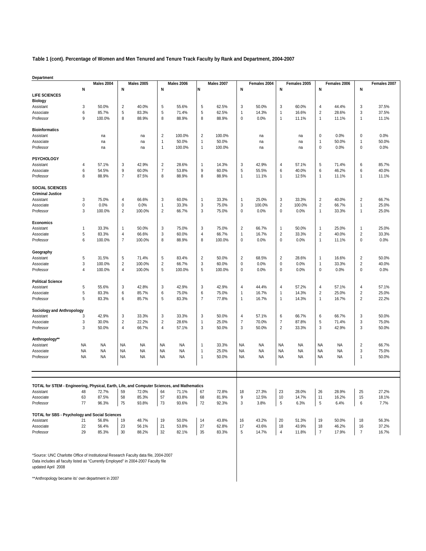**Table 1 (cont). Percentage of Women and Men Tenured and Tenure Track Faculty by Rank and Department, 2004-2007**

| <b>Department</b>                                                                           |                |                   |                |                   |                         |                   |                           |            |                           |              |                         |              |                |              |                         |              |
|---------------------------------------------------------------------------------------------|----------------|-------------------|----------------|-------------------|-------------------------|-------------------|---------------------------|------------|---------------------------|--------------|-------------------------|--------------|----------------|--------------|-------------------------|--------------|
|                                                                                             |                | <b>Males 2004</b> |                | <b>Males 2005</b> |                         | <b>Males 2006</b> |                           | Males 2007 |                           | Females 2004 |                         | Females 2005 |                | Females 2006 |                         | Females 2007 |
|                                                                                             | N              |                   | N              |                   | N                       |                   | N                         |            | N                         |              | N                       |              | N              |              | N                       |              |
| <b>LIFE SCIENCES</b>                                                                        |                |                   |                |                   |                         |                   |                           |            |                           |              |                         |              |                |              |                         |              |
| <b>Biology</b>                                                                              |                |                   |                |                   |                         |                   |                           |            |                           |              |                         |              |                |              |                         |              |
| Assistant                                                                                   | 3              | 50.0%             | $\sqrt{2}$     | 40.0%             | 5                       | 55.6%             | 5                         | 62.5%      | $\ensuremath{\mathsf{3}}$ | 50.0%        | $\sqrt{3}$              | 60.0%        | $\overline{4}$ | 44.4%        | $\sqrt{3}$              | 37.5%        |
| Associate                                                                                   | 6              | 85.7%             | 5              | 83.3%             | 5                       | 71.4%             | 5                         | 62.5%      | $\mathbf{1}$              | 14.3%        | $\mathbf{1}$            | 16.6%        | $\sqrt{2}$     | 28.6%        | 3                       | 37.5%        |
| Professor                                                                                   | 9              | 100.0%            | 8              | 88.9%             | 8                       | 88.9%             | 8                         | 88.9%      | $\pmb{0}$                 | 0.0%         | $\mathbf{1}$            | 11.1%        | $\mathbf{1}$   | 11.1%        | 1                       | 11.1%        |
|                                                                                             |                |                   |                |                   |                         |                   |                           |            |                           |              |                         |              |                |              |                         |              |
|                                                                                             |                |                   |                |                   |                         |                   |                           |            |                           |              |                         |              |                |              |                         |              |
| <b>Bioinformatics</b>                                                                       |                |                   |                |                   |                         |                   |                           |            |                           |              |                         |              |                |              |                         |              |
| Assistant                                                                                   |                | na                |                | na                | $\sqrt{2}$              | 100.0%            | $\sqrt{2}$                | 100.0%     |                           | na           |                         | na           | $\pmb{0}$      | 0.0%         | $\mathbf 0$             | 0.0%         |
| Associate                                                                                   |                | na                |                | na                | $\mathbf{1}$            | 50.0%             | $\mathbf{1}$              | 50.0%      |                           | na           |                         | na           | $\mathbf{1}$   | 50.0%        | 1                       | 50.0%        |
| Professor                                                                                   |                | na                |                | na                | $\mathbf{1}$            | 100.0%            | $\mathbf{1}$              | 100.0%     |                           | na           |                         | na           | $\mathbf 0$    | 0.0%         | $\mathbf 0$             | 0.0%         |
|                                                                                             |                |                   |                |                   |                         |                   |                           |            |                           |              |                         |              |                |              |                         |              |
| PSYCHOLOGY                                                                                  |                |                   |                |                   |                         |                   |                           |            |                           |              |                         |              |                |              |                         |              |
| Assistant                                                                                   | 4              | 57.1%             | 3              | 42.9%             | $\overline{c}$          | 28.6%             | $\mathbf{1}$              | 14.3%      | 3                         | 42.9%        | $\overline{\mathbf{4}}$ | 57.1%        | 5              | 71.4%        | 6                       | 85.7%        |
| Associate                                                                                   | 6              | 54.5%             | 9              | 60.0%             | $\boldsymbol{7}$        | 53.8%             | 9                         | 60.0%      | $\sqrt{5}$                | 55.5%        | 6                       | 40.0%        | 6              | 46.2%        | 6                       | 40.0%        |
| Professor                                                                                   | 8              | 88.9%             | $\overline{7}$ | 87.5%             | 8                       | 88.9%             | 8                         | 88.9%      | $\mathbf{1}$              | 11.1%        | $\mathbf{1}$            | 12.5%        | $\mathbf{1}$   | 11.1%        | 1                       | 11.1%        |
|                                                                                             |                |                   |                |                   |                         |                   |                           |            |                           |              |                         |              |                |              |                         |              |
| <b>SOCIAL SCIENCES</b>                                                                      |                |                   |                |                   |                         |                   |                           |            |                           |              |                         |              |                |              |                         |              |
|                                                                                             |                |                   |                |                   |                         |                   |                           |            |                           |              |                         |              |                |              |                         |              |
| <b>Criminal Justice</b>                                                                     |                |                   |                |                   |                         |                   |                           |            |                           |              |                         |              |                |              |                         |              |
| Assistant                                                                                   | 3              | 75.0%             | 4              | 66.6%             | 3                       | 60.0%             | $\mathbf{1}$              | 33.3%      | 1                         | 25.0%        | $\sqrt{3}$              | 33.3%        | $\sqrt{2}$     | 40.0%        | $\sqrt{2}$              | 66.7%        |
| Associate                                                                                   | $\pmb{0}$      | 0.0%              | $\pmb{0}$      | 0.0%              | $\mathbf{1}$            | 33.3%             | $\ensuremath{\mathsf{3}}$ | 75.0%      | $\ensuremath{\mathsf{3}}$ | 100.0%       | $\overline{\mathbf{c}}$ | 100.0%       | $\sqrt{2}$     | 66.7%        | $\overline{1}$          | 25.0%        |
| Professor                                                                                   | 3              | 100.0%            | $\overline{2}$ | 100.0%            | $\overline{\mathbf{c}}$ | 66.7%             | 3                         | 75.0%      | $\pmb{0}$                 | 0.0%         | 0                       | 0.0%         | $\mathbf{1}$   | 33.3%        | 1                       | 25.0%        |
|                                                                                             |                |                   |                |                   |                         |                   |                           |            |                           |              |                         |              |                |              |                         |              |
| Economics                                                                                   |                |                   |                |                   |                         |                   |                           |            |                           |              |                         |              |                |              |                         |              |
| Assistant                                                                                   | $\mathbf{1}$   | 33.3%             | 1              | 50.0%             | 3                       | 75.0%             | 3                         | 75.0%      | $\sqrt{2}$                | 66.7%        | $\mathbf{1}$            | 50.0%        | 1              | 25.0%        | $\overline{1}$          | 25.0%        |
| Associate                                                                                   | 5              | 83.3%             | 4              | 66.6%             | 3                       | 60.0%             | $\overline{4}$            | 66.7%      | 1                         | 16.7%        | $\overline{\mathbf{c}}$ | 33.3%        | $\sqrt{2}$     | 40.0%        | $\sqrt{2}$              | 33.3%        |
| Professor                                                                                   | 6              | 100.0%            | $\overline{7}$ | 100.0%            | 8                       | 88.9%             | 8                         | 100.0%     | $\pmb{0}$                 | 0.0%         | 0                       | 0.0%         | 1              | 11.1%        | $\mathbf 0$             | 0.0%         |
|                                                                                             |                |                   |                |                   |                         |                   |                           |            |                           |              |                         |              |                |              |                         |              |
|                                                                                             |                |                   |                |                   |                         |                   |                           |            |                           |              |                         |              |                |              |                         |              |
| Geography                                                                                   |                |                   |                |                   |                         |                   |                           |            |                           |              |                         |              |                |              |                         |              |
| Assistant                                                                                   | 5              | 31.5%             | 5              | 71.4%             | 5                       | 83.4%             | $\overline{2}$            | 50.0%      | $\overline{2}$            | 68.5%        | $\overline{2}$          | 28.6%        | $\mathbf{1}$   | 16.6%        | $\overline{2}$          | 50.0%        |
| Associate                                                                                   | 3              | 100.0%            | $\sqrt{2}$     | 100.0%            | $\overline{\mathbf{c}}$ | 66.7%             | $\ensuremath{\mathsf{3}}$ | 60.0%      | $\pmb{0}$                 | 0.0%         | 0                       | 0.0%         | 1              | 33.3%        | $\overline{\mathbf{c}}$ | 40.0%        |
| Professor                                                                                   | $\overline{4}$ | 100.0%            | 4              | 100.0%            | 5                       | 100.0%            | 5                         | 100.0%     | 0                         | 0.0%         | 0                       | 0.0%         | $\pmb{0}$      | 0.0%         | 0                       | 0.0%         |
|                                                                                             |                |                   |                |                   |                         |                   |                           |            |                           |              |                         |              |                |              |                         |              |
| <b>Political Science</b>                                                                    |                |                   |                |                   |                         |                   |                           |            |                           |              |                         |              |                |              |                         |              |
| Assistant                                                                                   | $\overline{5}$ | 55.6%             | 3              | 42.8%             | 3                       | 42.9%             | 3                         | 42.9%      | 4                         | 44.4%        | 4                       | 57.2%        | $\overline{4}$ | 57.1%        | 4                       | 57.1%        |
| Associate                                                                                   | $\overline{5}$ | 83.3%             | 6              | 85.7%             | 6                       | 75.0%             | 6                         | 75.0%      | $\mathbf{1}$              | 16.7%        | $\mathbf{1}$            | 14.3%        | $\sqrt{2}$     | 25.0%        | $\overline{\mathbf{c}}$ | 25.0%        |
| Professor                                                                                   | 5              | 83.3%             | 6              | 85.7%             | 5                       | 83.3%             | $\overline{7}$            | 77.8%      | $\mathbf{1}$              | 16.7%        | $\mathbf{1}$            | 14.3%        | $\mathbf{1}$   | 16.7%        | 2                       | 22.2%        |
|                                                                                             |                |                   |                |                   |                         |                   |                           |            |                           |              |                         |              |                |              |                         |              |
|                                                                                             |                |                   |                |                   |                         |                   |                           |            |                           |              |                         |              |                |              |                         |              |
| <b>Sociology and Anthropology</b>                                                           |                |                   |                |                   |                         |                   |                           |            |                           |              |                         |              |                |              |                         |              |
| Assistant                                                                                   | 3              | 42.9%             | 3              | 33.3%             | 3                       | 33.3%             | 3                         | 50.0%      | $\overline{4}$            | 57.1%        | 6                       | 66.7%        | 6              | 66.7%        | 3                       | 50.0%        |
| Associate                                                                                   | 3              | 30.0%             | $\sqrt{2}$     | 22.2%             | $\overline{\mathbf{c}}$ | 28.6%             | $\mathbf{1}$              | 25.0%      | $\overline{7}$            | 70.0%        | 7                       | 87.8%        | $\,$ 5 $\,$    | 71.4%        | 3                       | 75.0%        |
| Professor                                                                                   | 3              | 50.0%             | $\overline{4}$ | 66.7%             | $\overline{4}$          | 57.1%             | 3                         | 50.0%      | 3                         | 50.0%        | $\overline{2}$          | 33.3%        | $\mathsf 3$    | 42.9%        | 3                       | 50.0%        |
|                                                                                             |                |                   |                |                   |                         |                   |                           |            |                           |              |                         |              |                |              |                         |              |
| Anthropology**                                                                              |                |                   |                |                   |                         |                   |                           |            |                           |              |                         |              |                |              |                         |              |
| Assistant                                                                                   | <b>NA</b>      | <b>NA</b>         | <b>NA</b>      | <b>NA</b>         | <b>NA</b>               | <b>NA</b>         | $\overline{1}$            | 33.3%      | <b>NA</b>                 | <b>NA</b>    | <b>NA</b>               | <b>NA</b>    | <b>NA</b>      | <b>NA</b>    | $\overline{2}$          | 66.7%        |
| Associate                                                                                   | <b>NA</b>      | <b>NA</b>         | <b>NA</b>      | <b>NA</b>         | <b>NA</b>               | <b>NA</b>         | $\mathbf{1}$              | 25.0%      | <b>NA</b>                 | <b>NA</b>    | <b>NA</b>               | <b>NA</b>    | <b>NA</b>      | <b>NA</b>    | 3                       | 75.0%        |
| Professor                                                                                   | <b>NA</b>      | <b>NA</b>         | <b>NA</b>      | <b>NA</b>         | <b>NA</b>               | <b>NA</b>         | $\mathbf{1}$              | 50.0%      | <b>NA</b>                 | <b>NA</b>    | <b>NA</b>               | <b>NA</b>    | <b>NA</b>      | <b>NA</b>    | 1                       | 50.0%        |
|                                                                                             |                |                   |                |                   |                         |                   |                           |            |                           |              |                         |              |                |              |                         |              |
|                                                                                             |                |                   |                |                   |                         |                   |                           |            |                           |              |                         |              |                |              |                         |              |
|                                                                                             |                |                   |                |                   |                         |                   |                           |            |                           |              |                         |              |                |              |                         |              |
|                                                                                             |                |                   |                |                   |                         |                   |                           |            |                           |              |                         |              |                |              |                         |              |
| TOTAL for STEM - Engineering, Physical, Earth, Life, and Computer Sciences, and Mathematics |                |                   |                |                   |                         |                   |                           |            |                           |              |                         |              |                |              |                         |              |
|                                                                                             |                |                   |                |                   |                         |                   |                           |            |                           |              | 23                      |              | 26             |              |                         |              |
| Assistant                                                                                   | 48             | 72.7%             | 59             | 72.0%             | 64                      | 71.1%             | 67                        | 72.8%      | 18                        | 27.3%        |                         | 28.0%        |                | 28.9%        | 25                      | 27.2%        |
| Associate                                                                                   | 63             | 87.5%             | 58             | 85.3%             | 57                      | 83.8%             | 68                        | 81.9%      | 9                         | 12.5%        | 10                      | 14.7%        | 11             | 16.2%        | 15                      | 18.1%        |
| Professor                                                                                   | 77             | 96.3%             | 75             | 93.8%             | 73                      | 93.6%             | 72                        | 92.3%      | 3                         | 3.8%         | 5                       | 6.3%         | 5              | 6.4%         | 6                       | 7.7%         |
|                                                                                             |                |                   |                |                   |                         |                   |                           |            |                           |              |                         |              |                |              |                         |              |
| TOTAL for SBS - Psychology and Social Sciences                                              |                |                   |                |                   |                         |                   |                           |            |                           |              |                         |              |                |              |                         |              |
| Assistant                                                                                   | 21             | 56.8%             | 19             | 48.7%             | 19                      | 50.0%             | 14                        | 43.8%      | 16                        | 43.2%        | 20                      | 51.3%        | 19             | 50.0%        | 18                      | 56.3%        |
| Associate                                                                                   | 22             | 56.4%             | 23             | 56.1%             | 21                      | 53.8%             | 27                        | 62.8%      | 17                        | 43.6%        | 18                      | 43.9%        | 18             | 46.2%        | 16                      | 37.2%        |
| Professor                                                                                   | 29             | 85.3%             | 30             | 88.2%             | 32                      | 82.1%             | 35                        | 83.3%      | 5                         | 14.7%        | $\overline{4}$          | 11.8%        | $\overline{7}$ | 17.9%        | $\overline{7}$          | 16.7%        |
|                                                                                             |                |                   |                |                   |                         |                   |                           |            |                           |              |                         |              |                |              |                         |              |

updated April 2008 \*Source: UNC Charlotte Office of Institutional Research Faculty data file, 2004-2007 Data includes all faculty listed as "Currently Employed" in 2004-2007 Faculty file

\*\*Anthropology became its' own department in 2007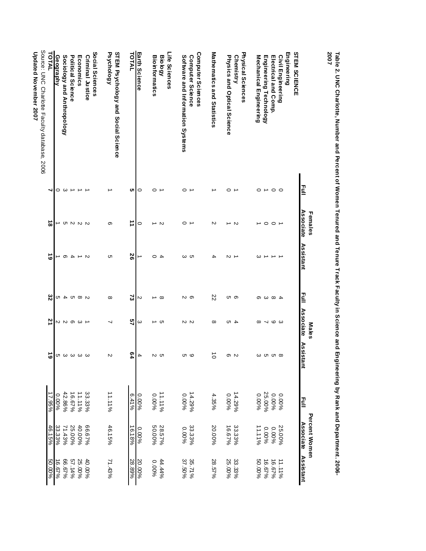|                                                                              |         | Females          |                |           | <b>Males</b>  |              |                    | Percent Women    |                  |
|------------------------------------------------------------------------------|---------|------------------|----------------|-----------|---------------|--------------|--------------------|------------------|------------------|
|                                                                              | Eull    | <b>Associate</b> | Assistant      | 릴         | Associate     | Assista<br>₹ | Iuli<br>E          | <b>Associate</b> | Assistant        |
| <b>STEM SCIENCE</b>                                                          |         |                  |                |           |               |              |                    |                  |                  |
| En gineering<br>Civil Engineering                                            |         |                  |                |           |               |              | 0.00%              | 25.00%           | 11.11%           |
| Electrical and Comp.                                                         | $\circ$ | $\circ$          |                |           | ဖဖ            |              | 9600.0             | 0.00%            | 96'29'           |
| Engineering Technology                                                       | ∸       | $\circ$          |                | ႕ ထ ယ ဇာ  | ↘             |              | 25.00%             | 9600.0           | 16.67%           |
| Mechanical Engineering                                                       | 0       |                  | ω              |           | $\infty$      |              | 0.00%              | 961111           | 50.00%           |
| Physical Sciences                                                            |         |                  |                |           |               |              |                    |                  |                  |
| <b>Chemistry</b>                                                             |         | $\sim$           |                |           |               |              | 14.29%             |                  | 33.33%           |
| Physics and Optical Science                                                  | 0       | ∸                | N              | ပေ တ      | 4 10          | ၈ လ          | 0.00%              | 33.33%<br>16.67% | 25.00%           |
| Mathematics and Statistics                                                   |         | N                | 4              | 22        | $^{\circ}$    | $\vec{o}$    | 4.35%              | 20.00%           | 28.57%           |
| Computer Sciences                                                            |         |                  |                |           |               |              |                    |                  |                  |
| Computer Science                                                             |         |                  | ယ ဟ            | လ တ       | N N           | ပေ (ပ        | 14.29%             | 33.33%           | 35.71%<br>37.50% |
| Software and Information Systems                                             | 0       | 0                |                |           |               |              | 0.00%              | 9600.0           |                  |
| Life Scien ces                                                               |         |                  |                |           |               |              |                    |                  |                  |
| <b>Biology</b>                                                               |         | N                | $\overline{4}$ | $\infty$  | ហ             | ပ            | 961111             | 28.57%           | 44.44%           |
| <b>Bioinformatics</b>                                                        | 0       | ∸                | $\circ$        | →         |               | N            | 0.00%              | 50.00%           | 9600'0           |
| Earth Science                                                                | 0       | 0                | ∸              | N         | ω             | 4            | 0.00%              | 0.00%            | 20.00%           |
| TOTAL                                                                        | ပာ      | ⇉                | 56             | ವ         | 57            | 64           | 9/614              | 16.18%           | 28.89%           |
| STEM Psychology and Social Science<br>Psychology                             |         | თ                | C              | $\infty$  |               | N            | 11.1196            | 46.15%           | 71.43%           |
| So cial Sciences                                                             |         |                  |                |           |               |              |                    |                  |                  |
| <b>Criminal Justice</b>                                                      |         |                  | N              |           |               |              | 33.33%             | 96290%           | 40.00%           |
| Economics                                                                    |         |                  | ∸              |           |               |              | 11.11%             | 40.00%           | 25.00%           |
| Political Science                                                            |         |                  | 4              |           |               |              | 96'29'             | 25.00%           | 57.14%           |
| Sociology and Anthropology                                                   | ω       |                  | တ              | U B D B D | <b>≈∞∞∞</b> ⊿ | თ ω ω ω ω    | 42.86%             | 71.43%           | 96'29'           |
| Geography                                                                    | 0       |                  | ∸              |           |               |              | $\frac{0.0046}{8}$ | 33.33%           | 16.67%           |
| <b>TOTAI</b>                                                                 |         | $\infty$         | ဖ              | ၓ         | 21            | ဖ            | 17.95%             | 46.15%           | 50.00%           |
| Source: UNC Charlotte Faculty database, 2006<br><b>Thrater Movember 2007</b> |         |                  |                |           |               |              |                    |                  |                  |
|                                                                              |         |                  |                |           |               |              |                    |                  |                  |

**Table 2. UNC Charlotte, Number and Percent of Women Tenured and Tenure Track Faculty in Science and Engineering by Rank and Department. 2006-** Table 2. UNC Charlotte, Number and Percent of Women Tenured and Tenure Track Faculty in Science and Engineering by Rank and Department. 2006-<br>2007

poared November 2007 **Updated November 2007**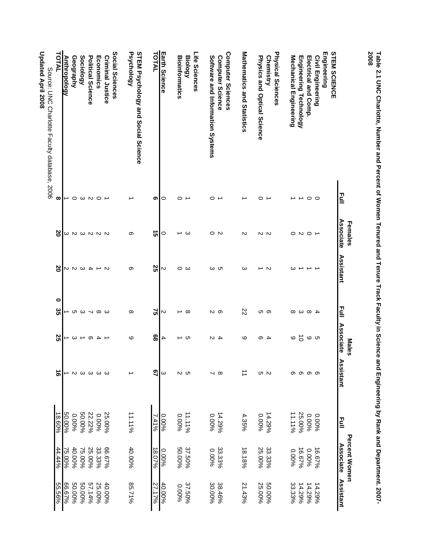| 2008<br>Table 2.1 UNC Charlotte, Number and Percent of Women Tenured and Tenure Track Faculty in Science and Engineering by Rank and Department. 2007- |                         |                               |                 |                              |                                  |                            |         |                                   |           |
|--------------------------------------------------------------------------------------------------------------------------------------------------------|-------------------------|-------------------------------|-----------------|------------------------------|----------------------------------|----------------------------|---------|-----------------------------------|-----------|
|                                                                                                                                                        | 르                       | Associate<br>Females          | Assistant       | 릴                            | <b>Associate</b><br><b>Males</b> | <b>Assistant</b>           | 르       | <b>Percent Women</b><br>Associate | Assistant |
| Engineering<br><b>STEM SCIENCE</b>                                                                                                                     |                         |                               |                 |                              |                                  |                            |         |                                   |           |
| Civil Engineering                                                                                                                                      | $\circ$                 |                               |                 |                              |                                  |                            | 0.00%   | 16.67%                            | 14.29%    |
| Electrical and Comp.                                                                                                                                   | $\circ$                 | $\circ$ $\circ$ $\circ$ $\to$ | →               | $4\,$ $\infty$ $\,$ $\infty$ | ဖေဖ                              | _<br>တေ တ တ                | 9600'0  | 0.00%                             | 14.29%    |
| Engineering Technology                                                                                                                                 |                         |                               | ∸               |                              | $\vec{0}$                        |                            | 25.00%  | 16.67%                            | 14.29%    |
| Mechanical Engineering                                                                                                                                 |                         |                               | ω               |                              | ဖ                                |                            | 11.1196 | 9600.0                            | 33.33%    |
| Physical Sciences                                                                                                                                      |                         |                               |                 |                              |                                  |                            |         |                                   |           |
| Chemistry                                                                                                                                              |                         |                               | Z               | ပၢ တ                         | $\overline{ }$                   | oι N                       | 14.29%  | 33.33%                            | 50.00%    |
| Physics and Optical Science                                                                                                                            | ⊂                       | 10 N                          | →               |                              | თ                                |                            | 9600.0  | 25.00%                            | 25.00%    |
| Mathematics and Statistics                                                                                                                             |                         | N                             | ω               | 22                           | ဖ                                | ⇉                          | 4.35%   | 18.18%                            | 21.43%    |
| Computer Sciences<br>Computer Science                                                                                                                  |                         |                               |                 |                              |                                  | $\infty$                   | 14.29%  | 33.33%                            | 38.46%    |
| Software and Information Systems                                                                                                                       | 0                       | $\circ$ N                     | ယ ပာ            | လ တ                          | 4 ⊿                              | ┙                          | 9600'0  | 9600'0                            | 30.00%    |
| Life Sciences                                                                                                                                          |                         |                               |                 |                              |                                  |                            |         |                                   |           |
| <b>Biology</b>                                                                                                                                         |                         | ు                             | ဝ ယ             | ⊸ ∞                          | רט →                             | וט טו                      | 11.1196 | 37.50%                            | 37.50%    |
| <b>Bioinformatics</b>                                                                                                                                  | 0                       | →                             |                 |                              |                                  |                            | 9600.0  | 50.00%                            | 9600'0    |
| Earth Science                                                                                                                                          | $\circ$                 | 0                             | N               | N                            | 4                                | ω                          | 0.00%   | 0.00%                             | 40.00%    |
| TOTAL                                                                                                                                                  | თ                       | ີຕ                            | 52              | 3                            | 89                               | $\overline{2}$             | 2,419   | 18.07%                            | 27.17%    |
| STEM Psychology and Social Science<br>Psychology                                                                                                       |                         | တ                             | တ               | $\infty$                     | ဖ                                | ∸                          | 11.119  | 40.00%                            | 85.71%    |
| Social Sciences                                                                                                                                        |                         |                               |                 |                              |                                  |                            |         |                                   |           |
| <b>Criminal Justice</b>                                                                                                                                |                         |                               |                 |                              | $\rightarrow$                    |                            | 25.00%  | 9629.99                           | 40.00%    |
| Economics                                                                                                                                              | $\circ$                 | ω N ω N N N                   | $\rightarrow$ N | <b>cn ω 7 ∞ ω</b>            | $\overline{\phantom{a}}$         | $\omega$ $\omega$ $\omega$ | 9600'0  | 33.33%                            | 25.00%    |
| Political Science                                                                                                                                      |                         |                               | $\overline{4}$  |                              | ၜ                                |                            | 22.22%  | 25.00%                            | 57.14%    |
| Sociology                                                                                                                                              | $\circ$ $\omega$ $\sim$ |                               | $\omega$        |                              | $\overline{\phantom{a}}$         |                            | 50.00%  | 75.00%                            | 50.00%    |
| Geography                                                                                                                                              |                         |                               | 2<br>2          |                              | $\omega$                         | $\sim$                     | 9600°0  | 40.00%                            | 50.00%    |
| <b>Anthropology</b>                                                                                                                                    | ∸                       |                               |                 |                              | ∸                                | ∸                          | 50.00%  | 75.00%                            | 96.67%    |
| TOTAL                                                                                                                                                  | $\infty$                | ၓ                             | ၓ               | 0<br>ပ္ပ                     | 25                               | ಕ                          | 18.60%  | 44.44%                            | 55.56%    |
| Updated April 2008<br>Source: UNC Charlotte Faculty database, 2006                                                                                     |                         |                               |                 |                              |                                  |                            |         |                                   |           |
|                                                                                                                                                        |                         |                               |                 |                              |                                  |                            |         |                                   |           |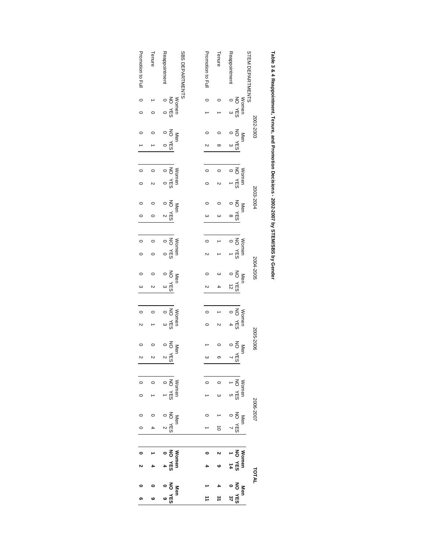| Promotion to Full | Tenure  | Reappointment                                                                                                                                                                                                                                                                                                                                                                                                                                                 | <b>SBS DEPARTMENTS</b> | Promotion to Full | Tenure    | Reappointment                                                                                                                                                                                                                                                                                                                                                                                                                                                                                   | <b>STEMI</b><br>DEPARTMENTS |
|-------------------|---------|---------------------------------------------------------------------------------------------------------------------------------------------------------------------------------------------------------------------------------------------------------------------------------------------------------------------------------------------------------------------------------------------------------------------------------------------------------------|------------------------|-------------------|-----------|-------------------------------------------------------------------------------------------------------------------------------------------------------------------------------------------------------------------------------------------------------------------------------------------------------------------------------------------------------------------------------------------------------------------------------------------------------------------------------------------------|-----------------------------|
|                   |         |                                                                                                                                                                                                                                                                                                                                                                                                                                                               |                        |                   |           |                                                                                                                                                                                                                                                                                                                                                                                                                                                                                                 |                             |
| $\circ$           |         | Women<br>NO YES<br>0<br>0                                                                                                                                                                                                                                                                                                                                                                                                                                     |                        |                   |           | $\begin{array}{ccc}\n & \text{Normen} \\  & \text{N} \\  & \text{N} \\  & \text{S} \\  & \text{S} \\  & \text{S} \\  & \text{S} \\  & \text{S} \\  & \text{S} \\  & \text{S} \\  & \text{S} \\  & \text{S} \\  & \text{S} \\  & \text{S} \\  & \text{S} \\  & \text{S} \\  & \text{S} \\  & \text{S} \\  & \text{S} \\  & \text{S} \\  & \text{S} \\  & \text{S} \\  & \text{S} \\  & \text{S} \\  & \text{S} \\  & \text{S} \\  & \text{S} \\  & \text{S} \\  & \text{S} \\  & \text{S} \\  &$ |                             |
| $\circ$           |         |                                                                                                                                                                                                                                                                                                                                                                                                                                                               |                        |                   |           |                                                                                                                                                                                                                                                                                                                                                                                                                                                                                                 |                             |
|                   |         | Men<br>NG YES<br>O<br>O<br>O                                                                                                                                                                                                                                                                                                                                                                                                                                  |                        |                   |           | NO YES                                                                                                                                                                                                                                                                                                                                                                                                                                                                                          | 2002-2003<br>Men            |
|                   |         |                                                                                                                                                                                                                                                                                                                                                                                                                                                               |                        |                   | $\infty$  | $\omega$                                                                                                                                                                                                                                                                                                                                                                                                                                                                                        |                             |
|                   |         |                                                                                                                                                                                                                                                                                                                                                                                                                                                               |                        |                   |           |                                                                                                                                                                                                                                                                                                                                                                                                                                                                                                 |                             |
| $\circ$           |         |                                                                                                                                                                                                                                                                                                                                                                                                                                                               |                        | $\circ$           | $\circ$   |                                                                                                                                                                                                                                                                                                                                                                                                                                                                                                 |                             |
| $\circ$           |         | Women<br>SHA ON                                                                                                                                                                                                                                                                                                                                                                                                                                               |                        |                   |           | Women<br>NO YES<br>10 YES                                                                                                                                                                                                                                                                                                                                                                                                                                                                       |                             |
|                   |         |                                                                                                                                                                                                                                                                                                                                                                                                                                                               |                        |                   |           |                                                                                                                                                                                                                                                                                                                                                                                                                                                                                                 | 2003-2004<br>Men            |
| $\circ$           |         | Men<br>NO YES<br>0 2                                                                                                                                                                                                                                                                                                                                                                                                                                          |                        | ω                 | ω         | NO YES<br>$\infty$                                                                                                                                                                                                                                                                                                                                                                                                                                                                              |                             |
|                   |         |                                                                                                                                                                                                                                                                                                                                                                                                                                                               |                        |                   |           |                                                                                                                                                                                                                                                                                                                                                                                                                                                                                                 |                             |
| $\overline{0}$    |         |                                                                                                                                                                                                                                                                                                                                                                                                                                                               |                        | $\circ$           |           |                                                                                                                                                                                                                                                                                                                                                                                                                                                                                                 |                             |
|                   |         | Women<br>SHA ON                                                                                                                                                                                                                                                                                                                                                                                                                                               |                        |                   |           | $\begin{array}{c}\n\text{Now} \\ \downarrow \\ \text{C2} \\ \text{MOD} \\ \downarrow \\ \text{C}\n\end{array}$                                                                                                                                                                                                                                                                                                                                                                                  |                             |
|                   |         |                                                                                                                                                                                                                                                                                                                                                                                                                                                               |                        |                   |           |                                                                                                                                                                                                                                                                                                                                                                                                                                                                                                 |                             |
|                   |         | NO YES                                                                                                                                                                                                                                                                                                                                                                                                                                                        | Men                    |                   |           | NO YES                                                                                                                                                                                                                                                                                                                                                                                                                                                                                          | 2004-2005<br>Men            |
| ω<br>΄            |         |                                                                                                                                                                                                                                                                                                                                                                                                                                                               |                        |                   |           | $\vec{z}$                                                                                                                                                                                                                                                                                                                                                                                                                                                                                       |                             |
|                   |         |                                                                                                                                                                                                                                                                                                                                                                                                                                                               |                        |                   |           |                                                                                                                                                                                                                                                                                                                                                                                                                                                                                                 |                             |
| $\circ$           |         |                                                                                                                                                                                                                                                                                                                                                                                                                                                               |                        | $\circ$           |           | $\begin{bmatrix}\n  \text{Women} \\   \text{NLO} \\  0 \\  4\n \end{bmatrix}$                                                                                                                                                                                                                                                                                                                                                                                                                   |                             |
| N                 |         | Women<br>NO YES<br>3<br>3<br>3                                                                                                                                                                                                                                                                                                                                                                                                                                |                        |                   |           |                                                                                                                                                                                                                                                                                                                                                                                                                                                                                                 |                             |
|                   |         |                                                                                                                                                                                                                                                                                                                                                                                                                                                               |                        |                   |           |                                                                                                                                                                                                                                                                                                                                                                                                                                                                                                 | 2005-2006                   |
|                   |         | Men<br>NO YES<br>0<br>2<br>2<br>2                                                                                                                                                                                                                                                                                                                                                                                                                             |                        |                   |           | NO YES                                                                                                                                                                                                                                                                                                                                                                                                                                                                                          | Men                         |
| $\sim$            | $\sim$  |                                                                                                                                                                                                                                                                                                                                                                                                                                                               |                        |                   | თ         |                                                                                                                                                                                                                                                                                                                                                                                                                                                                                                 |                             |
|                   |         |                                                                                                                                                                                                                                                                                                                                                                                                                                                               |                        |                   |           |                                                                                                                                                                                                                                                                                                                                                                                                                                                                                                 |                             |
|                   | $\circ$ |                                                                                                                                                                                                                                                                                                                                                                                                                                                               |                        |                   | $\circ$   |                                                                                                                                                                                                                                                                                                                                                                                                                                                                                                 |                             |
| 0                 |         | Women<br>NO YES<br>0<br>0                                                                                                                                                                                                                                                                                                                                                                                                                                     |                        |                   | $\omega$  | Women<br>  NO YES<br>  1                                                                                                                                                                                                                                                                                                                                                                                                                                                                        |                             |
|                   |         |                                                                                                                                                                                                                                                                                                                                                                                                                                                               |                        |                   |           |                                                                                                                                                                                                                                                                                                                                                                                                                                                                                                 | 2006-2007                   |
|                   |         | $\begin{array}{c} \mathbb{N} \text{en} \\ \text{NC} \quad \text{YES} \\ 0 \\ 2 \end{array}$                                                                                                                                                                                                                                                                                                                                                                   |                        |                   |           | Men<br>NO YES<br>0<br>0<br>0<br>0                                                                                                                                                                                                                                                                                                                                                                                                                                                               |                             |
| $\circ$           |         |                                                                                                                                                                                                                                                                                                                                                                                                                                                               |                        |                   | $\vec{0}$ |                                                                                                                                                                                                                                                                                                                                                                                                                                                                                                 |                             |
|                   |         |                                                                                                                                                                                                                                                                                                                                                                                                                                                               |                        |                   |           |                                                                                                                                                                                                                                                                                                                                                                                                                                                                                                 |                             |
|                   |         | $\begin{array}{c}\n\text{Women} \\ \text{NOT} \\ \text{VOT} \\ \text{VOT} \\ \text{V} \\ \text{V} \\ \text{V} \\ \text{V} \\ \text{V} \\ \text{V} \\ \text{V} \\ \text{V} \\ \text{V} \\ \text{V} \\ \text{V} \\ \text{V} \\ \text{V} \\ \text{V} \\ \text{V} \\ \text{V} \\ \text{V} \\ \text{V} \\ \text{V} \\ \text{V} \\ \text{V} \\ \text{V} \\ \text{V} \\ \text{V} \\ \text{V} \\ \text{V} \\ \text{V} \\ \text{V} \\ \text{V} \\ \text{V} \\ \text{V$ |                        |                   |           | $\begin{array}{c cc}\n\text{Newton} & \text{1}\n\\ \n\text{NO} & \text{YES} & \text{14}\n\\ \n\text{NO} & \text{14}\n\end{array}$                                                                                                                                                                                                                                                                                                                                                               |                             |
|                   |         |                                                                                                                                                                                                                                                                                                                                                                                                                                                               |                        |                   |           |                                                                                                                                                                                                                                                                                                                                                                                                                                                                                                 |                             |
|                   |         |                                                                                                                                                                                                                                                                                                                                                                                                                                                               |                        |                   |           |                                                                                                                                                                                                                                                                                                                                                                                                                                                                                                 | TOTAL                       |
| თ                 |         | Men<br>NO YES                                                                                                                                                                                                                                                                                                                                                                                                                                                 |                        |                   |           | <b>16</b><br>SEX<br>SEX                                                                                                                                                                                                                                                                                                                                                                                                                                                                         | Men                         |
|                   |         |                                                                                                                                                                                                                                                                                                                                                                                                                                                               |                        |                   |           |                                                                                                                                                                                                                                                                                                                                                                                                                                                                                                 |                             |

# **Table 3 & 4 Reappointment, Tenure, and Promotion Decisions - 2002-2007 by STEM/SBS by Gende** Table 3 & 4 Reappointment, Tenure, and Promotion Decisions - 2002-2007 by STEM/SBS by Gender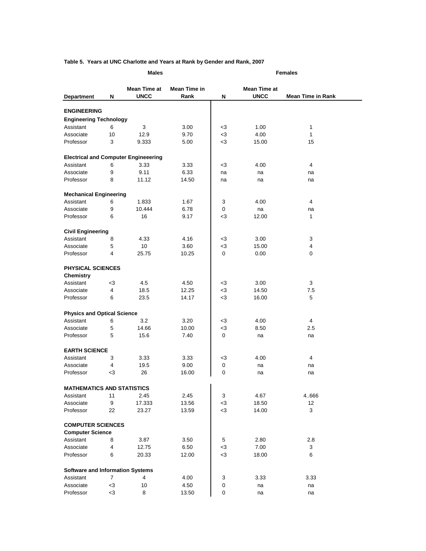### **Table 5. Years at UNC Charlotte and Years at Rank by Gender and Rank, 2007**

|                                              |        | <b>Males</b>                                |              |             |              | <b>Females</b>           |
|----------------------------------------------|--------|---------------------------------------------|--------------|-------------|--------------|--------------------------|
|                                              |        | <b>Mean Time at</b>                         | Mean Time in |             | Mean Time at |                          |
| <b>Department</b>                            | N      | <b>UNCC</b>                                 | Rank         | N           | <b>UNCC</b>  | <b>Mean Time in Rank</b> |
| <b>ENGINEERING</b>                           |        |                                             |              |             |              |                          |
| <b>Engineering Technology</b>                |        |                                             |              |             |              |                          |
| Assistant                                    | 6      | 3                                           | 3.00         | $3$         | 1.00         | 1                        |
| Associate                                    | 10     | 12.9                                        | 9.70         | $<$ 3       | 4.00         | $\mathbf{1}$             |
| Professor                                    | 3      | 9.333                                       | 5.00         | $3$         | 15.00        | 15                       |
|                                              |        |                                             |              |             |              |                          |
|                                              |        | <b>Electrical and Computer Engineeering</b> |              |             |              |                          |
| Assistant                                    | 6      | 3.33                                        | 3.33         | -3          | 4.00         | 4                        |
| Associate                                    | 9      | 9.11                                        | 6.33         | na          | na           | na                       |
| Professor                                    | 8      | 11.12                                       | 14.50        | na          | na           | na                       |
|                                              |        |                                             |              |             |              |                          |
| <b>Mechanical Engineering</b><br>Assistant   | 6      | 1.833                                       | 1.67         | 3           | 4.00         | 4                        |
| Associate                                    | 9      | 10.444                                      | 6.78         | 0           | na           | na                       |
| Professor                                    | 6      | 16                                          | 9.17         | -3          | 12.00        | $\mathbf{1}$             |
|                                              |        |                                             |              |             |              |                          |
| <b>Civil Engineering</b>                     |        |                                             |              |             |              |                          |
| Assistant                                    | 8      | 4.33                                        | 4.16         | $<$ 3       | 3.00         | 3                        |
| Associate                                    | 5      | 10                                          | 3.60         | $<$ 3       | 15.00        | 4                        |
| Professor                                    | 4      | 25.75                                       | 10.25        | 0           | 0.00         | 0                        |
|                                              |        |                                             |              |             |              |                          |
| <b>PHYSICAL SCIENCES</b><br><b>Chemistry</b> |        |                                             |              |             |              |                          |
| Assistant                                    | $3$    | 4.5                                         | 4.50         | $<$ 3       | 3.00         | 3                        |
| Associate                                    | 4      | 18.5                                        | 12.25        | $3$         | 14.50        | 7.5                      |
| Professor                                    | 6      | 23.5                                        | 14.17        | $3$         | 16.00        | 5                        |
|                                              |        |                                             |              |             |              |                          |
| <b>Physics and Optical Science</b>           |        |                                             |              |             |              |                          |
| Assistant                                    | 6      | 3.2                                         | 3.20         | $3$         | 4.00         | 4                        |
| Associate                                    | 5      | 14.66                                       | 10.00        | $<$ 3       | 8.50         | 2.5                      |
| Professor                                    | 5      | 15.6                                        | 7.40         | $\mathbf 0$ | na           | na                       |
|                                              |        |                                             |              |             |              |                          |
| <b>EARTH SCIENCE</b>                         |        |                                             |              |             |              |                          |
| Assistant                                    | 3      | 3.33                                        | 3.33         | $3$         | 4.00         | 4                        |
| Associate                                    | 4      | 19.5                                        | 9.00         | 0           | na           | na                       |
| Professor                                    | $3$    | 26                                          | 16.00        | 0           | na           | na                       |
| <b>MATHEMATICS AND STATISTICS</b>            |        |                                             |              |             |              |                          |
| Assistant                                    | 11     | 2.45                                        | 2.45         | 3           | 4.67         | 4.666                    |
| Associate                                    | 9      | 17.333                                      | 13.56        | $<$ 3       | 18.50        | 12                       |
| Professor                                    | 22     | 23.27                                       | 13.59        | $<$ 3       | 14.00        | 3                        |
|                                              |        |                                             |              |             |              |                          |
| <b>COMPUTER SCIENCES</b>                     |        |                                             |              |             |              |                          |
| <b>Computer Science</b>                      |        |                                             |              |             |              |                          |
| Assistant                                    | 8      | 3.87                                        | 3.50         | 5           | 2.80         | 2.8                      |
| Associate<br>Professor                       | 4<br>6 | 12.75                                       | 6.50         | $3$<br>$3$  | 7.00         | 3<br>6                   |
|                                              |        | 20.33                                       | 12.00        |             | 18.00        |                          |
| <b>Software and Information Systems</b>      |        |                                             |              |             |              |                          |
| Assistant                                    | 7      | 4                                           | 4.00         | 3           | 3.33         | 3.33                     |
| Associate                                    | $3$    | 10                                          | 4.50         | 0           | na           | na                       |

Professor <3 8 13.50 0 na na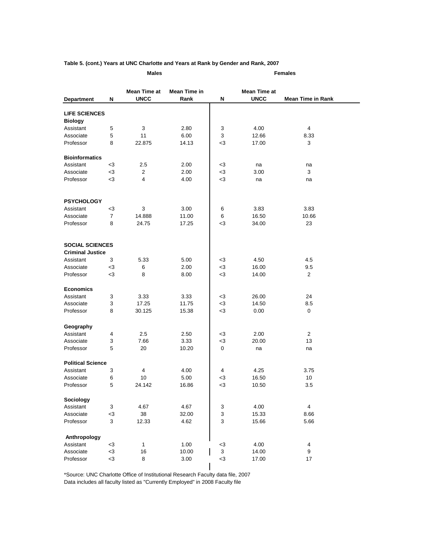### **Table 5. (cont.) Years at UNC Charlotte and Years at Rank by Gender and Rank, 2007**

| Males |  |
|-------|--|
|       |  |

**Males Females**

|                          |                           | Mean Time at | Mean Time in |                           | Mean Time at |                          |
|--------------------------|---------------------------|--------------|--------------|---------------------------|--------------|--------------------------|
| <b>Department</b>        | N                         | <b>UNCC</b>  | Rank         | N                         | <b>UNCC</b>  | <b>Mean Time in Rank</b> |
|                          |                           |              |              |                           |              |                          |
| <b>LIFE SCIENCES</b>     |                           |              |              |                           |              |                          |
| <b>Biology</b>           |                           |              |              |                           |              |                          |
| Assistant                | $\,$ 5 $\,$<br>5          | 3            | 2.80         | 3                         | 4.00         | $\overline{4}$           |
| Associate                | 8                         | 11           | 6.00         | 3                         | 12.66        | 8.33                     |
| Professor                |                           | 22.875       | 14.13        | -3                        | 17.00        | 3                        |
| <b>Bioinformatics</b>    |                           |              |              |                           |              |                          |
| Assistant                | $<$ 3                     | 2.5          | 2.00         | $3$                       | na           | na                       |
| Associate                | $<$ 3                     | 2            | 2.00         | $<$ 3                     | 3.00         | 3                        |
| Professor                | $<$ 3                     | 4            | 4.00         | $<$ 3                     | na           | na                       |
|                          |                           |              |              |                           |              |                          |
| <b>PSYCHOLOGY</b>        |                           |              |              |                           |              |                          |
| Assistant                | -3                        | 3            | 3.00         | 6                         | 3.83         | 3.83                     |
| Associate                | $\overline{7}$            | 14.888       | 11.00        | 6                         | 16.50        | 10.66                    |
| Professor                | 8                         | 24.75        | 17.25        | $3$                       | 34.00        | 23                       |
|                          |                           |              |              |                           |              |                          |
| <b>SOCIAL SCIENCES</b>   |                           |              |              |                           |              |                          |
| <b>Criminal Justice</b>  |                           |              |              |                           |              |                          |
| Assistant                | 3                         | 5.33         | 5.00         | $3$                       | 4.50         | 4.5                      |
| Associate                | $<$ 3                     | 6            | 2.00         | $3$                       | 16.00        | 9.5                      |
| Professor                | $3$                       | 8            | 8.00         | $<$ 3                     | 14.00        | $\overline{2}$           |
| <b>Economics</b>         |                           |              |              |                           |              |                          |
| Assistant                | 3                         | 3.33         | 3.33         | $<$ 3                     | 26.00        | 24                       |
| Associate                | 3                         | 17.25        | 11.75        | $<$ 3                     | 14.50        | 8.5                      |
| Professor                | 8                         | 30.125       | 15.38        | $<$ 3                     | 0.00         | $\mathbf{0}$             |
|                          |                           |              |              |                           |              |                          |
| Geography                |                           |              |              |                           |              |                          |
| Assistant                | $\overline{\mathbf{4}}$   | 2.5          | 2.50         | -3                        | 2.00         | $\overline{2}$           |
| Associate                | 3                         | 7.66         | 3.33         | $3$                       | 20.00        | 13                       |
| Professor                | 5                         | 20           | 10.20        | 0                         | na           | na                       |
| <b>Political Science</b> |                           |              |              |                           |              |                          |
| Assistant                | 3                         | 4            | 4.00         | 4                         | 4.25         | 3.75                     |
| Associate                | 6                         | 10           | 5.00         | $3$                       | 16.50        | 10                       |
| Professor                | 5                         | 24.142       | 16.86        | $<$ 3                     | 10.50        | 3.5                      |
| Sociology                |                           |              |              |                           |              |                          |
| Assistant                | $\ensuremath{\mathsf{3}}$ | 4.67         | 4.67         | 3                         | 4.00         | $\overline{4}$           |
| Associate                | $3$                       | $38\,$       | 32.00        | $\ensuremath{\mathsf{3}}$ | 15.33        | 8.66                     |
| Professor                | $\mathbf{3}$              | 12.33        | 4.62         | 3                         | 15.66        | 5.66                     |
| Anthropology             |                           |              |              |                           |              |                          |
| Assistant                | $<$ 3                     | $\mathbf{1}$ | 1.00         | $<$ 3                     | 4.00         | $\overline{4}$           |
| Associate                | $<3$                      | 16           | 10.00        | $\ensuremath{\mathsf{3}}$ | 14.00        | 9                        |
| Professor                | $3$                       | 8            | 3.00         | $<$ 3                     | 17.00        | 17                       |
|                          |                           |              |              |                           |              |                          |

\*Source: UNC Charlotte Office of Institutional Research Faculty data file, 2007 Data includes all faculty listed as "Currently Employed" in 2008 Faculty file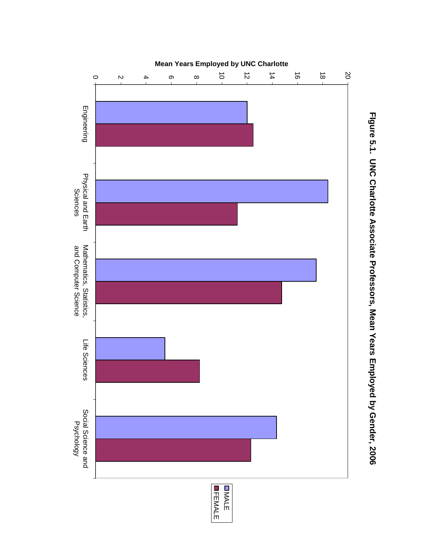

Figure 5.1. UNC Charlotte Associate Professors, Mean Years Employed by Gender, 2006 **FIgure 5.1. UNC Charlotte Associate Professors, Mean Years Employed by Gender, 2006**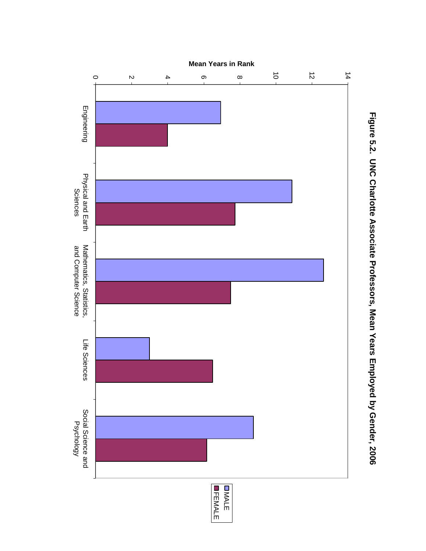

Figure 5.2. UNC Charlotte Associate Professors, Mean Years Employed by Gender, 2006 **Figure 5.2. UNC Charlotte Associate Professors, Mean Years Employed by Gender, 2006**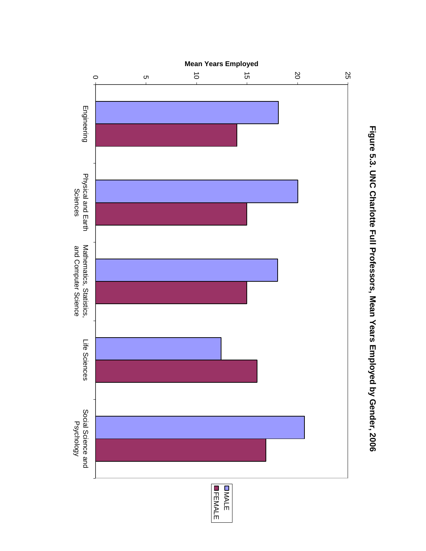

Figure 5.3. UNC Charlotte Full Professors, Mean Years Employed by Gender, 2006 **Figure 5.3. UNC Charlotte Full Professors, Mean Years Employed by Gender, 2006**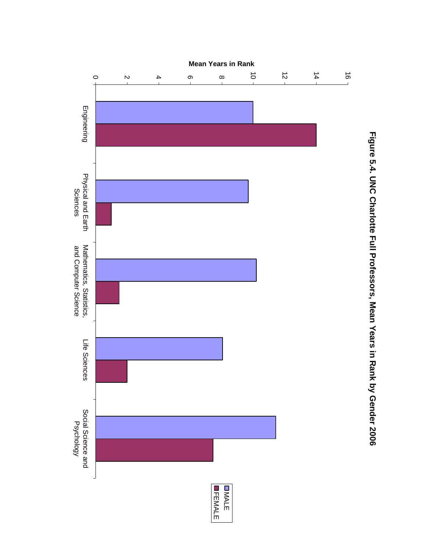

Figure 5.4. UNC Charlotte Full Professors, Mean Years in Rank by Gender 2006 **Figure 5.4. UNC Charlotte Full Professors, Mean Years in Rank by Gender 2006**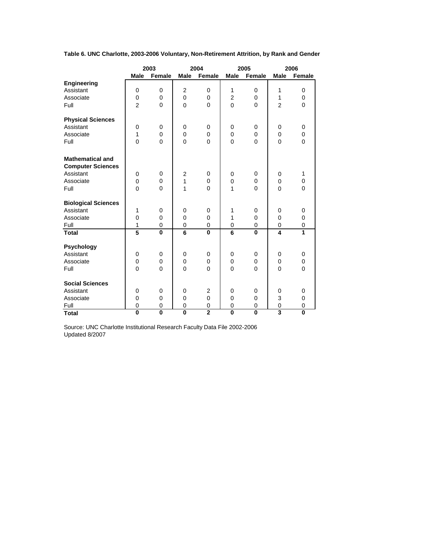|                            |                         | 2003           |                         | 2004           |                         | 2005         |                         | 2006           |
|----------------------------|-------------------------|----------------|-------------------------|----------------|-------------------------|--------------|-------------------------|----------------|
|                            | <b>Male</b>             | Female         | <b>Male</b>             | Female         | <b>Male</b>             | Female       | <b>Male</b>             | <b>Female</b>  |
| Engineering                |                         |                |                         |                |                         |              |                         |                |
| Assistant                  | 0                       | 0              | $\overline{2}$          | 0              | 1                       | 0            | 1                       | 0              |
| Associate                  | $\pmb{0}$               | 0              | 0                       | $\pmb{0}$      | $\overline{c}$          | 0            | 1                       | 0              |
| Full                       | $\overline{2}$          | $\overline{0}$ | 0                       | $\overline{0}$ | $\overline{0}$          | $\mathbf{0}$ | $\overline{2}$          | $\overline{0}$ |
|                            |                         |                |                         |                |                         |              |                         |                |
| <b>Physical Sciences</b>   |                         |                |                         |                |                         |              |                         |                |
| Assistant                  | 0                       | 0              | 0                       | 0              | 0                       | 0            | 0                       | 0              |
| Associate                  | 1                       | 0              | 0                       | 0              | 0                       | 0            | 0                       | 0              |
| Full                       | $\Omega$                | $\overline{0}$ | $\overline{0}$          | $\Omega$       | $\overline{0}$          | $\Omega$     | $\mathbf{0}$            | $\overline{0}$ |
|                            |                         |                |                         |                |                         |              |                         |                |
| <b>Mathematical and</b>    |                         |                |                         |                |                         |              |                         |                |
| <b>Computer Sciences</b>   |                         |                |                         |                |                         |              |                         |                |
| Assistant                  | 0                       | 0              | $\boldsymbol{2}$        | 0              | 0                       | 0            | $\mathbf 0$             | 1              |
| Associate                  | 0                       | 0              | 1                       | 0              | 0                       | 0            | 0                       | 0              |
| Full                       | $\Omega$                | 0              | 1                       | 0              | 1                       | 0            | $\Omega$                | 0              |
|                            |                         |                |                         |                |                         |              |                         |                |
| <b>Biological Sciences</b> |                         |                |                         |                |                         |              |                         |                |
| Assistant                  | 1                       | 0              | 0                       | 0              | 1                       | 0            | 0                       | 0              |
| Associate                  | $\overline{0}$          | $\mathbf 0$    | 0                       | $\mathbf 0$    | 1                       | 0            | $\mathbf 0$             | 0              |
| Full                       | 1                       | 0              | 0                       | 0              | 0                       | 0            | 0                       | 0              |
| <b>Total</b>               | 5                       | $\mathbf 0$    | 6                       | $\bf{0}$       | 6                       | $\bf{0}$     | $\overline{\mathbf{4}}$ | 1              |
|                            |                         |                |                         |                |                         |              |                         |                |
| Psychology                 |                         |                |                         |                |                         |              |                         |                |
| Assistant                  | 0                       | 0              | 0                       | 0              | 0                       | 0            | 0                       | 0              |
| Associate                  | $\mathbf 0$             | $\mathbf 0$    | $\mathbf 0$             | $\mathbf 0$    | $\mathbf 0$             | 0            | $\mathbf 0$             | 0              |
| Full                       | $\Omega$                | $\Omega$       | $\Omega$                | $\Omega$       | $\Omega$                | $\mathbf{0}$ | $\Omega$                | $\Omega$       |
|                            |                         |                |                         |                |                         |              |                         |                |
| <b>Social Sciences</b>     |                         |                |                         |                |                         |              |                         |                |
| Assistant                  | 0                       | 0              | $\mathbf 0$             | $\overline{2}$ | $\mathbf 0$             | 0            | 0                       | 0              |
| Associate                  | $\mathbf 0$             | $\mathbf 0$    | 0                       | $\mathbf 0$    | $\mathbf 0$             | 0            | 3                       | 0              |
| Full                       | $\mathbf 0$             | $\overline{0}$ | $\mathbf 0$             | $\mathbf 0$    | $\mathbf 0$             | $\mathbf 0$  | $\pmb{0}$               | $\mathbf 0$    |
| <b>Total</b>               | $\overline{\mathbf{0}}$ | $\mathbf 0$    | $\overline{\mathbf{0}}$ | $\overline{2}$ | $\overline{\mathbf{0}}$ | $\bf{0}$     |                         | $\mathbf 0$    |

**Table 6. UNC Charlotte, 2003-2006 Voluntary, Non-Retirement Attrition, by Rank and Gender**

Updated 8/2007 Source: UNC Charlotte Institutional Research Faculty Data File 2002-2006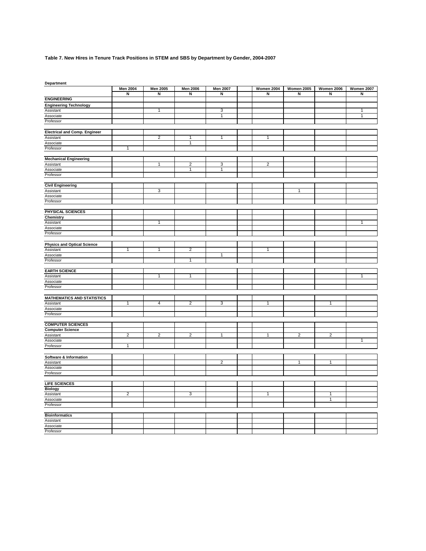### **Table 7. New Hires in Tenure Track Positions in STEM and SBS by Department by Gender, 2004-2007**

| Department                           |                         |                 |                         |                 |                   |                   |                   |                   |
|--------------------------------------|-------------------------|-----------------|-------------------------|-----------------|-------------------|-------------------|-------------------|-------------------|
|                                      | <b>Men 2004</b>         | <b>Men 2005</b> | <b>Men 2006</b>         | <b>Men 2007</b> | <b>Women 2004</b> | <b>Women 2005</b> | <b>Women 2006</b> | <b>Women 2007</b> |
|                                      | $\overline{\mathbf{z}}$ | $\overline{N}$  | $\overline{N}$          | $\overline{N}$  | N                 | $\overline{N}$    | Z                 | $\overline{N}$    |
| <b>ENGINEERING</b>                   |                         |                 |                         |                 |                   |                   |                   |                   |
| <b>Engineering Technology</b>        |                         |                 |                         |                 |                   |                   |                   |                   |
| Assistant                            |                         | 1               |                         | 3               |                   |                   |                   | $\overline{1}$    |
| Associate                            |                         |                 |                         | 1               |                   |                   |                   | 1                 |
| Professor                            |                         |                 |                         |                 |                   |                   |                   |                   |
|                                      |                         |                 |                         |                 |                   |                   |                   |                   |
| <b>Electrical and Comp. Engineer</b> |                         |                 |                         |                 | $\mathbf{1}$      |                   |                   |                   |
| Assistant<br>Associate               |                         | $\overline{c}$  | 1<br>$\mathbf{1}$       | $\mathbf{1}$    |                   |                   |                   |                   |
| Professor                            | $\overline{1}$          |                 |                         |                 |                   |                   |                   |                   |
|                                      |                         |                 |                         |                 |                   |                   |                   |                   |
| <b>Mechanical Engineering</b>        |                         |                 |                         |                 |                   |                   |                   |                   |
| Assistant                            |                         | 1               | $\overline{2}$          | 3               | $\overline{2}$    |                   |                   |                   |
| Associate                            |                         |                 | $\overline{1}$          | $\overline{1}$  |                   |                   |                   |                   |
| Professor                            |                         |                 |                         |                 |                   |                   |                   |                   |
|                                      |                         |                 |                         |                 |                   |                   |                   |                   |
| <b>Civil Engineering</b>             |                         |                 |                         |                 |                   |                   |                   |                   |
| Assistant                            |                         | 3               |                         |                 |                   | $\overline{1}$    |                   |                   |
| Associate                            |                         |                 |                         |                 |                   |                   |                   |                   |
| Professor                            |                         |                 |                         |                 |                   |                   |                   |                   |
|                                      |                         |                 |                         |                 |                   |                   |                   |                   |
| PHYSICAL SCIENCES                    |                         |                 |                         |                 |                   |                   |                   |                   |
| Chemistry                            |                         |                 |                         |                 |                   |                   |                   |                   |
| Assistant                            |                         | $\mathbf{1}$    |                         |                 |                   |                   |                   | 1                 |
| Associate                            |                         |                 |                         |                 |                   |                   |                   |                   |
| Professor                            |                         |                 |                         |                 |                   |                   |                   |                   |
|                                      |                         |                 |                         |                 |                   |                   |                   |                   |
| <b>Physics and Optical Science</b>   |                         |                 |                         |                 |                   |                   |                   |                   |
| Assistant                            | $\mathbf{1}$            | $\mathbf{1}$    | $\overline{2}$          | 1               | 1                 |                   |                   |                   |
| Associate<br>Professor               |                         |                 | $\overline{1}$          |                 |                   |                   |                   |                   |
|                                      |                         |                 |                         |                 |                   |                   |                   |                   |
| <b>EARTH SCIENCE</b>                 |                         |                 |                         |                 |                   |                   |                   |                   |
| Assistant                            |                         | $\overline{1}$  | $\overline{1}$          |                 |                   |                   |                   | $\overline{1}$    |
| Associate                            |                         |                 |                         |                 |                   |                   |                   |                   |
| Professor                            |                         |                 |                         |                 |                   |                   |                   |                   |
|                                      |                         |                 |                         |                 |                   |                   |                   |                   |
| <b>MATHEMATICS AND STATISTICS</b>    |                         |                 |                         |                 |                   |                   |                   |                   |
| Assistant                            | 1                       | 4               | $\overline{\mathbf{c}}$ | 3               | $\mathbf{1}$      |                   | 1                 |                   |
| Associate                            |                         |                 |                         |                 |                   |                   |                   |                   |
| Professor                            |                         |                 |                         |                 |                   |                   |                   |                   |
|                                      |                         |                 |                         |                 |                   |                   |                   |                   |
| <b>COMPUTER SCIENCES</b>             |                         |                 |                         |                 |                   |                   |                   |                   |
| <b>Computer Science</b>              |                         |                 |                         |                 |                   |                   |                   |                   |
| Assistant                            | $\overline{2}$          | $\overline{2}$  | $\overline{2}$          | $\mathbf{1}$    | $\mathbf{1}$      | $\overline{2}$    | $\overline{2}$    |                   |
| Associate                            |                         |                 |                         |                 |                   |                   |                   | $\overline{1}$    |
| Professor                            | 1                       |                 |                         |                 |                   |                   |                   |                   |
|                                      |                         |                 |                         |                 |                   |                   |                   |                   |
| Software & Information               |                         |                 |                         |                 |                   |                   |                   |                   |
| Assistant                            |                         |                 |                         | $\overline{2}$  |                   | $\mathbf{1}$      | $\mathbf{1}$      |                   |
| Associate                            |                         |                 |                         |                 |                   |                   |                   |                   |
| Professor                            |                         |                 |                         |                 |                   |                   |                   |                   |
|                                      |                         |                 |                         |                 |                   |                   |                   |                   |
| <b>LIFE SCIENCES</b>                 |                         |                 |                         |                 |                   |                   |                   |                   |
| <b>Biology</b>                       | $\overline{2}$          |                 | 3                       |                 | 1                 |                   | 1                 |                   |
| Assistant                            |                         |                 |                         |                 |                   |                   | 1                 |                   |
| Associate<br>Professor               |                         |                 |                         |                 |                   |                   |                   |                   |
|                                      |                         |                 |                         |                 |                   |                   |                   |                   |
| <b>Bioinformatics</b>                |                         |                 |                         |                 |                   |                   |                   |                   |
| Assistant                            |                         |                 |                         |                 |                   |                   |                   |                   |
| Associate                            |                         |                 |                         |                 |                   |                   |                   |                   |
| Professor                            |                         |                 |                         |                 |                   |                   |                   |                   |
|                                      |                         |                 |                         |                 |                   |                   |                   |                   |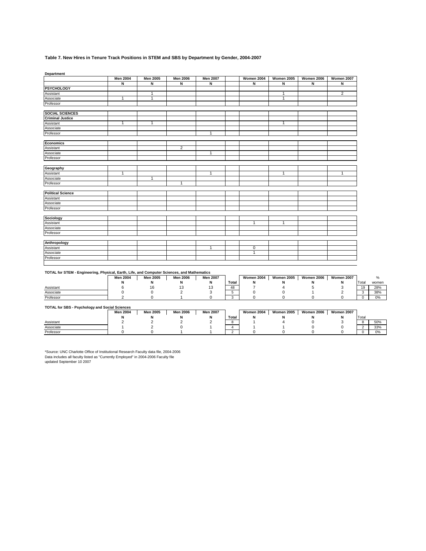### **Table 7. New Hires in Tenure Track Positions in STEM and SBS by Department by Gender, 2004-2007**

**Department**

|                          | <b>Men 2004</b> | Men 2005     | <b>Men 2006</b> | <b>Men 2007</b> | <b>Women 2004</b> | <b>Women 2005</b> | <b>Women 2006</b> | Women 2007     |
|--------------------------|-----------------|--------------|-----------------|-----------------|-------------------|-------------------|-------------------|----------------|
|                          | N               | N            | N               | N               | Ñ                 | N                 | N                 | N              |
| <b>PSYCHOLOGY</b>        |                 |              |                 |                 |                   |                   |                   |                |
| Assistant                |                 | $\mathbf{1}$ |                 |                 |                   | $\mathbf{1}$      |                   | $\overline{2}$ |
| Associate                | $\mathbf{1}$    | 1            |                 |                 |                   | 1                 |                   |                |
| Professor                |                 |              |                 |                 |                   |                   |                   |                |
| <b>SOCIAL SCIENCES</b>   |                 |              |                 |                 |                   |                   |                   |                |
| <b>Criminal Justice</b>  |                 |              |                 |                 |                   |                   |                   |                |
| Assistant                | $\mathbf{1}$    | $\mathbf{1}$ |                 |                 |                   | $\mathbf{1}$      |                   |                |
| Associate                |                 |              |                 |                 |                   |                   |                   |                |
| Professor                |                 |              |                 | $\mathbf{1}$    |                   |                   |                   |                |
| Economics                |                 |              |                 |                 |                   |                   |                   |                |
| Assistant                |                 |              | $\overline{2}$  |                 |                   |                   |                   |                |
| Associate                |                 |              |                 | $\mathbf{1}$    |                   |                   |                   |                |
| Professor                |                 |              |                 |                 |                   |                   |                   |                |
|                          |                 |              |                 |                 |                   |                   |                   |                |
| Geography                |                 |              |                 |                 |                   |                   |                   |                |
| Assistant                | $\mathbf{1}$    |              |                 | $\mathbf{1}$    |                   | $\mathbf{1}$      |                   | $\mathbf{1}$   |
| Associate                |                 | $\mathbf{1}$ |                 |                 |                   |                   |                   |                |
| Professor                |                 |              | $\mathbf{1}$    |                 |                   |                   |                   |                |
| <b>Political Science</b> |                 |              |                 |                 |                   |                   |                   |                |
| Assistant                |                 |              |                 |                 |                   |                   |                   |                |
| Associate                |                 |              |                 |                 |                   |                   |                   |                |
| Professor                |                 |              |                 |                 |                   |                   |                   |                |
|                          |                 |              |                 |                 |                   |                   |                   |                |
| Sociology                |                 |              |                 |                 |                   |                   |                   |                |
| Assistant                |                 |              |                 |                 | 1                 | 1                 |                   |                |
| Associate                |                 |              |                 |                 |                   |                   |                   |                |
| Professor                |                 |              |                 |                 |                   |                   |                   |                |
| Anthropology             |                 |              |                 |                 |                   |                   |                   |                |
| Assistant                |                 |              |                 | $\overline{1}$  | $\overline{0}$    |                   |                   |                |
| Associate                |                 |              |                 |                 | $\mathbf{1}$      |                   |                   |                |
| Professor                |                 |              |                 |                 |                   |                   |                   |                |
|                          |                 |              |                 |                 |                   |                   |                   |                |

### **TOTAL for STEM - Engineering, Physical, Earth, Life, and Computer Sciences, and Mathematics**

|                                                | <b>Men 2004</b> | <b>Men 2005</b> | <b>Men 2006</b> | <b>Men 2007</b> |              | Women 2004        | <b>Women 2005</b> | <b>Women 2006</b> | <b>Women 2007</b> |       |       |
|------------------------------------------------|-----------------|-----------------|-----------------|-----------------|--------------|-------------------|-------------------|-------------------|-------------------|-------|-------|
|                                                |                 |                 | N               | N               | <b>Total</b> | N                 | N                 | N                 | N                 | Total | women |
| Assistant                                      |                 | 16              | 13              | 13              | 48           |                   |                   |                   |                   | 19    | 28%   |
| Associate                                      |                 |                 |                 |                 |              |                   |                   |                   |                   |       | 38%   |
| Professor                                      |                 |                 |                 |                 | $\sim$       |                   |                   |                   |                   |       | 0%    |
| TOTAL for SBS - Psychology and Social Sciences | <b>Men 2004</b> | <b>Men 2005</b> | <b>Men 2006</b> | <b>Men 2007</b> |              | <b>Women 2004</b> | <b>Women 2005</b> | <b>Women 2006</b> | <b>Women 2007</b> |       |       |
|                                                |                 |                 |                 | N               | <b>Total</b> | N                 |                   | N                 |                   | Total |       |
| Assistant                                      |                 |                 |                 |                 |              |                   |                   |                   |                   |       | 50%   |
| Associate                                      |                 |                 |                 |                 |              |                   |                   |                   |                   |       | 33%   |
| Professor                                      |                 |                 |                 |                 | $\sim$       |                   |                   |                   |                   |       | 0%    |

updated September 10 2007 \*Source: UNC Charlotte Office of Institutional Research Faculty data file, 2004-2006 Data includes all faculty listed as "Currently Employed" in 2004-2006 Faculty file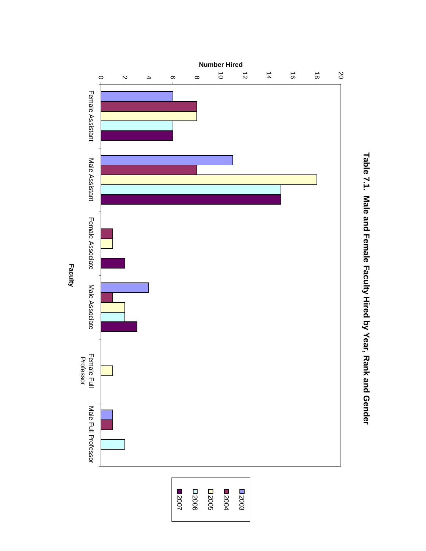

Table 7.1. Male and Female Faculty Hired by Year, Rank and Gender **Table 7.1. Male and Female Faculty Hired by Year, Rank and Gender**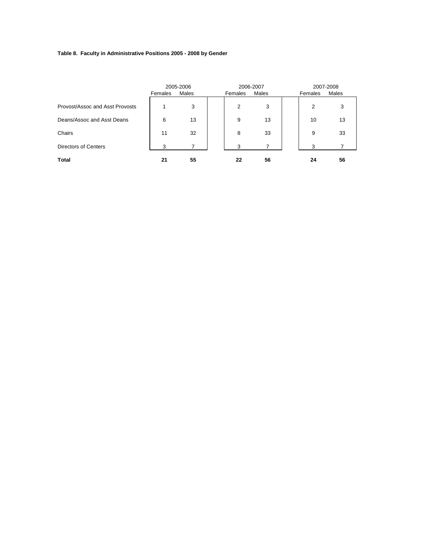### **Table 8. Faculty in Administrative Positions 2005 - 2008 by Gender**

|                                 | Females | 2005-2006<br>Males | Females | 2006-2007<br>Males | Females | 2007-2008<br>Males |
|---------------------------------|---------|--------------------|---------|--------------------|---------|--------------------|
| Provost/Assoc and Asst Provosts |         | 3                  | 2       | 3                  | 2       | 3                  |
| Deans/Assoc and Asst Deans      | 6       | 13                 | 9       | 13                 | 10      | 13                 |
| Chairs                          | 11      | 32                 | 8       | 33                 | 9       | 33                 |
| <b>Directors of Centers</b>     | 3       |                    | 3       |                    | 3       |                    |
| <b>Total</b>                    | 21      | 55                 | 22      | 56                 | 24      | 56                 |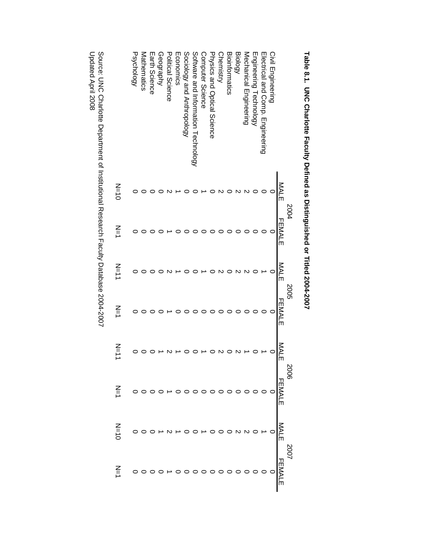|               | Psychology | Mathematics | Earth Science | Geography | <b>Political Science</b> | Economics | Sociology and Anthropology | Software and Information Technology | Computer Science | hysics and Optical Science | hemistry | <b>Bioinformatics</b> | <b>Biology</b> | <b><i>Mechanical</i></b> Engineering | ingineering Technology | lectrical and Comp. Engineering | Civil Engineering        |               |                                                                                                                                 |
|---------------|------------|-------------|---------------|-----------|--------------------------|-----------|----------------------------|-------------------------------------|------------------|----------------------------|----------|-----------------------|----------------|--------------------------------------|------------------------|---------------------------------|--------------------------|---------------|---------------------------------------------------------------------------------------------------------------------------------|
| $N=10$        |            |             |               |           |                          |           |                            |                                     |                  |                            |          |                       |                |                                      |                        |                                 |                          | <b>MALE</b>   | 200                                                                                                                             |
| N<br>T        |            |             |               |           |                          |           |                            |                                     |                  |                            |          |                       |                |                                      |                        |                                 |                          | <b>FEMALE</b> |                                                                                                                                 |
| スリー           |            |             |               |           |                          |           |                            |                                     |                  |                            |          |                       |                |                                      |                        |                                 |                          | MALE          |                                                                                                                                 |
| アルコ           |            |             |               |           |                          |           |                            |                                     |                  |                            |          |                       |                |                                      |                        |                                 |                          | <b>FEMALE</b> | <b>2002</b>                                                                                                                     |
| N<br>L        |            |             |               |           |                          |           |                            |                                     |                  |                            |          |                       |                |                                      |                        |                                 |                          | ITVM          |                                                                                                                                 |
| $\sum_{i=1}$  |            |             |               |           |                          |           |                            |                                     |                  |                            |          |                       |                |                                      |                        |                                 |                          |               | $\begin{array}{cc} 2006 & \text{MALE} & \text{MALE} & \text{FEMALE} \\ \text{FEMALE} & \text{MALE} & \text{FEMALE} \end{array}$ |
| $N=10$        |            |             |               |           |                          |           |                            |                                     |                  |                            |          |                       |                |                                      |                        |                                 | $\overline{\phantom{0}}$ |               |                                                                                                                                 |
| $\frac{2}{1}$ |            |             |               |           |                          |           |                            |                                     |                  |                            |          |                       |                |                                      |                        |                                 |                          |               |                                                                                                                                 |

# Table 8.1. UNC Charlotte Faculty Defined as Distinguished or Titled 2004-2007 **Table 8.1. UNC Charlotte Faculty Defined as Distinguished or Titled 2004-2007**

Source: UNC Charlotte Department of Institutional Research Faculty Database 2004-2007<br>Updated April 2008 Updated April 2008 Source: UNC Charlotte Department of Institutional Research Faculty Database 2004-2007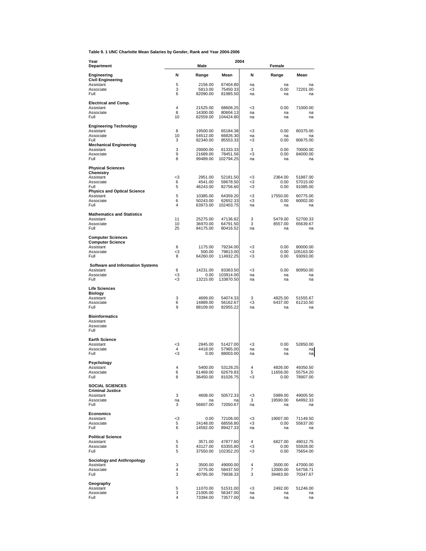**Table 9. 1 UNC Charlotte Mean Salaries by Gender, Rank and Year 2004-2006**

| Year                                                 |                     | Male                 | 2004                  |          |                      |                       |
|------------------------------------------------------|---------------------|----------------------|-----------------------|----------|----------------------|-----------------------|
| <b>Department</b>                                    |                     |                      |                       |          | Female               |                       |
| Engineering<br><b>Civil Engineering</b>              | Ν                   | Range                | Mean                  | N        | Range                | Mean                  |
| Assistant<br>Associate                               | 5<br>3              | 2156.00<br>5813.00   | 67404.80<br>75450.33  | na<br>-3 | na<br>0.00           | na<br>72201.00        |
| Full                                                 | 6                   | 82090.00             | 81985.50              | na       | na                   | na                    |
| <b>Electrical and Comp.</b>                          |                     |                      |                       |          |                      |                       |
| Assistant<br>Associate                               | 4<br>8              | 21525.00<br>14300.00 | 68606.25<br>80604.13  | -3<br>na | 0.00<br>na           | 71000.00<br>na        |
| Full                                                 | 10                  | 62559.00             | 104424.80             | na       | na                   | na                    |
| <b>Engineering Technology</b><br>Assistant           | 8                   | 19500.00             | 65184.38              | -3       | 0.00                 | 60375.00              |
| Associate                                            | 10                  | 54512.00             | 66826.30              | na       | na                   | na                    |
| Full<br><b>Mechanical Engineering</b>                | 3                   | 82340.00             | 85553.33              | -3       | 0.00                 | 80675.00              |
| Assistant<br>Associate                               | 3<br>9              | 29000.00<br>21689.00 | 61333.33<br>78451.56  | 3<br>-3  | 0.00<br>0.00         | 70000.00<br>84000.00  |
| Full                                                 | 8                   | 99489.00             | 102794.25             | na       | na                   | na                    |
| <b>Physical Sciences</b>                             |                     |                      |                       |          |                      |                       |
| Chemistry<br>Assistant                               | <3                  | 2951.00              | 52181.50              | -3       | 2364.00              | 51887.00              |
| Associate<br>Full                                    | 6<br>5              | 4541.00<br>46243.00  | 59678.50<br>82756.60  | -3<br>-3 | 0.00<br>0.00         | 57015.00<br>91085.00  |
| <b>Physics and Optical Science</b><br>Assistant      | 5                   | 10385.00             | 64359.20              | -3       | 17550.00             | 60775.00              |
| Associate<br>Full                                    | 6<br>4              | 50243.00             | 62652.33              | -3<br>na | 0.00<br>na           | 60002.00<br>na        |
|                                                      |                     | 63973.00             | 102403.75             |          |                      |                       |
| <b>Mathematics and Statistics</b><br>Assistant       | 11                  | 25275.00             | 47136.82              | 3        | 5479.00              | 52700.33              |
| Associate<br>Full                                    | 10<br>25            | 36970.00<br>84175.00 | 64791.50<br>80416.52  | 3<br>na  | 8557.00<br>na        | 65639.67<br>na        |
| <b>Computer Sciences</b>                             |                     |                      |                       |          |                      |                       |
| <b>Computer Science</b>                              |                     |                      |                       |          |                      |                       |
| Assistant<br>Associate                               | 6<br>-3             | 1175.00<br>500.00    | 79234.00<br>79813.00  | -3<br>-3 | 0.00<br>0.00         | 80000.00<br>105163.00 |
| Full                                                 | 8                   | 64260.00             | 114932.25             | -3       | 0.00                 | 93093.00              |
| <b>Software and Information Systems</b><br>Assistant | 6                   | 14231.00             | 83363.50              | -3       | 0.00                 | 80950.00              |
| Associate                                            | <3                  | 0.00                 | 103914.00             | na       | na                   | na                    |
| Full                                                 | -3                  | 13215.00             | 133870.50             | na       | na                   | na                    |
| <b>Life Sciences</b><br><b>Biology</b>               |                     |                      |                       |          |                      |                       |
| Assistant<br>Associate                               | 3<br>6              | 4699.00<br>14889.00  | 54074.33<br>56162.67  | 3<br>-3  | 4825.00<br>6437.00   | 51555.67<br>61210.50  |
| Full                                                 | 9                   | 88109.00             | 82955.22              | na       | na                   | na                    |
| <b>Bioinformatics</b>                                |                     |                      |                       |          |                      |                       |
| Assistant<br>Associate                               |                     |                      |                       |          |                      |                       |
| Full                                                 |                     |                      |                       |          |                      |                       |
| <b>Earth Science</b><br>Assistant                    | -3                  | 2845.00              | 51427.00              | -3       | 0.00                 | 52850.00              |
| Associate<br>Full                                    | 4<br>-3             | 4418.00<br>0.00      | 57965.00<br>88003.00  | na<br>na | na<br>na             | na<br>na              |
|                                                      |                     |                      |                       |          |                      |                       |
| Psychology<br>Assistant                              | 4                   | 5400.00              | 53128.25              | 4        | 4826.00              | 49350.50              |
| Associate<br>Full                                    | 6<br>8              | 61469.00<br>36450.00 | 62679.83<br>81026.75  | 5<br>-3  | 11656.00<br>0.00     | 55754.20<br>78907.00  |
| <b>SOCIAL SCIENCES</b>                               |                     |                      |                       |          |                      |                       |
| <b>Criminal Justice</b><br>Assistant                 | 3                   |                      |                       |          |                      |                       |
| Associate                                            | na                  | 4608.00<br>na        | 50572.33<br>na        | -3<br>3  | 5989.00<br>19590.00  | 49005.50<br>64992.33  |
| Full                                                 | 3                   | 56607.00             | 72050.67              | na       | na                   | na                    |
| Economics<br>Assistant                               | -3                  | 0.00                 | 72106.00              | -3       | 19007.00             | 71149.50              |
| Associate<br>Full                                    | 5<br>6              | 24148.00             | 68556.80              | -3       | 0.00                 | 55637.00              |
|                                                      |                     | 14592.00             | 89427.33              | na       | na                   | na                    |
| <b>Political Science</b><br>Assistant                | 5                   | 3571.00              | 47877.60              | 4        | 6827.00              | 49012.75              |
| Associate<br>Full                                    | 5<br>5              | 43127.00<br>37550.00 | 63355.80<br>102352.20 | -3<br><3 | 0.00<br>0.00         | 55928.00<br>75654.00  |
| <b>Sociology and Anthropology</b>                    |                     |                      |                       |          |                      |                       |
| Assistant<br>Associate                               | 3<br>$\overline{4}$ | 3500.00              | 49000.00              | 4<br>7   | 3500.00              | 47000.00              |
| Full                                                 | 3                   | 3775.00<br>40785.00  | 58437.50<br>79938.33  | 3        | 12000.00<br>39483.00 | 54758.71<br>70347.67  |
| Geography                                            |                     |                      |                       |          |                      |                       |
| Assistant<br>Associate                               | 5<br>3              | 11070.00<br>21005.00 | 51531.00<br>56347.00  | -3<br>na | 2492.00<br>na        | 51246.00<br>na        |
| Full                                                 | 4                   | 73394.00             | 73577.00              | na       | na                   | na                    |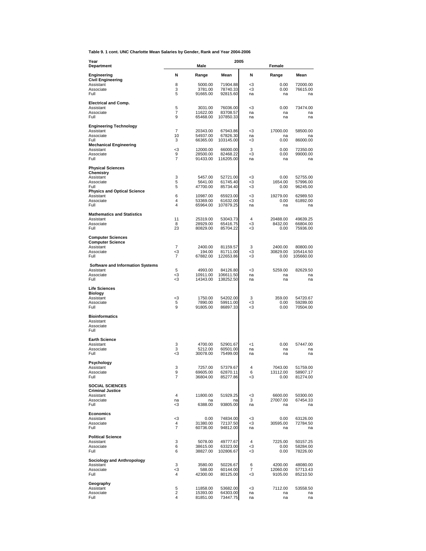**Table 9. 1 cont. UNC Charlotte Mean Salaries by Gender, Rank and Year 2004-2006**

| Year<br>Department                                  |                                  | Male                 | 2005                  |           | Female              |                       |
|-----------------------------------------------------|----------------------------------|----------------------|-----------------------|-----------|---------------------|-----------------------|
|                                                     |                                  |                      |                       |           |                     |                       |
| Engineering<br><b>Civil Engineering</b>             | Ν                                | Range                | Mean                  | N         | Range               | Mean                  |
| Assistant<br>Associate                              | 8<br>3                           | 5000.00<br>3781.00   | 71904.88<br>78740.33  | -3<br>-3  | 0.00<br>0.00        | 72000.00<br>76615.00  |
| Full                                                | 5                                | 91665.00             | 92815.60              | na        | na                  | na                    |
| <b>Electrical and Comp.</b><br>Assistant            | 5                                | 3031.00              | 76036.00              | -3        | 0.00                | 73474.00              |
| Associate                                           | 7<br>9                           | 11622.00             | 83708.57              | na        | na                  | na                    |
| Full                                                |                                  | 65468.00             | 107850.33             | na        | na                  | na                    |
| <b>Engineering Technology</b><br>Assistant          | 7                                | 20343.00             | 67943.86              | -3        | 17000.00            | 58500.00              |
| Associate<br>Full                                   | 10<br>3                          | 54937.00<br>66365.00 | 67826.30<br>103145.00 | na<br>-3  | na<br>0.00          | na<br>86000.00        |
| <b>Mechanical Engineering</b><br>Assistant          | -3                               | 12000.00             | 66000.00              | 3         | 0.00                | 72350.00              |
| Associate<br>Full                                   | 9<br>7                           | 28500.00<br>91433.00 | 82468.22<br>116205.00 | -3<br>na  | 0.00<br>na          | 99000.00<br>na        |
|                                                     |                                  |                      |                       |           |                     |                       |
| <b>Physical Sciences</b><br>Chemistry               |                                  |                      |                       |           |                     |                       |
| Assistant<br>Associate                              | 3<br>5                           | 5457.00<br>5641.00   | 52721.00<br>61745.40  | -3<br>-3  | 0.00<br>1654.00     | 52755.00<br>57996.00  |
| Full<br><b>Physics and Optical Science</b>          | 5                                | 47700.00             | 85734.40              | -3        | 0.00                | 96245.00              |
| Assistant<br>Associate                              | 6<br>4                           | 10987.00<br>53369.00 | 65923.00<br>61632.00  | -3<br>-3  | 19279.00<br>0.00    | 62989.50<br>61892.00  |
| Full                                                | 4                                | 65964.00             | 107879.25             | na        | na                  | na                    |
| <b>Mathematics and Statistics</b>                   |                                  |                      |                       |           |                     |                       |
| Assistant<br>Associate                              | 11<br>8                          | 25319.00<br>28929.00 | 53043.73<br>65416.75  | 4<br><3   | 20488.00<br>8432.00 | 49639.25<br>66804.00  |
| Full                                                | 23                               | 80829.00             | 85704.22              | -3        | 0.00                | 75936.00              |
| <b>Computer Sciences</b><br><b>Computer Science</b> |                                  |                      |                       |           |                     |                       |
| Assistant<br>Associate                              | 7<br><3                          | 2400.00<br>194.00    | 81159.57<br>81711.00  | 3<br>-3   | 2400.00<br>30829.00 | 80800.00<br>105414.50 |
| Full                                                | 7                                | 67882.00             | 122653.86             | -3        | 0.00                | 105660.00             |
| <b>Software and Information Systems</b>             |                                  |                      |                       |           |                     |                       |
| Assistant<br>Associate                              | 5<br>-3                          | 4993.00<br>10911.00  | 84126.80<br>106611.50 | -3<br>na  | 5259.00<br>na       | 82629.50<br>na        |
| Full                                                | -3                               | 14343.00             | 138252.50             | na        | na                  | na                    |
| <b>Life Sciences</b><br><b>Biology</b>              |                                  |                      |                       |           |                     |                       |
| Assistant<br>Associate                              | <3<br>5                          | 1750.00<br>7890.00   | 54202.00<br>59911.00  | 3<br><3   | 359.00<br>0.00      | 54720.67<br>59289.00  |
| Full                                                | 9                                | 91805.00             | 86897.33              | -3        | 0.00                | 70504.00              |
| <b>Bioinformatics</b>                               |                                  |                      |                       |           |                     |                       |
| Assistant<br>Associate                              |                                  |                      |                       |           |                     |                       |
| Full                                                |                                  |                      |                       |           |                     |                       |
| <b>Earth Science</b><br>Assistant                   | 3                                | 4700.00              | 52901.67              | <1        | 0.00                | 57447.00              |
| Associate<br>Full                                   | 3<br>-3                          | 5212.00<br>30078.00  | 60501.00<br>75499.00  | na<br>na  | na<br>na            | na<br>na              |
| Psychology                                          |                                  |                      |                       |           |                     |                       |
| Assistant                                           | 3                                | 7257.00              | 57379.67              | 4         | 7043.00<br>13112.00 | 51759.00              |
| Associate<br>Full                                   | 9<br>7                           | 69605.00<br>36804.00 | 62870.11<br>85277.86  | 6<br>-3   | 0.00                | 58907.17<br>81274.00  |
| <b>SOCIAL SCIENCES</b>                              |                                  |                      |                       |           |                     |                       |
| <b>Criminal Justice</b><br>Assistant                | 4                                | 11800.00             | 51929.25              | $<\!\!3$  | 6600.00             | 50300.00              |
| Associate<br>Full                                   | na<br>-3                         | na<br>6388.00        | na<br>93805.00        | 3<br>na   | 27007.00<br>na      | 67454.33<br>na        |
| <b>Economics</b>                                    |                                  |                      |                       |           |                     |                       |
| Assistant<br>Associate                              | <3<br>$\overline{4}$             | 0.00<br>31380.00     | 74834.00<br>72137.50  | $3$<br>-3 | 0.00<br>30595.00    | 63126.00<br>72784.50  |
| Full                                                | 7                                | 60736.00             | 94812.00              | na        | na                  | na                    |
| <b>Political Science</b>                            |                                  |                      |                       |           |                     |                       |
| Assistant<br>Associate                              | 3<br>6                           | 5078.00<br>38615.00  | 49777.67<br>63323.00  | 4<br>-3   | 7225.00<br>0.00     | 50157.25<br>58284.00  |
| Full                                                | 6                                | 38827.00             | 102806.67             | -3        | 0.00                | 78226.00              |
| Sociology and Anthropology<br>Assistant             | 3                                | 3580.00              | 50226.67              | 6         | 4200.00             | 48080.00              |
| Associate<br>Full                                   | -3<br>$\overline{4}$             | 588.00<br>42300.00   | 60144.00<br>80125.00  | 7<br>-3   | 12060.00<br>9105.00 | 57713.43<br>85210.50  |
|                                                     |                                  |                      |                       |           |                     |                       |
| Geography<br>Assistant                              | 5                                | 11858.00             | 53682.00              | -3        | 7112.00             | 53558.50              |
| Associate<br>Full                                   | $\overline{2}$<br>$\overline{4}$ | 15393.00<br>81851.00 | 64303.00<br>73447.75  | na<br>na  | na<br>na            | na<br>na              |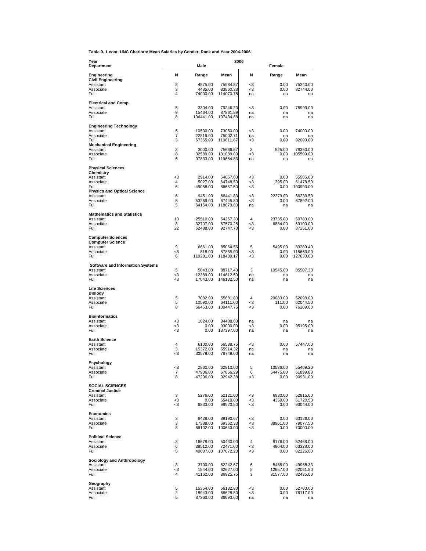**Table 9. 1 cont. UNC Charlotte Mean Salaries by Gender, Rank and Year 2004-2006**

| Year                                                 |          |                      | 2006                   |          |                      |                        |
|------------------------------------------------------|----------|----------------------|------------------------|----------|----------------------|------------------------|
| Department                                           |          | Male                 |                        |          | Female               |                        |
| Engineering<br><b>Civil Engineering</b><br>Assistant | N<br>8   | Range<br>4875.00     | Mean<br>75984.87       | N<br><3  | Range<br>0.00        | Mean<br>75240.00       |
| Associate<br>Full                                    | 3<br>4   | 4435.00<br>74000.00  | 83860.33<br>114070.75  | -3<br>na | 0.00<br>na           | 82744.00<br>na         |
| <b>Electrical and Comp.</b>                          |          |                      |                        |          |                      |                        |
| Assistant<br>Associate                               | 5<br>9   | 3304.00<br>15464.00  | 79246.20<br>87861.89   | -3<br>na | 0.00<br>na           | 78999.00<br>na         |
| Full                                                 | 8        | 106441.00            | 107434.88              | na       | na                   | na                     |
| <b>Engineering Technology</b>                        |          |                      |                        |          |                      |                        |
| Assistant<br>Associate                               | 5<br>7   | 10500.00<br>22819.00 | 73050.00<br>75002.71   | -3<br>na | 0.00<br>na           | 74000.00<br>na         |
| Full                                                 | 3        | 67365.00             | 110811.67              | <3       | 0.00                 | 92000.00               |
| <b>Mechanical Engineering</b><br>Assistant           | 3        | 3000.00              | 75666.67               | 3        | 525.00               | 76350.00               |
| Associate<br>Full                                    | 8<br>6   | 32589.00<br>97833.00 | 101089.00<br>119684.83 | -3<br>na | 0.00<br>na           | 105500.00              |
|                                                      |          |                      |                        |          |                      | na                     |
| <b>Physical Sciences</b><br>Chemistry                |          |                      |                        |          |                      |                        |
| Assistant                                            | -3       | 2914.00              | 54057.00               | <3       | 0.00                 | 55565.00               |
| Associate<br>Full                                    | 4<br>6   | 5027.00<br>49058.00  | 64748.50<br>86687.50   | <3<br>-3 | 395.00<br>0.00       | 61478.50<br>100993.00  |
| <b>Physics and Optical Science</b><br>Assistant      | 6        | 9451.00              | 68441.83               | -3       | 22379.00             | 66239.50               |
| Associate                                            | 5        | 53269.00             | 67445.80               | -3       | 0.00                 | 67892.00               |
| Full                                                 | 5        | 64164.00             | 118679.80              | na       | na                   | na                     |
| <b>Mathematics and Statistics</b><br>Assistant       | 10       |                      |                        | 4        | 23735.00             |                        |
| Associate                                            | 8        | 25510.00<br>32707.00 | 54267.30<br>67570.25   | <3       | 6884.00              | 50783.00<br>69100.00   |
| Full                                                 | 22       | 62488.00             | 92747.73               | -3       | 0.00                 | 87251.00               |
| <b>Computer Sciences</b>                             |          |                      |                        |          |                      |                        |
| <b>Computer Science</b><br>Assistant                 | 9        | 6661.00              | 85064.56               | 5        | 5495.00              | 83289.40               |
| Associate<br>Full                                    | $3$<br>6 | 818.00<br>119281.00  | 87835.00<br>118489.17  | <3<br>-3 | 0.00<br>0.00         | 115669.00<br>127633.00 |
|                                                      |          |                      |                        |          |                      |                        |
| <b>Software and Information Systems</b><br>Assistant | 5        | 5843.00              | 88717.40               | 3        | 10545.00             | 85507.33               |
| Associate<br>Full                                    | <3<br><3 | 12389.00<br>17043.00 | 114812.50<br>146132.50 | na<br>na | na<br>na             | na<br>na               |
|                                                      |          |                      |                        |          |                      |                        |
| <b>Life Sciences</b><br><b>Biology</b>               |          |                      |                        |          |                      |                        |
| Assistant<br>Associate                               | 5<br>5   | 7082.00<br>10590.00  | 55681.80<br>64111.00   | 4<br><3  | 29083.00<br>111.00   | 52098.00<br>62044.50   |
| Full                                                 | 8        | 56453.00             | 100447.75              | <3       | 0.00                 | 76209.00               |
| <b>Bioinformatics</b>                                |          |                      |                        |          |                      |                        |
| Assistant<br>Associate                               | <3<br><3 | 1024.00<br>0.00      | 84488.00<br>93000.00   | na<br><3 | na<br>0.00           | na<br>95195.00         |
| Full                                                 | <3       | 0.00                 | 137397.00              | na       | na                   | na                     |
| <b>Earth Science</b>                                 |          |                      |                        |          |                      |                        |
| Assistant<br>Associate                               | 4<br>3   | 6100.00<br>15372.00  | 56588.75<br>65914.32   | -3<br>na | 0.00<br>na           | 57447.00<br>na         |
| Full                                                 | -3       | 30578.00             | 78749.00               | na       | na                   | na                     |
| Psychology                                           |          |                      |                        |          |                      |                        |
| Assistant<br>Associate                               | <3<br>7  | 2860.00<br>47906.00  | 62910.00<br>67856.29   | 5<br>6   | 10536.00<br>54475.00 | 55469.20<br>61899.83   |
| Full                                                 | 8        | 47296.00             | 92942.38               | -3       | 0.00                 | 90931.00               |
| <b>SOCIAL SCIENCES</b>                               |          |                      |                        |          |                      |                        |
| <b>Criminal Justice</b><br>Assistant                 | 3        | 5276.00              | 52121.00               | -3       | 6930.00              | 52815.00               |
| Associate                                            | $3$      | 0.00                 | 65410.00               | <3       | 4359.00              | 61720.50               |
| Full                                                 | $3$      | 6833.00              | 99920.50               | -3       | 0.00                 | 93044.00               |
| <b>Economics</b><br>Assistant                        | 3        | 8428.00              | 89190.67               | -3       | 0.00                 | 63126.00               |
| Associate<br>Full                                    | 3<br>8   | 17388.00             | 69362.33               | -3       | 38961.00             | 79077.50               |
|                                                      |          | 66102.00             | 100643.00              | -3       | 0.00                 | 70000.00               |
| <b>Political Science</b><br>Assistant                | 3        | 16678.00             | 50430.00               | 4        | 8176.00              | 52468.00               |
| Associate<br>Full                                    | 6<br>5   | 38512.00             | 72471.00               | -3<br>-3 | 4864.00              | 63328.00               |
|                                                      |          | 40637.00             | 107072.20              |          | 0.00                 | 82226.00               |
| <b>Sociology and Anthropology</b><br>Assistant       | 3        | 3700.00              | 52242.67               | 6        | 5468.00              | 49968.33               |
| Associate<br>Full                                    | $3$<br>4 | 1544.00<br>41162.00  | 62627.00<br>86925.75   | 5<br>3   | 12657.00<br>31577.00 | 62061.80<br>82435.00   |
|                                                      |          |                      |                        |          |                      |                        |
| Geography<br>Assistant                               | 5        | 15354.00             | 56132.80               | -3       | 0.00                 | 52700.00               |
| Associate<br>Full                                    | 2<br>5   | 18943.00<br>87360.00 | 68628.50<br>86693.60   | -3<br>na | 0.00<br>na           | 78117.00<br>na         |
|                                                      |          |                      |                        |          |                      |                        |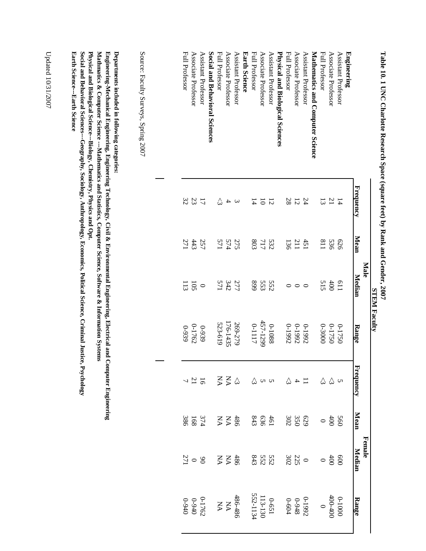|                                                                                                                                                                                                                                                     |                          |            | <b>STEM Faculty</b> |             |                          |                 |                       |                              |
|-----------------------------------------------------------------------------------------------------------------------------------------------------------------------------------------------------------------------------------------------------|--------------------------|------------|---------------------|-------------|--------------------------|-----------------|-----------------------|------------------------------|
|                                                                                                                                                                                                                                                     |                          |            | <b>Male</b>         |             |                          |                 | Female                |                              |
|                                                                                                                                                                                                                                                     | Frequency                | Mean       | <u>Median</u>       | Range       | <b>Frequency</b>         | Mean            | Median                | Range                        |
| Engineering                                                                                                                                                                                                                                         |                          |            |                     |             |                          |                 |                       |                              |
| Assistant Professor                                                                                                                                                                                                                                 | $\overline{4}$           | 979        | I <sub>19</sub>     | $0 - 1750$  |                          | 560             | 800                   | 0001-0                       |
| Associate Professor                                                                                                                                                                                                                                 | $\mathbb{Z}1$            | 536        | 600                 | $0 - 1750$  | $\omega$ $\omega$        | 400             | $400\,$               | $400 - 400$                  |
| Full Professor                                                                                                                                                                                                                                      | 13                       | 118        | 515                 | $0 - 30000$ | $\Im$                    | $\circ$         | $\circ$               | $\circ$                      |
| Mathematics and Computer Science                                                                                                                                                                                                                    |                          |            |                     |             |                          |                 |                       |                              |
| Assistant Professor                                                                                                                                                                                                                                 | 24                       |            | $\circ$             | 7661-0      | $\overline{1}$           |                 |                       | 7661-0                       |
| Associate Professor                                                                                                                                                                                                                                 | $\overline{5}$           | 451        | $\circ$             | 7661-0      | $\overline{\mathcal{A}}$ | 629<br>350      |                       | 8+6-0                        |
| Full Professor                                                                                                                                                                                                                                      | 28                       | 136        | $\circ$             | 7661-0      | 公                        | 302             | $\frac{0}{302}$       | $0 - 604$                    |
| Physical and Biological Sciences                                                                                                                                                                                                                    |                          |            |                     |             |                          |                 |                       |                              |
| Assistant Professor                                                                                                                                                                                                                                 | $\overline{5}$           |            | 552                 | 8801-0      |                          |                 |                       |                              |
| Associate Professor                                                                                                                                                                                                                                 | $\overline{\text{o}}$    | 717        | 553                 | 457-1299    | u u                      | 461             |                       |                              |
| Full Professor                                                                                                                                                                                                                                      | $\overline{4}$           | 803        | 668                 | 71117       | 公                        | 843             | 552<br>552            | 0-651<br>113-130<br>552-1134 |
| <b>Earth Science</b>                                                                                                                                                                                                                                |                          |            |                     |             |                          |                 |                       |                              |
| Assistant Professor                                                                                                                                                                                                                                 | $\epsilon$               | 275<br>574 | 277                 | 269-279     | $\Sigma$ $\Omega$        | $Z \nleq \nleq$ | $Z \nleq \frac{1}{2}$ | 486-486                      |
| Associate Professor                                                                                                                                                                                                                                 | $\overline{\phantom{a}}$ |            |                     | 176-1435    |                          |                 |                       | $\rm \acute{e}$              |
| Full Professor                                                                                                                                                                                                                                      | 公                        | 571        | 571                 | 523-619     | Š                        |                 |                       | $\mathbf{N}\mathbf{A}$       |
| Social and Behavioral Sciences                                                                                                                                                                                                                      |                          |            |                     |             |                          |                 |                       |                              |
| Assistant Professor                                                                                                                                                                                                                                 | $\overline{L}$           | 257        | $\circ$             | 6299        |                          | 374             | $\infty$              | 0-1762                       |
| Associate Professor                                                                                                                                                                                                                                 | 23                       | 443        | 50I                 | 0-1762      | $\frac{16}{7}$           | 168             | $\circ$               | $0.940$<br>0.940             |
| Full Professor                                                                                                                                                                                                                                      | 32                       | 271        | 113                 | 626-0       |                          | 386             | 271                   |                              |
|                                                                                                                                                                                                                                                     |                          |            |                     |             |                          |                 |                       |                              |
| Source: Faculty Surveys, Spring 2007                                                                                                                                                                                                                |                          |            |                     |             |                          |                 |                       |                              |
|                                                                                                                                                                                                                                                     |                          |            |                     |             |                          |                 |                       |                              |
|                                                                                                                                                                                                                                                     |                          |            |                     |             |                          |                 |                       |                              |
| Departments included in following categories:                                                                                                                                                                                                       |                          |            |                     |             |                          |                 |                       |                              |
| Mathmatics & Computer Science ---Mathematics and Statistics, Computer Science, Software & Information Systems<br>Engineering-Mechanical Engineering, Engineering Technology, Civil & Environmental Engineering, Electrical and Computer Engineering |                          |            |                     |             |                          |                 |                       |                              |
| Social and Behavioral Sciences---Geography, Sociology, Anthropology, Economics, Political Science, Criminal Justice, Psychology<br>Physical and Biological Science---Biology, Chemistry, Physics and Opt.                                           |                          |            |                     |             |                          |                 |                       |                              |
| <b>Earth Science---Earth Science</b>                                                                                                                                                                                                                |                          |            |                     |             |                          |                 |                       |                              |
|                                                                                                                                                                                                                                                     |                          |            |                     |             |                          |                 |                       |                              |

Table 10. 1 UNC Charlotte Research Space (square feet) by Rank and Gender, 2007 **Table 10. 1 UNC Charlotte Research Space (square feet) by Rank and Gender, 2007**

Updated 10/31/2007 Updated 10/31/2007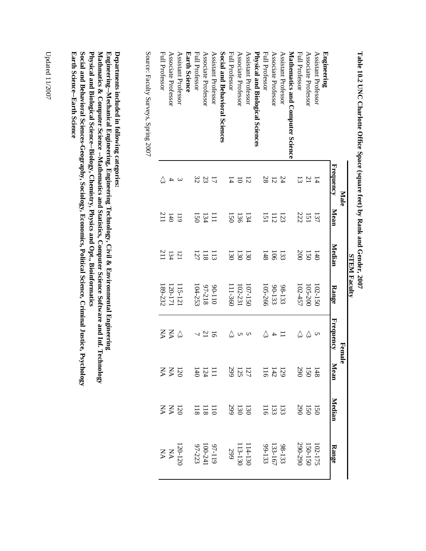|                                  |                    |                  | <b>STEM Faculty</b> |             |                          |                  |                                                  |                               |
|----------------------------------|--------------------|------------------|---------------------|-------------|--------------------------|------------------|--------------------------------------------------|-------------------------------|
|                                  | <b>Male</b>        |                  |                     |             | Female                   |                  |                                                  |                               |
|                                  | Frequency          | Mean             | Median              | Range       | Frequency                | Mean             | Median                                           | Range                         |
| Engineering                      |                    |                  |                     |             |                          |                  |                                                  |                               |
| Assistant Professor              | $\uparrow$         | 137              | $\overline{1}40$    | $102 - 150$ | $\cup$                   |                  |                                                  |                               |
| Associate Professor              | $\overline{21}$    | 151<br>222       | 150                 | 105-200     | $\Im$                    |                  |                                                  |                               |
| Full Professor                   | $\mathbb{Z}$       |                  | 200                 | 102457      | 公                        | 148<br>150       | $150$<br>$159$                                   | 102-175<br>150-150<br>290-290 |
| Mathematics and Computer Science |                    |                  |                     |             |                          |                  |                                                  |                               |
| Assistant Professor              | 24                 | 123              | 133                 | 98-133      |                          |                  |                                                  |                               |
| Associate Professor              | 12                 | $\frac{11}{15}$  | $\overline{5}$      | 90-133      | $\overline{\phantom{a}}$ | $\frac{13}{14}$  | $\begin{array}{c} 133 \\ 123 \\ 116 \end{array}$ | 98-133<br>133-167<br>133-153  |
| <b>Full Professor</b>            | 28                 |                  | 148                 | $105 - 266$ | 公                        |                  |                                                  |                               |
| Physical and Biological Sciences |                    |                  |                     |             |                          |                  |                                                  |                               |
| Assistant Professor              | 12                 | 134              | $\overline{50}$     | $01 - 150$  | S                        |                  |                                                  |                               |
| Associate Professor              | $\overline{5}$     | 136              | 130                 | $102 - 231$ | S                        | $127$<br>$125$   | 130<br>130<br>299                                |                               |
| Full Professor                   | $\overline{4}$     | ISO              | 130                 | $11-360$    | 公                        |                  |                                                  | $114 - 130$<br>113-130<br>299 |
| Social and Behavioral Sciences   |                    |                  |                     |             |                          |                  |                                                  |                               |
| Assistant Professor              | $\overline{L}$     | Ξ                | $\Xi$               | $011-06$    | 5                        |                  |                                                  |                               |
| Associate Professor              | 23                 | 134              | $\frac{118}{2}$     | 97-218      | 21                       | $\frac{11}{124}$ | $\frac{118}{118}$                                |                               |
| Full Professor                   | 32                 | 150              | 127                 | $04 - 253$  |                          |                  |                                                  | 97-119<br>100-241<br>97-223   |
| <b>Earth Science</b>             |                    |                  |                     |             |                          |                  |                                                  |                               |
| Assistant Professor              | $\mathbf{\hat{z}}$ | $\overline{119}$ | 121                 | $15 - 121$  | $\Im$                    |                  |                                                  | 120-120<br>NA<br>NA           |
| Associate Professor              | 4                  | 140              | 134                 | 120-171     | $\mathbf{\Sigma}$        | $Z\overline{Z}$  | $Z\overline{Z}$                                  |                               |
| Full Professor                   |                    | 211              | $\overline{211}$    | $89 - 232$  | Š                        |                  |                                                  |                               |
|                                  |                    |                  |                     |             |                          |                  |                                                  |                               |

Table 10.2 UNC Charlotte Office Space (square feet) by Rank and Gender, 2007<br>Table 10.2 UNC Charlotte Office Space (square feet) by Rank and Gender, 2007 **Table 10.2 UNC Charlotte Office Space (square feet) by Rank and Gender, 2007**

Source: Faculty Surveys, Spring 2007

Source: Faculty Surveys, Spring 2007

Departments included in following categories: **Departments included in following categories:**

Engineering--Mechanical Engineering, Engineering Technology, Civil & Environmental Engineering Physical and Biological Science--Biology, Chemistry, Physics and Opt., Bioinformatics Mathmatics & Computer Science --Mathematics and Statistics, Computer Science Software and Inf. Technology **Physical and Biological Science--Biology, Chemistry, Physics and Opt., Bioinformatics Mathmatics & Computer Science --Mathematics and Statistics, Computer Science Software and Inf. Technology Engineering--Mechanical Engineering, Engineering Technology, Civil & Environmental Engineering**

Social and Behavioral Sciences-Geography, Sociology, Economics, Political Science, Criminal Justice, Psychology **Earth Science--Earth Science Earth Science--Earth Science Social and Behavioral Sciences-Geography, Sociology, Economics, Political Science, Criminal Justice, Psychology**

Updated  $11/2007$ Updated 11/2007